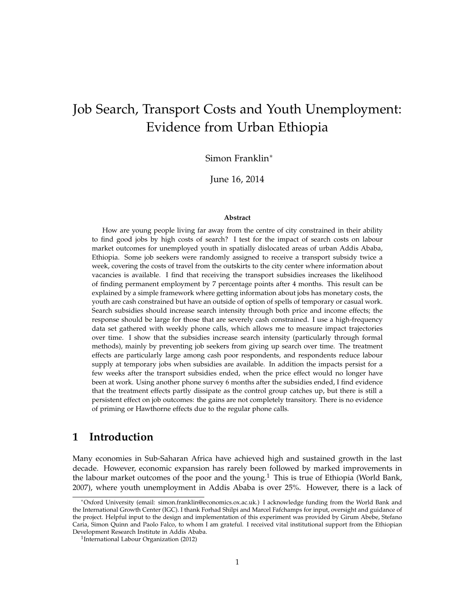# Job Search, Transport Costs and Youth Unemployment: Evidence from Urban Ethiopia

Simon Franklin<sup>∗</sup>

June 16, 2014

#### **Abstract**

How are young people living far away from the centre of city constrained in their ability to find good jobs by high costs of search? I test for the impact of search costs on labour market outcomes for unemployed youth in spatially dislocated areas of urban Addis Ababa, Ethiopia. Some job seekers were randomly assigned to receive a transport subsidy twice a week, covering the costs of travel from the outskirts to the city center where information about vacancies is available. I find that receiving the transport subsidies increases the likelihood of finding permanent employment by 7 percentage points after 4 months. This result can be explained by a simple framework where getting information about jobs has monetary costs, the youth are cash constrained but have an outside of option of spells of temporary or casual work. Search subsidies should increase search intensity through both price and income effects; the response should be large for those that are severely cash constrained. I use a high-frequency data set gathered with weekly phone calls, which allows me to measure impact trajectories over time. I show that the subsidies increase search intensity (particularly through formal methods), mainly by preventing job seekers from giving up search over time. The treatment effects are particularly large among cash poor respondents, and respondents reduce labour supply at temporary jobs when subsidies are available. In addition the impacts persist for a few weeks after the transport subsidies ended, when the price effect would no longer have been at work. Using another phone survey 6 months after the subsidies ended, I find evidence that the treatment effects partly dissipate as the control group catches up, but there is still a persistent effect on job outcomes: the gains are not completely transitory. There is no evidence of priming or Hawthorne effects due to the regular phone calls.

# **1 Introduction**

Many economies in Sub-Saharan Africa have achieved high and sustained growth in the last decade. However, economic expansion has rarely been followed by marked improvements in the labour market outcomes of the poor and the young.<sup>1</sup> This is true of Ethiopia (World Bank, 2007), where youth unemployment in Addis Ababa is over 25%. However, there is a lack of

<sup>∗</sup>Oxford University (email: simon.franklin@economics.ox.ac.uk.) I acknowledge funding from the World Bank and the International Growth Center (IGC). I thank Forhad Shilpi and Marcel Fafchamps for input, oversight and guidance of the project. Helpful input to the design and implementation of this experiment was provided by Girum Abebe, Stefano Caria, Simon Quinn and Paolo Falco, to whom I am grateful. I received vital institutional support from the Ethiopian Development Research Institute in Addis Ababa.

<sup>&</sup>lt;sup>1</sup>International Labour Organization (2012)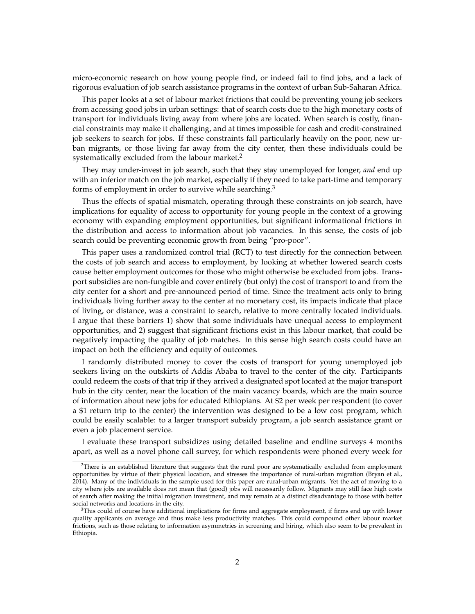micro-economic research on how young people find, or indeed fail to find jobs, and a lack of rigorous evaluation of job search assistance programs in the context of urban Sub-Saharan Africa.

This paper looks at a set of labour market frictions that could be preventing young job seekers from accessing good jobs in urban settings: that of search costs due to the high monetary costs of transport for individuals living away from where jobs are located. When search is costly, financial constraints may make it challenging, and at times impossible for cash and credit-constrained job seekers to search for jobs. If these constraints fall particularly heavily on the poor, new urban migrants, or those living far away from the city center, then these individuals could be systematically excluded from the labour market.<sup>2</sup>

They may under-invest in job search, such that they stay unemployed for longer, *and* end up with an inferior match on the job market, especially if they need to take part-time and temporary forms of employment in order to survive while searching.<sup>3</sup>

Thus the effects of spatial mismatch, operating through these constraints on job search, have implications for equality of access to opportunity for young people in the context of a growing economy with expanding employment opportunities, but significant informational frictions in the distribution and access to information about job vacancies. In this sense, the costs of job search could be preventing economic growth from being "pro-poor".

This paper uses a randomized control trial (RCT) to test directly for the connection between the costs of job search and access to employment, by looking at whether lowered search costs cause better employment outcomes for those who might otherwise be excluded from jobs. Transport subsidies are non-fungible and cover entirely (but only) the cost of transport to and from the city center for a short and pre-announced period of time. Since the treatment acts only to bring individuals living further away to the center at no monetary cost, its impacts indicate that place of living, or distance, was a constraint to search, relative to more centrally located individuals. I argue that these barriers 1) show that some individuals have unequal access to employment opportunities, and 2) suggest that significant frictions exist in this labour market, that could be negatively impacting the quality of job matches. In this sense high search costs could have an impact on both the efficiency and equity of outcomes.

I randomly distributed money to cover the costs of transport for young unemployed job seekers living on the outskirts of Addis Ababa to travel to the center of the city. Participants could redeem the costs of that trip if they arrived a designated spot located at the major transport hub in the city center, near the location of the main vacancy boards, which are the main source of information about new jobs for educated Ethiopians. At \$2 per week per respondent (to cover a \$1 return trip to the center) the intervention was designed to be a low cost program, which could be easily scalable: to a larger transport subsidy program, a job search assistance grant or even a job placement service.

I evaluate these transport subsidizes using detailed baseline and endline surveys 4 months apart, as well as a novel phone call survey, for which respondents were phoned every week for

<sup>&</sup>lt;sup>2</sup>There is an established literature that suggests that the rural poor are systematically excluded from employment opportunities by virtue of their physical location, and stresses the importance of rural-urban migration (Bryan et al., 2014). Many of the individuals in the sample used for this paper are rural-urban migrants. Yet the act of moving to a city where jobs are available does not mean that (good) jobs will necessarily follow. Migrants may still face high costs of search after making the initial migration investment, and may remain at a distinct disadvantage to those with better social networks and locations in the city.

<sup>&</sup>lt;sup>3</sup>This could of course have additional implications for firms and aggregate employment, if firms end up with lower quality applicants on average and thus make less productivity matches. This could compound other labour market frictions, such as those relating to information asymmetries in screening and hiring, which also seem to be prevalent in Ethiopia.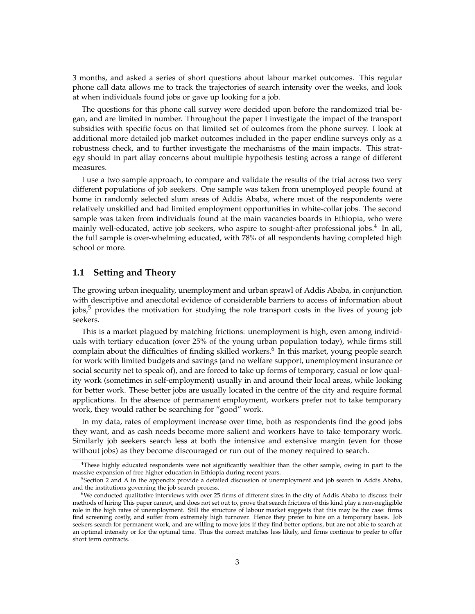3 months, and asked a series of short questions about labour market outcomes. This regular phone call data allows me to track the trajectories of search intensity over the weeks, and look at when individuals found jobs or gave up looking for a job.

The questions for this phone call survey were decided upon before the randomized trial began, and are limited in number. Throughout the paper I investigate the impact of the transport subsidies with specific focus on that limited set of outcomes from the phone survey. I look at additional more detailed job market outcomes included in the paper endline surveys only as a robustness check, and to further investigate the mechanisms of the main impacts. This strategy should in part allay concerns about multiple hypothesis testing across a range of different measures.

I use a two sample approach, to compare and validate the results of the trial across two very different populations of job seekers. One sample was taken from unemployed people found at home in randomly selected slum areas of Addis Ababa, where most of the respondents were relatively unskilled and had limited employment opportunities in white-collar jobs. The second sample was taken from individuals found at the main vacancies boards in Ethiopia, who were mainly well-educated, active job seekers, who aspire to sought-after professional jobs.<sup>4</sup> In all, the full sample is over-whelming educated, with 78% of all respondents having completed high school or more.

## **1.1 Setting and Theory**

The growing urban inequality, unemployment and urban sprawl of Addis Ababa, in conjunction with descriptive and anecdotal evidence of considerable barriers to access of information about  $jobs<sub>5</sub>$ <sup>5</sup> provides the motivation for studying the role transport costs in the lives of young job seekers.

This is a market plagued by matching frictions: unemployment is high, even among individuals with tertiary education (over 25% of the young urban population today), while firms still complain about the difficulties of finding skilled workers.<sup>6</sup> In this market, young people search for work with limited budgets and savings (and no welfare support, unemployment insurance or social security net to speak of), and are forced to take up forms of temporary, casual or low quality work (sometimes in self-employment) usually in and around their local areas, while looking for better work. These better jobs are usually located in the centre of the city and require formal applications. In the absence of permanent employment, workers prefer not to take temporary work, they would rather be searching for "good" work.

In my data, rates of employment increase over time, both as respondents find the good jobs they want, and as cash needs become more salient and workers have to take temporary work. Similarly job seekers search less at both the intensive and extensive margin (even for those without jobs) as they become discouraged or run out of the money required to search.

<sup>&</sup>lt;sup>4</sup>These highly educated respondents were not significantly wealthier than the other sample, owing in part to the massive expansion of free higher education in Ethiopia during recent years.

<sup>&</sup>lt;sup>5</sup>Section 2 and A in the appendix provide a detailed discussion of unemployment and job search in Addis Ababa, and the institutions governing the job search process.

 $6$ We conducted qualitative interviews with over 25 firms of different sizes in the city of Addis Ababa to discuss their methods of hiring This paper cannot, and does not set out to, prove that search frictions of this kind play a non-negligible role in the high rates of unemployment. Still the structure of labour market suggests that this may be the case: firms find screening costly, and suffer from extremely high turnover. Hence they prefer to hire on a temporary basis. Job seekers search for permanent work, and are willing to move jobs if they find better options, but are not able to search at an optimal intensity or for the optimal time. Thus the correct matches less likely, and firms continue to prefer to offer short term contracts.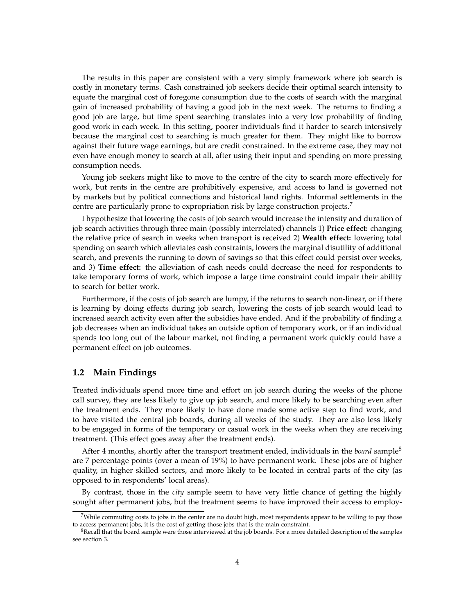The results in this paper are consistent with a very simply framework where job search is costly in monetary terms. Cash constrained job seekers decide their optimal search intensity to equate the marginal cost of foregone consumption due to the costs of search with the marginal gain of increased probability of having a good job in the next week. The returns to finding a good job are large, but time spent searching translates into a very low probability of finding good work in each week. In this setting, poorer individuals find it harder to search intensively because the marginal cost to searching is much greater for them. They might like to borrow against their future wage earnings, but are credit constrained. In the extreme case, they may not even have enough money to search at all, after using their input and spending on more pressing consumption needs.

Young job seekers might like to move to the centre of the city to search more effectively for work, but rents in the centre are prohibitively expensive, and access to land is governed not by markets but by political connections and historical land rights. Informal settlements in the centre are particularly prone to expropriation risk by large construction projects.<sup>7</sup>

I hypothesize that lowering the costs of job search would increase the intensity and duration of job search activities through three main (possibly interrelated) channels 1) **Price effect:** changing the relative price of search in weeks when transport is received 2) **Wealth effect:** lowering total spending on search which alleviates cash constraints, lowers the marginal disutility of additional search, and prevents the running to down of savings so that this effect could persist over weeks, and 3) **Time effect:** the alleviation of cash needs could decrease the need for respondents to take temporary forms of work, which impose a large time constraint could impair their ability to search for better work.

Furthermore, if the costs of job search are lumpy, if the returns to search non-linear, or if there is learning by doing effects during job search, lowering the costs of job search would lead to increased search activity even after the subsidies have ended. And if the probability of finding a job decreases when an individual takes an outside option of temporary work, or if an individual spends too long out of the labour market, not finding a permanent work quickly could have a permanent effect on job outcomes.

#### **1.2 Main Findings**

Treated individuals spend more time and effort on job search during the weeks of the phone call survey, they are less likely to give up job search, and more likely to be searching even after the treatment ends. They more likely to have done made some active step to find work, and to have visited the central job boards, during all weeks of the study. They are also less likely to be engaged in forms of the temporary or casual work in the weeks when they are receiving treatment. (This effect goes away after the treatment ends).

After 4 months, shortly after the transport treatment ended, individuals in the *board* sample<sup>8</sup> are 7 percentage points (over a mean of 19%) to have permanent work. These jobs are of higher quality, in higher skilled sectors, and more likely to be located in central parts of the city (as opposed to in respondents' local areas).

By contrast, those in the *city* sample seem to have very little chance of getting the highly sought after permanent jobs, but the treatment seems to have improved their access to employ-

 $7$ While commuting costs to jobs in the center are no doubt high, most respondents appear to be willing to pay those to access permanent jobs, it is the cost of getting those jobs that is the main constraint.

 $8$ Recall that the board sample were those interviewed at the job boards. For a more detailed description of the samples see section 3.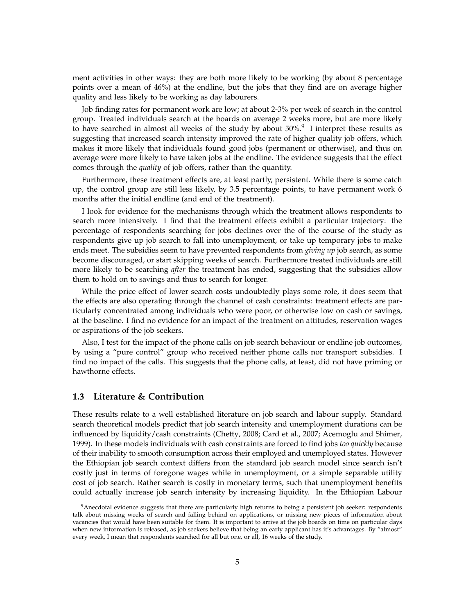ment activities in other ways: they are both more likely to be working (by about 8 percentage points over a mean of 46%) at the endline, but the jobs that they find are on average higher quality and less likely to be working as day labourers.

Job finding rates for permanent work are low; at about 2-3% per week of search in the control group. Treated individuals search at the boards on average 2 weeks more, but are more likely to have searched in almost all weeks of the study by about  $50\%$ .<sup>9</sup> I interpret these results as suggesting that increased search intensity improved the rate of higher quality job offers, which makes it more likely that individuals found good jobs (permanent or otherwise), and thus on average were more likely to have taken jobs at the endline. The evidence suggests that the effect comes through the *quality* of job offers, rather than the quantity.

Furthermore, these treatment effects are, at least partly, persistent. While there is some catch up, the control group are still less likely, by 3.5 percentage points, to have permanent work 6 months after the initial endline (and end of the treatment).

I look for evidence for the mechanisms through which the treatment allows respondents to search more intensively. I find that the treatment effects exhibit a particular trajectory: the percentage of respondents searching for jobs declines over the of the course of the study as respondents give up job search to fall into unemployment, or take up temporary jobs to make ends meet. The subsidies seem to have prevented respondents from *giving up* job search, as some become discouraged, or start skipping weeks of search. Furthermore treated individuals are still more likely to be searching *after* the treatment has ended, suggesting that the subsidies allow them to hold on to savings and thus to search for longer.

While the price effect of lower search costs undoubtedly plays some role, it does seem that the effects are also operating through the channel of cash constraints: treatment effects are particularly concentrated among individuals who were poor, or otherwise low on cash or savings, at the baseline. I find no evidence for an impact of the treatment on attitudes, reservation wages or aspirations of the job seekers.

Also, I test for the impact of the phone calls on job search behaviour or endline job outcomes, by using a "pure control" group who received neither phone calls nor transport subsidies. I find no impact of the calls. This suggests that the phone calls, at least, did not have priming or hawthorne effects.

## **1.3 Literature & Contribution**

These results relate to a well established literature on job search and labour supply. Standard search theoretical models predict that job search intensity and unemployment durations can be influenced by liquidity/cash constraints (Chetty, 2008; Card et al., 2007; Acemoglu and Shimer, 1999). In these models individuals with cash constraints are forced to find jobs *too quickly* because of their inability to smooth consumption across their employed and unemployed states. However the Ethiopian job search context differs from the standard job search model since search isn't costly just in terms of foregone wages while in unemployment, or a simple separable utility cost of job search. Rather search is costly in monetary terms, such that unemployment benefits could actually increase job search intensity by increasing liquidity. In the Ethiopian Labour

<sup>&</sup>lt;sup>9</sup> Anecdotal evidence suggests that there are particularly high returns to being a persistent job seeker: respondents talk about missing weeks of search and falling behind on applications, or missing new pieces of information about vacancies that would have been suitable for them. It is important to arrive at the job boards on time on particular days when new information is released, as job seekers believe that being an early applicant has it's advantages. By "almost" every week, I mean that respondents searched for all but one, or all, 16 weeks of the study.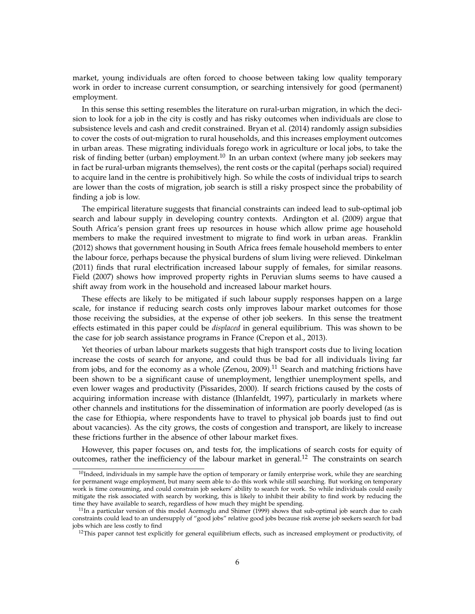market, young individuals are often forced to choose between taking low quality temporary work in order to increase current consumption, or searching intensively for good (permanent) employment.

In this sense this setting resembles the literature on rural-urban migration, in which the decision to look for a job in the city is costly and has risky outcomes when individuals are close to subsistence levels and cash and credit constrained. Bryan et al. (2014) randomly assign subsidies to cover the costs of out-migration to rural households, and this increases employment outcomes in urban areas. These migrating individuals forego work in agriculture or local jobs, to take the risk of finding better (urban) employment.<sup>10</sup> In an urban context (where many job seekers may in fact be rural-urban migrants themselves), the rent costs or the capital (perhaps social) required to acquire land in the centre is prohibitively high. So while the costs of individual trips to search are lower than the costs of migration, job search is still a risky prospect since the probability of finding a job is low.

The empirical literature suggests that financial constraints can indeed lead to sub-optimal job search and labour supply in developing country contexts. Ardington et al. (2009) argue that South Africa's pension grant frees up resources in house which allow prime age household members to make the required investment to migrate to find work in urban areas. Franklin (2012) shows that government housing in South Africa frees female household members to enter the labour force, perhaps because the physical burdens of slum living were relieved. Dinkelman (2011) finds that rural electrification increased labour supply of females, for similar reasons. Field (2007) shows how improved property rights in Peruvian slums seems to have caused a shift away from work in the household and increased labour market hours.

These effects are likely to be mitigated if such labour supply responses happen on a large scale, for instance if reducing search costs only improves labour market outcomes for those those receiving the subsidies, at the expense of other job seekers. In this sense the treatment effects estimated in this paper could be *displaced* in general equilibrium. This was shown to be the case for job search assistance programs in France (Crepon et al., 2013).

Yet theories of urban labour markets suggests that high transport costs due to living location increase the costs of search for anyone, and could thus be bad for all individuals living far from jobs, and for the economy as a whole (Zenou, 2009).<sup>11</sup> Search and matching frictions have been shown to be a significant cause of unemployment, lengthier unemployment spells, and even lower wages and productivity (Pissarides, 2000). If search frictions caused by the costs of acquiring information increase with distance (Ihlanfeldt, 1997), particularly in markets where other channels and institutions for the dissemination of information are poorly developed (as is the case for Ethiopia, where respondents have to travel to physical job boards just to find out about vacancies). As the city grows, the costs of congestion and transport, are likely to increase these frictions further in the absence of other labour market fixes.

However, this paper focuses on, and tests for, the implications of search costs for equity of outcomes, rather the inefficiency of the labour market in general.<sup>12</sup> The constraints on search

 $10$ Indeed, individuals in my sample have the option of temporary or family enterprise work, while they are searching for permanent wage employment, but many seem able to do this work while still searching. But working on temporary work is time consuming, and could constrain job seekers' ability to search for work. So while individuals could easily mitigate the risk associated with search by working, this is likely to inhibit their ability to find work by reducing the time they have available to search, regardless of how much they might be spending.

 $11$ In a particular version of this model Acemoglu and Shimer (1999) shows that sub-optimal job search due to cash constraints could lead to an undersupply of "good jobs" relative good jobs because risk averse job seekers search for bad jobs which are less costly to find

<sup>&</sup>lt;sup>12</sup>This paper cannot test explicitly for general equilibrium effects, such as increased employment or productivity, of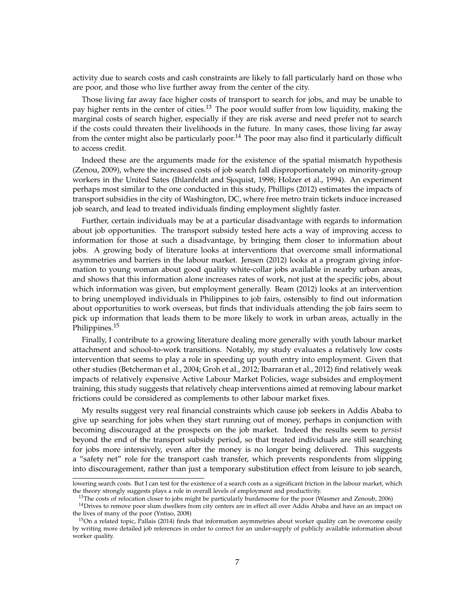activity due to search costs and cash constraints are likely to fall particularly hard on those who are poor, and those who live further away from the center of the city.

Those living far away face higher costs of transport to search for jobs, and may be unable to pay higher rents in the center of cities.<sup>13</sup> The poor would suffer from low liquidity, making the marginal costs of search higher, especially if they are risk averse and need prefer not to search if the costs could threaten their livelihoods in the future. In many cases, those living far away from the center might also be particularly poor.<sup>14</sup> The poor may also find it particularly difficult to access credit.

Indeed these are the arguments made for the existence of the spatial mismatch hypothesis (Zenou, 2009), where the increased costs of job search fall disproportionately on minority-group workers in the United Sates (Ihlanfeldt and Sjoquist, 1998; Holzer et al., 1994). An experiment perhaps most similar to the one conducted in this study, Phillips (2012) estimates the impacts of transport subsidies in the city of Washington, DC, where free metro train tickets induce increased job search, and lead to treated individuals finding employment slightly faster.

Further, certain individuals may be at a particular disadvantage with regards to information about job opportunities. The transport subsidy tested here acts a way of improving access to information for those at such a disadvantage, by bringing them closer to information about jobs. A growing body of literature looks at interventions that overcome small informational asymmetries and barriers in the labour market. Jensen (2012) looks at a program giving information to young woman about good quality white-collar jobs available in nearby urban areas, and shows that this information alone increases rates of work, not just at the specific jobs, about which information was given, but employment generally. Beam (2012) looks at an intervention to bring unemployed individuals in Philippines to job fairs, ostensibly to find out information about opportunities to work overseas, but finds that individuals attending the job fairs seem to pick up information that leads them to be more likely to work in urban areas, actually in the Philippines.<sup>15</sup>

Finally, I contribute to a growing literature dealing more generally with youth labour market attachment and school-to-work transitions. Notably, my study evaluates a relatively low costs intervention that seems to play a role in speeding up youth entry into employment. Given that other studies (Betcherman et al., 2004; Groh et al., 2012; Ibarraran et al., 2012) find relatively weak impacts of relatively expensive Active Labour Market Policies, wage subsides and employment training, this study suggests that relatively cheap interventions aimed at removing labour market frictions could be considered as complements to other labour market fixes.

My results suggest very real financial constraints which cause job seekers in Addis Ababa to give up searching for jobs when they start running out of money, perhaps in conjunction with becoming discouraged at the prospects on the job market. Indeed the results seem to *persist* beyond the end of the transport subsidy period, so that treated individuals are still searching for jobs more intensively, even after the money is no longer being delivered. This suggests a "safety net" role for the transport cash transfer, which prevents respondents from slipping into discouragement, rather than just a temporary substitution effect from leisure to job search,

lowering search costs. But I can test for the existence of a search costs as a significant friction in the labour market, which the theory strongly suggests plays a role in overall levels of employment and productivity.

<sup>&</sup>lt;sup>13</sup>The costs of relocation closer to jobs might be particularly burdensome for the poor (Wasmer and Zenoub, 2006)

<sup>&</sup>lt;sup>14</sup>Drives to remove poor slum dwellers from city centers are in effect all over Addis Ababa and have an an impact on the lives of many of the poor (Yntiso, 2008)

 $15$ On a related topic, Pallais (2014) finds that information asymmetries about worker quality can be overcome easily by writing more detailed job references in order to correct for an under-supply of publicly available information about worker quality.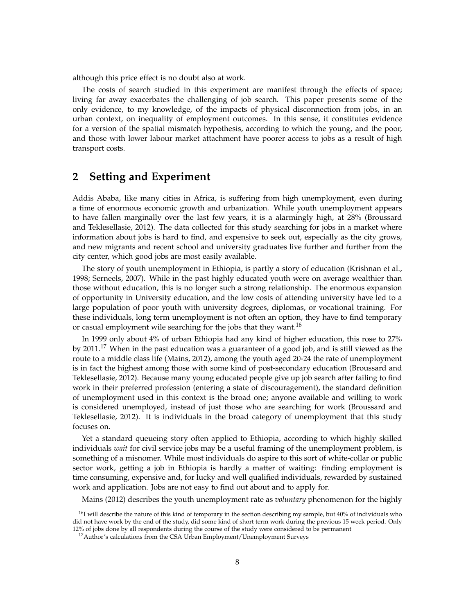although this price effect is no doubt also at work.

The costs of search studied in this experiment are manifest through the effects of space; living far away exacerbates the challenging of job search. This paper presents some of the only evidence, to my knowledge, of the impacts of physical disconnection from jobs, in an urban context, on inequality of employment outcomes. In this sense, it constitutes evidence for a version of the spatial mismatch hypothesis, according to which the young, and the poor, and those with lower labour market attachment have poorer access to jobs as a result of high transport costs.

# **2 Setting and Experiment**

Addis Ababa, like many cities in Africa, is suffering from high unemployment, even during a time of enormous economic growth and urbanization. While youth unemployment appears to have fallen marginally over the last few years, it is a alarmingly high, at 28% (Broussard and Teklesellasie, 2012). The data collected for this study searching for jobs in a market where information about jobs is hard to find, and expensive to seek out, especially as the city grows, and new migrants and recent school and university graduates live further and further from the city center, which good jobs are most easily available.

The story of youth unemployment in Ethiopia, is partly a story of education (Krishnan et al., 1998; Serneels, 2007). While in the past highly educated youth were on average wealthier than those without education, this is no longer such a strong relationship. The enormous expansion of opportunity in University education, and the low costs of attending university have led to a large population of poor youth with university degrees, diplomas, or vocational training. For these individuals, long term unemployment is not often an option, they have to find temporary or casual employment wile searching for the jobs that they want.<sup>16</sup>

In 1999 only about 4% of urban Ethiopia had any kind of higher education, this rose to 27% by 2011.<sup>17</sup> When in the past education was a guaranteer of a good job, and is still viewed as the route to a middle class life (Mains, 2012), among the youth aged 20-24 the rate of unemployment is in fact the highest among those with some kind of post-secondary education (Broussard and Teklesellasie, 2012). Because many young educated people give up job search after failing to find work in their preferred profession (entering a state of discouragement), the standard definition of unemployment used in this context is the broad one; anyone available and willing to work is considered unemployed, instead of just those who are searching for work (Broussard and Teklesellasie, 2012). It is individuals in the broad category of unemployment that this study focuses on.

Yet a standard queueing story often applied to Ethiopia, according to which highly skilled individuals *wait* for civil service jobs may be a useful framing of the unemployment problem, is something of a misnomer. While most individuals do aspire to this sort of white-collar or public sector work, getting a job in Ethiopia is hardly a matter of waiting: finding employment is time consuming, expensive and, for lucky and well qualified individuals, rewarded by sustained work and application. Jobs are not easy to find out about and to apply for.

Mains (2012) describes the youth unemployment rate as *voluntary* phenomenon for the highly

 $16$ I will describe the nature of this kind of temporary in the section describing my sample, but  $40\%$  of individuals who did not have work by the end of the study, did some kind of short term work during the previous 15 week period. Only 12% of jobs done by all respondents during the course of the study were considered to be permanent

<sup>&</sup>lt;sup>17</sup> Author's calculations from the CSA Urban Employment/Unemployment Surveys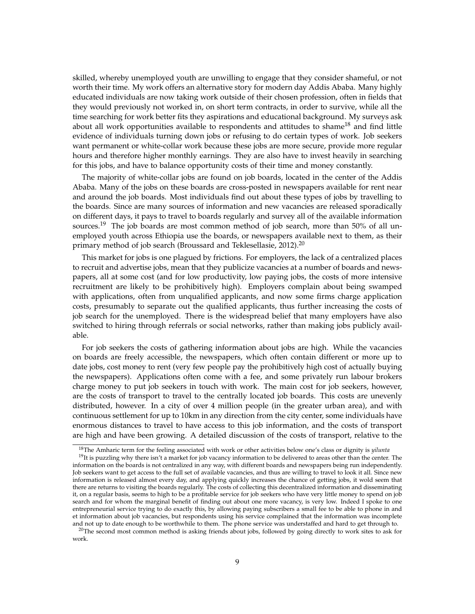skilled, whereby unemployed youth are unwilling to engage that they consider shameful, or not worth their time. My work offers an alternative story for modern day Addis Ababa. Many highly educated individuals are now taking work outside of their chosen profession, often in fields that they would previously not worked in, on short term contracts, in order to survive, while all the time searching for work better fits they aspirations and educational background. My surveys ask about all work opportunities available to respondents and attitudes to shame<sup>18</sup> and find little evidence of individuals turning down jobs or refusing to do certain types of work. Job seekers want permanent or white-collar work because these jobs are more secure, provide more regular hours and therefore higher monthly earnings. They are also have to invest heavily in searching for this jobs, and have to balance opportunity costs of their time and money constantly.

The majority of white-collar jobs are found on job boards, located in the center of the Addis Ababa. Many of the jobs on these boards are cross-posted in newspapers available for rent near and around the job boards. Most individuals find out about these types of jobs by travelling to the boards. Since are many sources of information and new vacancies are released sporadically on different days, it pays to travel to boards regularly and survey all of the available information sources.<sup>19</sup> The job boards are most common method of job search, more than 50% of all unemployed youth across Ethiopia use the boards, or newspapers available next to them, as their primary method of job search (Broussard and Teklesellasie, 2012).<sup>20</sup>

This market for jobs is one plagued by frictions. For employers, the lack of a centralized places to recruit and advertise jobs, mean that they publicize vacancies at a number of boards and newspapers, all at some cost (and for low productivity, low paying jobs, the costs of more intensive recruitment are likely to be prohibitively high). Employers complain about being swamped with applications, often from unqualified applicants, and now some firms charge application costs, presumably to separate out the qualified applicants, thus further increasing the costs of job search for the unemployed. There is the widespread belief that many employers have also switched to hiring through referrals or social networks, rather than making jobs publicly available.

For job seekers the costs of gathering information about jobs are high. While the vacancies on boards are freely accessible, the newspapers, which often contain different or more up to date jobs, cost money to rent (very few people pay the prohibitively high cost of actually buying the newspapers). Applications often come with a fee, and some privately run labour brokers charge money to put job seekers in touch with work. The main cost for job seekers, however, are the costs of transport to travel to the centrally located job boards. This costs are unevenly distributed, however. In a city of over 4 million people (in the greater urban area), and with continuous settlement for up to 10km in any direction from the city center, some individuals have enormous distances to travel to have access to this job information, and the costs of transport are high and have been growing. A detailed discussion of the costs of transport, relative to the

<sup>18</sup>The Amharic term for the feeling associated with work or other activities below one's class or dignity is *yilunta*

 $19$ It is puzzling why there isn't a market for job vacancy information to be delivered to areas other than the center. The information on the boards is not centralized in any way, with different boards and newspapers being run independently. Job seekers want to get access to the full set of available vacancies, and thus are willing to travel to look it all. Since new information is released almost every day, and applying quickly increases the chance of getting jobs, it wold seem that there are returns to visiting the boards regularly. The costs of collecting this decentralized information and disseminating it, on a regular basis, seems to high to be a profitable service for job seekers who have very little money to spend on job search and for whom the marginal benefit of finding out about one more vacancy, is very low. Indeed I spoke to one entrepreneurial service trying to do exactly this, by allowing paying subscribers a small fee to be able to phone in and et information about job vacancies, but respondents using his service complained that the information was incomplete and not up to date enough to be worthwhile to them. The phone service was understaffed and hard to get through to.

<sup>&</sup>lt;sup>20</sup>The second most common method is asking friends about jobs, followed by going directly to work sites to ask for work.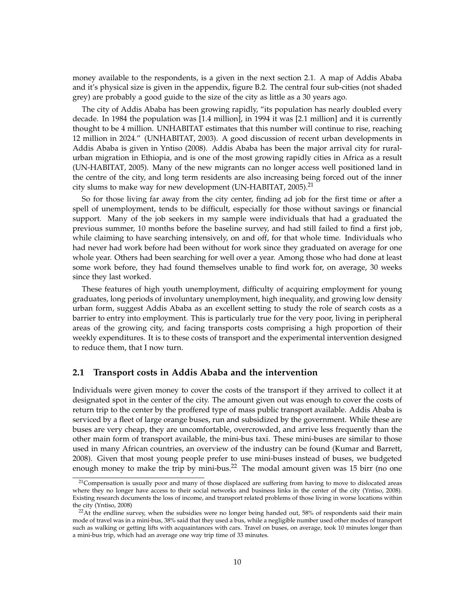money available to the respondents, is a given in the next section 2.1. A map of Addis Ababa and it's physical size is given in the appendix, figure B.2. The central four sub-cities (not shaded grey) are probably a good guide to the size of the city as little as a 30 years ago.

The city of Addis Ababa has been growing rapidly, "its population has nearly doubled every decade. In 1984 the population was [1.4 million], in 1994 it was [2.1 million] and it is currently thought to be 4 million. UNHABITAT estimates that this number will continue to rise, reaching 12 million in 2024." (UNHABITAT, 2003). A good discussion of recent urban developments in Addis Ababa is given in Yntiso (2008). Addis Ababa has been the major arrival city for ruralurban migration in Ethiopia, and is one of the most growing rapidly cities in Africa as a result (UN-HABITAT, 2005). Many of the new migrants can no longer access well positioned land in the centre of the city, and long term residents are also increasing being forced out of the inner city slums to make way for new development (UN-HABITAT, 2005).<sup>21</sup>

So for those living far away from the city center, finding ad job for the first time or after a spell of unemployment, tends to be difficult, especially for those without savings or financial support. Many of the job seekers in my sample were individuals that had a graduated the previous summer, 10 months before the baseline survey, and had still failed to find a first job, while claiming to have searching intensively, on and off, for that whole time. Individuals who had never had work before had been without for work since they graduated on average for one whole year. Others had been searching for well over a year. Among those who had done at least some work before, they had found themselves unable to find work for, on average, 30 weeks since they last worked.

These features of high youth unemployment, difficulty of acquiring employment for young graduates, long periods of involuntary unemployment, high inequality, and growing low density urban form, suggest Addis Ababa as an excellent setting to study the role of search costs as a barrier to entry into employment. This is particularly true for the very poor, living in peripheral areas of the growing city, and facing transports costs comprising a high proportion of their weekly expenditures. It is to these costs of transport and the experimental intervention designed to reduce them, that I now turn.

## **2.1 Transport costs in Addis Ababa and the intervention**

Individuals were given money to cover the costs of the transport if they arrived to collect it at designated spot in the center of the city. The amount given out was enough to cover the costs of return trip to the center by the proffered type of mass public transport available. Addis Ababa is serviced by a fleet of large orange buses, run and subsidized by the government. While these are buses are very cheap, they are uncomfortable, overcrowded, and arrive less frequently than the other main form of transport available, the mini-bus taxi. These mini-buses are similar to those used in many African countries, an overview of the industry can be found (Kumar and Barrett, 2008). Given that most young people prefer to use mini-buses instead of buses, we budgeted enough money to make the trip by mini-bus.<sup>22</sup> The modal amount given was 15 birr (no one

 $21$ Compensation is usually poor and many of those displaced are suffering from having to move to dislocated areas where they no longer have access to their social networks and business links in the center of the city (Yntiso, 2008). Existing research documents the loss of income, and transport related problems of those living in worse locations within the city (Yntiso, 2008)

 $22$ At the endline survey, when the subsidies were no longer being handed out, 58% of respondents said their main mode of travel was in a mini-bus, 38% said that they used a bus, while a negligible number used other modes of transport such as walking or getting lifts with acquaintances with cars. Travel on buses, on average, took 10 minutes longer than a mini-bus trip, which had an average one way trip time of 33 minutes.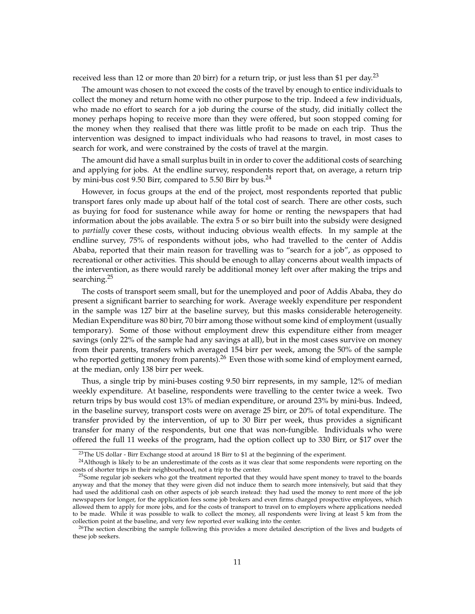received less than 12 or more than 20 birr) for a return trip, or just less than \$1 per day.<sup>23</sup>

The amount was chosen to not exceed the costs of the travel by enough to entice individuals to collect the money and return home with no other purpose to the trip. Indeed a few individuals, who made no effort to search for a job during the course of the study, did initially collect the money perhaps hoping to receive more than they were offered, but soon stopped coming for the money when they realised that there was little profit to be made on each trip. Thus the intervention was designed to impact individuals who had reasons to travel, in most cases to search for work, and were constrained by the costs of travel at the margin.

The amount did have a small surplus built in in order to cover the additional costs of searching and applying for jobs. At the endline survey, respondents report that, on average, a return trip by mini-bus cost 9.50 Birr, compared to 5.50 Birr by bus.<sup>24</sup>

However, in focus groups at the end of the project, most respondents reported that public transport fares only made up about half of the total cost of search. There are other costs, such as buying for food for sustenance while away for home or renting the newspapers that had information about the jobs available. The extra 5 or so birr built into the subsidy were designed to *partially* cover these costs, without inducing obvious wealth effects. In my sample at the endline survey, 75% of respondents without jobs, who had travelled to the center of Addis Ababa, reported that their main reason for travelling was to "search for a job", as opposed to recreational or other activities. This should be enough to allay concerns about wealth impacts of the intervention, as there would rarely be additional money left over after making the trips and searching.<sup>25</sup>

The costs of transport seem small, but for the unemployed and poor of Addis Ababa, they do present a significant barrier to searching for work. Average weekly expenditure per respondent in the sample was 127 birr at the baseline survey, but this masks considerable heterogeneity. Median Expenditure was 80 birr, 70 birr among those without some kind of employment (usually temporary). Some of those without employment drew this expenditure either from meager savings (only 22% of the sample had any savings at all), but in the most cases survive on money from their parents, transfers which averaged 154 birr per week, among the 50% of the sample who reported getting money from parents).<sup>26</sup> Even those with some kind of employment earned, at the median, only 138 birr per week.

Thus, a single trip by mini-buses costing 9.50 birr represents, in my sample, 12% of median weekly expenditure. At baseline, respondents were travelling to the center twice a week. Two return trips by bus would cost 13% of median expenditure, or around 23% by mini-bus. Indeed, in the baseline survey, transport costs were on average 25 birr, or 20% of total expenditure. The transfer provided by the intervention, of up to 30 Birr per week, thus provides a significant transfer for many of the respondents, but one that was non-fungible. Individuals who were offered the full 11 weeks of the program, had the option collect up to 330 Birr, or \$17 over the

<sup>&</sup>lt;sup>23</sup>The US dollar - Birr Exchange stood at around 18 Birr to \$1 at the beginning of the experiment.

 $^{24}$ Although is likely to be an underestimate of the costs as it was clear that some respondents were reporting on the costs of shorter trips in their neighbourhood, not a trip to the center.

<sup>&</sup>lt;sup>25</sup>Some regular job seekers who got the treatment reported that they would have spent money to travel to the boards anyway and that the money that they were given did not induce them to search more intensively, but said that they had used the additional cash on other aspects of job search instead: they had used the money to rent more of the job newspapers for longer, for the application fees some job brokers and even firms charged prospective employees, which allowed them to apply for more jobs, and for the costs of transport to travel on to employers where applications needed to be made. While it was possible to walk to collect the money, all respondents were living at least 5 km from the collection point at the baseline, and very few reported ever walking into the center.

<sup>&</sup>lt;sup>26</sup>The section describing the sample following this provides a more detailed description of the lives and budgets of these job seekers.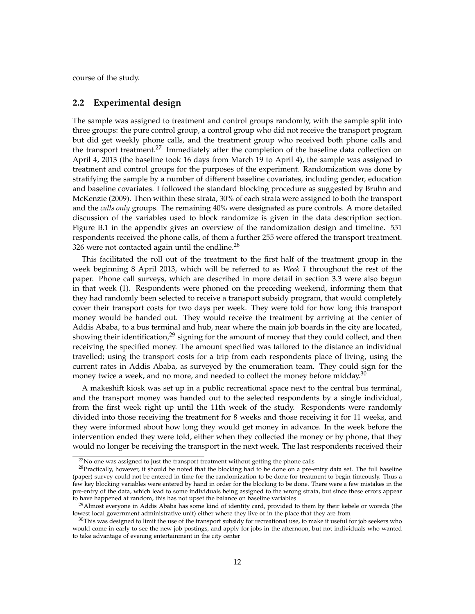course of the study.

#### **2.2 Experimental design**

The sample was assigned to treatment and control groups randomly, with the sample split into three groups: the pure control group, a control group who did not receive the transport program but did get weekly phone calls, and the treatment group who received both phone calls and the transport treatment.<sup>27</sup> Immediately after the completion of the baseline data collection on April 4, 2013 (the baseline took 16 days from March 19 to April 4), the sample was assigned to treatment and control groups for the purposes of the experiment. Randomization was done by stratifying the sample by a number of different baseline covariates, including gender, education and baseline covariates. I followed the standard blocking procedure as suggested by Bruhn and McKenzie (2009). Then within these strata, 30% of each strata were assigned to both the transport and the *calls only* groups. The remaining 40% were designated as pure controls. A more detailed discussion of the variables used to block randomize is given in the data description section. Figure B.1 in the appendix gives an overview of the randomization design and timeline. 551 respondents received the phone calls, of them a further 255 were offered the transport treatment. 326 were not contacted again until the endline. $^{28}$ 

This facilitated the roll out of the treatment to the first half of the treatment group in the week beginning 8 April 2013, which will be referred to as *Week 1* throughout the rest of the paper. Phone call surveys, which are described in more detail in section 3.3 were also begun in that week (1). Respondents were phoned on the preceding weekend, informing them that they had randomly been selected to receive a transport subsidy program, that would completely cover their transport costs for two days per week. They were told for how long this transport money would be handed out. They would receive the treatment by arriving at the center of Addis Ababa, to a bus terminal and hub, near where the main job boards in the city are located, showing their identification, $2^9$  signing for the amount of money that they could collect, and then receiving the specified money. The amount specified was tailored to the distance an individual travelled; using the transport costs for a trip from each respondents place of living, using the current rates in Addis Ababa, as surveyed by the enumeration team. They could sign for the money twice a week, and no more, and needed to collect the money before midday.<sup>30</sup>

A makeshift kiosk was set up in a public recreational space next to the central bus terminal, and the transport money was handed out to the selected respondents by a single individual, from the first week right up until the 11th week of the study. Respondents were randomly divided into those receiving the treatment for 8 weeks and those receiving it for 11 weeks, and they were informed about how long they would get money in advance. In the week before the intervention ended they were told, either when they collected the money or by phone, that they would no longer be receiving the transport in the next week. The last respondents received their

 $27$ No one was assigned to just the transport treatment without getting the phone calls

 $28$ Practically, however, it should be noted that the blocking had to be done on a pre-entry data set. The full baseline (paper) survey could not be entered in time for the randomization to be done for treatment to begin timeously. Thus a few key blocking variables were entered by hand in order for the blocking to be done. There were a few mistakes in the pre-entry of the data, which lead to some individuals being assigned to the wrong strata, but since these errors appear to have happened at random, this has not upset the balance on baseline variables

<sup>&</sup>lt;sup>29</sup>Almost everyone in Addis Ababa has some kind of identity card, provided to them by their kebele or woreda (the lowest local government administrative unit) either where they live or in the place that they are from

 $30$ This was designed to limit the use of the transport subsidy for recreational use, to make it useful for job seekers who would come in early to see the new job postings, and apply for jobs in the afternoon, but not individuals who wanted to take advantage of evening entertainment in the city center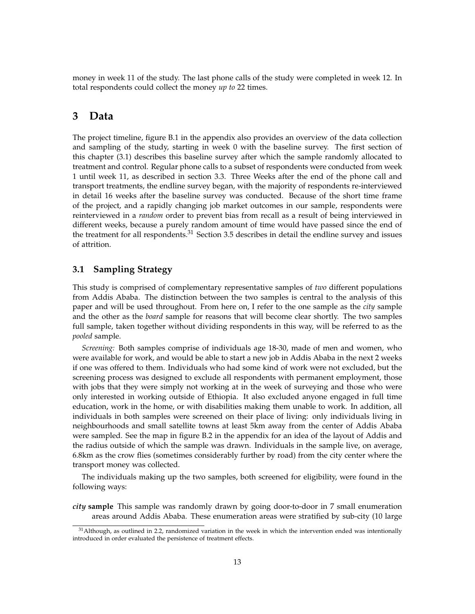money in week 11 of the study. The last phone calls of the study were completed in week 12. In total respondents could collect the money *up to* 22 times.

# **3 Data**

The project timeline, figure B.1 in the appendix also provides an overview of the data collection and sampling of the study, starting in week 0 with the baseline survey. The first section of this chapter (3.1) describes this baseline survey after which the sample randomly allocated to treatment and control. Regular phone calls to a subset of respondents were conducted from week 1 until week 11, as described in section 3.3. Three Weeks after the end of the phone call and transport treatments, the endline survey began, with the majority of respondents re-interviewed in detail 16 weeks after the baseline survey was conducted. Because of the short time frame of the project, and a rapidly changing job market outcomes in our sample, respondents were reinterviewed in a *random* order to prevent bias from recall as a result of being interviewed in different weeks, because a purely random amount of time would have passed since the end of the treatment for all respondents.<sup>31</sup> Section 3.5 describes in detail the endline survey and issues of attrition.

## **3.1 Sampling Strategy**

This study is comprised of complementary representative samples of *two* different populations from Addis Ababa. The distinction between the two samples is central to the analysis of this paper and will be used throughout. From here on, I refer to the one sample as the *city* sample and the other as the *board* sample for reasons that will become clear shortly. The two samples full sample, taken together without dividing respondents in this way, will be referred to as the *pooled* sample.

*Screening:* Both samples comprise of individuals age 18-30, made of men and women, who were available for work, and would be able to start a new job in Addis Ababa in the next 2 weeks if one was offered to them. Individuals who had some kind of work were not excluded, but the screening process was designed to exclude all respondents with permanent employment, those with jobs that they were simply not working at in the week of surveying and those who were only interested in working outside of Ethiopia. It also excluded anyone engaged in full time education, work in the home, or with disabilities making them unable to work. In addition, all individuals in both samples were screened on their place of living: only individuals living in neighbourhoods and small satellite towns at least 5km away from the center of Addis Ababa were sampled. See the map in figure B.2 in the appendix for an idea of the layout of Addis and the radius outside of which the sample was drawn. Individuals in the sample live, on average, 6.8km as the crow flies (sometimes considerably further by road) from the city center where the transport money was collected.

The individuals making up the two samples, both screened for eligibility, were found in the following ways:

*city* **sample** This sample was randomly drawn by going door-to-door in 7 small enumeration areas around Addis Ababa. These enumeration areas were stratified by sub-city (10 large

 $31$ Although, as outlined in 2.2, randomized variation in the week in which the intervention ended was intentionally introduced in order evaluated the persistence of treatment effects.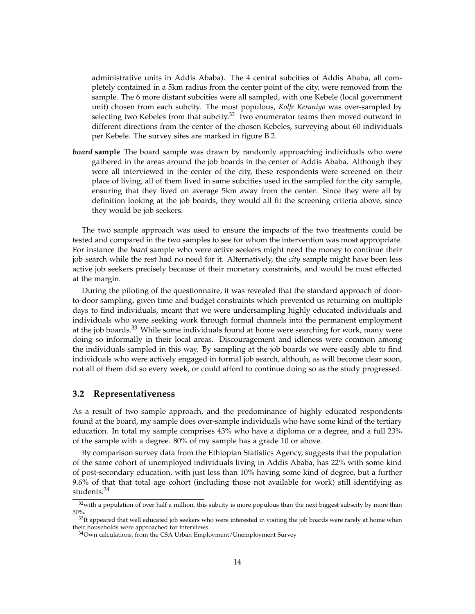administrative units in Addis Ababa). The 4 central subcities of Addis Ababa, all completely contained in a 5km radius from the center point of the city, were removed from the sample. The 6 more distant subcities were all sampled, with one Kebele (local government unit) chosen from each subcity. The most populous, *Kolfe Keraniyo* was over-sampled by selecting two Kebeles from that subcity.<sup>32</sup> Two enumerator teams then moved outward in different directions from the center of the chosen Kebeles, surveying about 60 individuals per Kebele. The survey sites are marked in figure B.2.

*board* **sample** The board sample was drawn by randomly approaching individuals who were gathered in the areas around the job boards in the center of Addis Ababa. Although they were all interviewed in the center of the city, these respondents were screened on their place of living, all of them lived in same subcities used in the sampled for the city sample, ensuring that they lived on average 5km away from the center. Since they were all by definition looking at the job boards, they would all fit the screening criteria above, since they would be job seekers.

The two sample approach was used to ensure the impacts of the two treatments could be tested and compared in the two samples to see for whom the intervention was most appropriate. For instance the *board* sample who were active seekers might need the money to continue their job search while the rest had no need for it. Alternatively, the *city* sample might have been less active job seekers precisely because of their monetary constraints, and would be most effected at the margin.

During the piloting of the questionnaire, it was revealed that the standard approach of doorto-door sampling, given time and budget constraints which prevented us returning on multiple days to find individuals, meant that we were undersampling highly educated individuals and individuals who were seeking work through formal channels into the permanent employment at the job boards.<sup>33</sup> While some individuals found at home were searching for work, many were doing so informally in their local areas. Discouragement and idleness were common among the individuals sampled in this way. By sampling at the job boards we were easily able to find individuals who were actively engaged in formal job search, althouh, as will become clear soon, not all of them did so every week, or could afford to continue doing so as the study progressed.

#### **3.2 Representativeness**

As a result of two sample approach, and the predominance of highly educated respondents found at the board, my sample does over-sample individuals who have some kind of the tertiary education. In total my sample comprises 43% who have a diploma or a degree, and a full 23% of the sample with a degree. 80% of my sample has a grade 10 or above.

By comparison survey data from the Ethiopian Statistics Agency, suggests that the population of the same cohort of unemployed individuals living in Addis Ababa, has 22% with some kind of post-secondary education, with just less than 10% having some kind of degree, but a further 9.6% of that that total age cohort (including those not available for work) still identifying as students.<sup>34</sup>

 $32$  with a population of over half a million, this subcity is more populous than the next biggest subscity by more than 50%.

 $33$ It appeared that well educated job seekers who were interested in visiting the job boards were rarely at home when their households were approached for interviews.

<sup>&</sup>lt;sup>34</sup>Own calculations, from the CSA Urban Employment/Unemployment Survey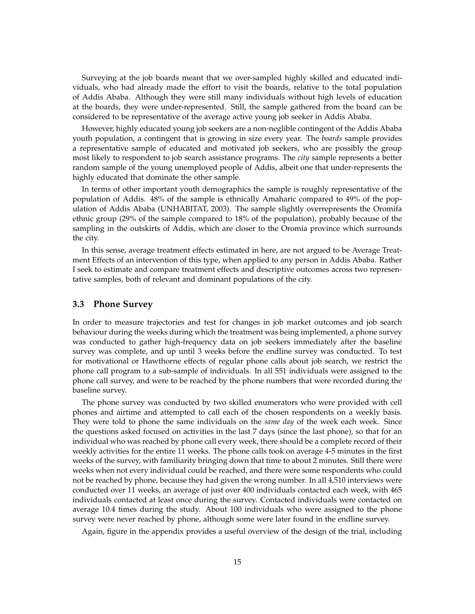Surveying at the job boards meant that we over-sampled highly skilled and educated individuals, who had already made the effort to visit the boards, relative to the total population of Addis Ababa. Although they were still many individuals without high levels of education at the boards, they were under-represented. Still, the sample gathered from the board can be considered to be representative of the average active young job seeker in Addis Ababa.

However, highly educated young job seekers are a non-neglible contingent of the Addis Ababa youth population, a contingent that is growing in size every year. The *boards* sample provides a representative sample of educated and motivated job seekers, who are possibly the group most likely to respondent to job search assistance programs. The *city* sample represents a better random sample of the young unemployed people of Addis, albeit one that under-represents the highly educated that dominate the other sample.

In terms of other important youth demographics the sample is roughly representative of the population of Addis. 48% of the sample is ethnically Amaharic compared to 49% of the population of Addis Ababa (UNHABITAT, 2003). The sample slightly overrepresents the Oromifa ethnic group (29% of the sample compared to 18% of the population), probably because of the sampling in the outskirts of Addis, which are closer to the Oromia province which surrounds the city.

In this sense, average treatment effects estimated in here, are not argued to be Average Treatment Effects of an intervention of this type, when applied to any person in Addis Ababa. Rather I seek to estimate and compare treatment effects and descriptive outcomes across two representative samples, both of relevant and dominant populations of the city.

## **3.3 Phone Survey**

In order to measure trajectories and test for changes in job market outcomes and job search behaviour during the weeks during which the treatment was being implemented, a phone survey was conducted to gather high-frequency data on job seekers immediately after the baseline survey was complete, and up until 3 weeks before the endline survey was conducted. To test for motivational or Hawthorne effects of regular phone calls about job search, we restrict the phone call program to a sub-sample of individuals. In all 551 individuals were assigned to the phone call survey, and were to be reached by the phone numbers that were recorded during the baseline survey.

The phone survey was conducted by two skilled enumerators who were provided with cell phones and airtime and attempted to call each of the chosen respondents on a weekly basis. They were told to phone the same individuals on the *same day* of the week each week. Since the questions asked focused on activities in the last 7 days (since the last phone), so that for an individual who was reached by phone call every week, there should be a complete record of their weekly activities for the entire 11 weeks. The phone calls took on average 4-5 minutes in the first weeks of the survey, with familiarity bringing down that time to about 2 minutes. Still there were weeks when not every individual could be reached, and there were some respondents who could not be reached by phone, because they had given the wrong number. In all 4,510 interviews were conducted over 11 weeks, an average of just over 400 individuals contacted each week, with 465 individuals contacted at least once during the survey. Contacted individuals were contacted on average 10.4 times during the study. About 100 individuals who were assigned to the phone survey were never reached by phone, although some were later found in the endline survey.

Again, figure in the appendix provides a useful overview of the design of the trial, including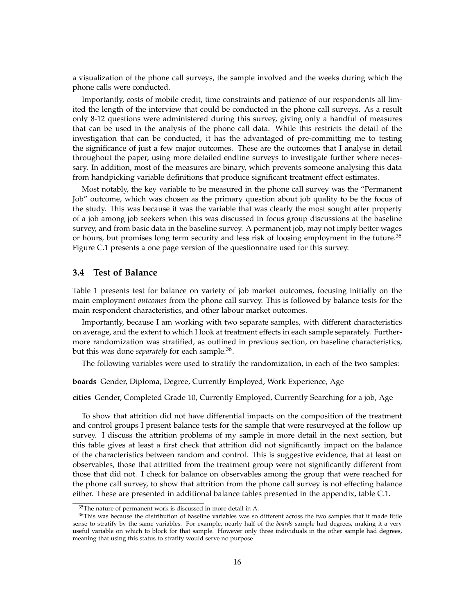a visualization of the phone call surveys, the sample involved and the weeks during which the phone calls were conducted.

Importantly, costs of mobile credit, time constraints and patience of our respondents all limited the length of the interview that could be conducted in the phone call surveys. As a result only 8-12 questions were administered during this survey, giving only a handful of measures that can be used in the analysis of the phone call data. While this restricts the detail of the investigation that can be conducted, it has the advantaged of pre-committing me to testing the significance of just a few major outcomes. These are the outcomes that I analyse in detail throughout the paper, using more detailed endline surveys to investigate further where necessary. In addition, most of the measures are binary, which prevents someone analysing this data from handpicking variable definitions that produce significant treatment effect estimates.

Most notably, the key variable to be measured in the phone call survey was the "Permanent Job" outcome, which was chosen as the primary question about job quality to be the focus of the study. This was because it was the variable that was clearly the most sought after property of a job among job seekers when this was discussed in focus group discussions at the baseline survey, and from basic data in the baseline survey. A permanent job, may not imply better wages or hours, but promises long term security and less risk of loosing employment in the future.<sup>35</sup> Figure C.1 presents a one page version of the questionnaire used for this survey.

## **3.4 Test of Balance**

Table 1 presents test for balance on variety of job market outcomes, focusing initially on the main employment *outcomes* from the phone call survey. This is followed by balance tests for the main respondent characteristics, and other labour market outcomes.

Importantly, because I am working with two separate samples, with different characteristics on average, and the extent to which I look at treatment effects in each sample separately. Furthermore randomization was stratified, as outlined in previous section, on baseline characteristics, but this was done *separately* for each sample.<sup>36</sup>.

The following variables were used to stratify the randomization, in each of the two samples:

**boards** Gender, Diploma, Degree, Currently Employed, Work Experience, Age

**cities** Gender, Completed Grade 10, Currently Employed, Currently Searching for a job, Age

To show that attrition did not have differential impacts on the composition of the treatment and control groups I present balance tests for the sample that were resurveyed at the follow up survey. I discuss the attrition problems of my sample in more detail in the next section, but this table gives at least a first check that attrition did not significantly impact on the balance of the characteristics between random and control. This is suggestive evidence, that at least on observables, those that attritted from the treatment group were not significantly different from those that did not. I check for balance on observables among the group that were reached for the phone call survey, to show that attrition from the phone call survey is not effecting balance either. These are presented in additional balance tables presented in the appendix, table C.1.

<sup>&</sup>lt;sup>35</sup>The nature of permanent work is discussed in more detail in A.

<sup>&</sup>lt;sup>36</sup>This was because the distribution of baseline variables was so different across the two samples that it made little sense to stratify by the same variables. For example, nearly half of the *boards* sample had degrees, making it a very useful variable on which to block for that sample. However only three individuals in the other sample had degrees, meaning that using this status to stratify would serve no purpose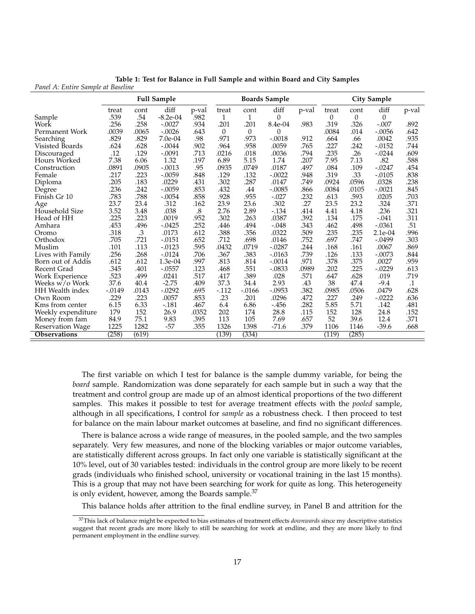|                         |           |       | <b>Full Sample</b> |       |          |          | <b>Boards Sample</b> |       | <b>City Sample</b> |          |           |           |
|-------------------------|-----------|-------|--------------------|-------|----------|----------|----------------------|-------|--------------------|----------|-----------|-----------|
|                         | treat     | cont  | diff               | p-val | treat    | cont     | diff                 | p-val | treat              | cont     | diff      | p-val     |
| Sample                  | .539      | .54   | $-8.2e-04$         | .982  | 1        | 1        | $\boldsymbol{0}$     |       | $\theta$           | $\theta$ | $\theta$  |           |
| Work                    | .256      | .258  | $-.0027$           | .934  | .201     | .201     | 8.4e-04              | .983  | .319               | .326     | $-.007$   | .892      |
| Permanent Work          | .0039     | .0065 | $-.0026$           | .643  | $\theta$ | $\theta$ | $\Omega$             |       | .0084              | .014     | $-.0056$  | .642      |
| Searching               | .829      | .829  | 7.0e-04            | .98   | .971     | .973     | $-.0018$             | .912  | .664               | .66      | .0042     | .935      |
| Visisted Boards         | .624      | .628  | $-.0044$           | .902  | .964     | .958     | .0059                | .765  | .227               | .242     | $-0.0152$ | .744      |
| Discouraged             | .12       | .129  | $-.0091$           | .713  | .0216    | .018     | .0036                | .794  | .235               | .26      | $-.0244$  | .609      |
| Hours Worked            | 7.38      | 6.06  | 1.32               | .197  | 6.89     | 5.15     | 1.74                 | .207  | 7.95               | 7.13     | .82       | .588      |
| Construction            | .0891     | .0905 | $-.0013$           | .95   | .0935    | .0749    | .0187                | .497  | .084               | .109     | $-.0247$  | .454      |
| Female                  | .217      | .223  | $-.0059$           | .848  | .129     | .132     | $-.0022$             | .948  | .319               | .33      | $-.0105$  | .838      |
| Diploma                 | .205      | .183  | .0229              | .431  | .302     | .287     | .0147                | .749  | .0924              | .0596    | .0328     | .238      |
| Degree                  | .236      | .242  | $-.0059$           | .853  | .432     | .44      | $-.0085$             | .866  | .0084              | .0105    | $-.0021$  | .845      |
| Finish Gr 10            | .783      | .788  | $-.0054$           | .858  | .928     | .955     | $-.027$              | .232  | .613               | .593     | .0205     | .703      |
| Age                     | 23.7      | 23.4  | .312               | .162  | 23.9     | 23.6     | .302                 | .27   | 23.5               | 23.2     | .324      | .371      |
| Household Size          | 3.52      | 3.48  | .038               | .8    | 2.76     | 2.89     | $-.134$              | .414  | 4.41               | 4.18     | .236      | .321      |
| Head of HH              | .225      | .223  | .0019              | .952  | .302     | .263     | .0387                | .392  | .134               | .175     | $-.041$   | .311      |
| Amhara                  | .453      | .496  | $-.0425$           | .252  | .446     | .494     | $-.048$              | .343  | .462               | .498     | $-.0361$  | .51       |
| Oromo                   | .318      | .3    | .0173              | .612  | .388     | .356     | .0322                | .509  | .235               | .235     | 2.1e-04   | .996      |
| Orthodox                | .705      | .721  | $-.0151$           | .652  | .712     | .698     | .0146                | .752  | .697               | .747     | $-.0499$  | .303      |
| Muslim                  | .101      | .113  | $-0.0123$          | .595  | .0432    | .0719    | $-.0287$             | .244  | .168               | .161     | .0067     | .869      |
| Lives with Family       | .256      | .268  | $-0.0124$          | .706  | .367     | .383     | $-.0163$             | .739  | .126               | .133     | $-.0073$  | .844      |
| Born out of Addis       | .612      | .612  | $1.3e-04$          | .997  | .813     | .814     | $-.0014$             | .971  | .378               | .375     | .0027     | .959      |
| Recent Grad             | .345      | .401  | $-.0557$           | .123  | .468     | .551     | $-0.0833$            | .0989 | .202               | .225     | $-.0229$  | .613      |
| Work Experience         | .523      | .499  | .0241              | .517  | .417     | .389     | .028                 | .571  | .647               | .628     | .019      | .719      |
| Weeks w/o Work          | 37.6      | 40.4  | $-2.75$            | .409  | 37.3     | 34.4     | 2.93                 | .43   | 38                 | 47.4     | $-9.4$    | $\cdot$ 1 |
| HH Wealth index         | $-0.0149$ | .0143 | $-.0292$           | .695  | $-.112$  | $-.0166$ | $-.0953$             | .382  | .0985              | .0506    | .0479     | .628      |
| Own Room                | .229      | .223  | .0057              | .853  | .23      | .201     | .0296                | .472  | .227               | .249     | $-.0222$  | .636      |
| Kms from center         | 6.15      | 6.33  | $-.181$            | .467  | 6.4      | 6.86     | $-456$               | .282  | 5.85               | 5.71     | .142      | .481      |
| Weekly expenditure      | 179       | 152   | 26.9               | .0352 | 202      | 174      | 28.8                 | .115  | 152                | 128      | 24.8      | .152      |
| Money from fam          | 84.9      | 75.1  | 9.83               | .395  | 113      | 105      | 7.69                 | .657  | 52                 | 39.6     | 12.4      | .371      |
| <b>Reservation Wage</b> | 1225      | 1282  | $-57$              | .355  | 1326     | 1398     | $-71.6$              | .379  | 1106               | 1146     | $-39.6$   | .668      |
| <b>Observations</b>     | (258)     | (619) |                    |       | (139)    | (334)    |                      |       | (119)              | (285)    |           |           |

**Table 1: Test for Balance in Full Sample and within Board and City Samples** *Panel A: Entire Sample at Baseline*

The first variable on which I test for balance is the sample dummy variable, for being the *board* sample. Randomization was done separately for each sample but in such a way that the treatment and control group are made up of an almost identical proportions of the two different samples. This makes it possible to test for average treatment effects with the *pooled* sample, although in all specifications, I control for *sample* as a robustness check. I then proceed to test for balance on the main labour market outcomes at baseline, and find no significant differences.

There is balance across a wide range of measures, in the pooled sample, and the two samples separately. Very few measures, and none of the blocking variables or major outcome variables, are statistically different across groups. In fact only one variable is statistically significant at the 10% level, out of 30 variables tested: individuals in the control group are more likely to be recent grads (individuals who finished school, university or vocational training in the last 15 months). This is a group that may not have been searching for work for quite as long. This heterogeneity is only evident, however, among the Boards sample.<sup>37</sup>

This balance holds after attrition to the final endline survey, in Panel B and attrition for the

<sup>37</sup>This lack of balance might be expected to bias estimates of treatment effects *downwards* since my descriptive statistics suggest that recent grads are more likely to still be searching for work at endline, and they are more likely to find permanent employment in the endline survey.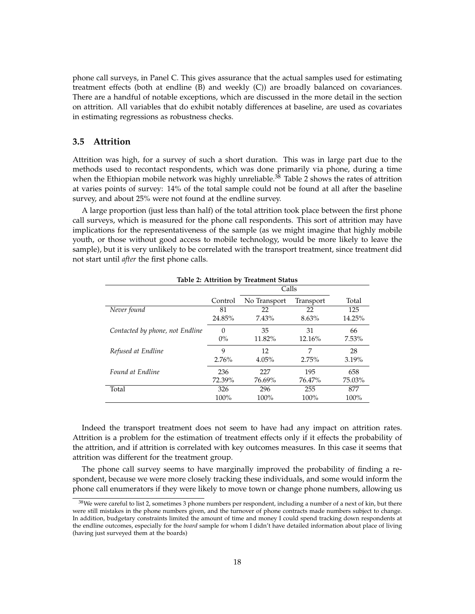phone call surveys, in Panel C. This gives assurance that the actual samples used for estimating treatment effects (both at endline (B) and weekly (C)) are broadly balanced on covariances. There are a handful of notable exceptions, which are discussed in the more detail in the section on attrition. All variables that do exhibit notably differences at baseline, are used as covariates in estimating regressions as robustness checks.

## **3.5 Attrition**

Attrition was high, for a survey of such a short duration. This was in large part due to the methods used to recontact respondents, which was done primarily via phone, during a time when the Ethiopian mobile network was highly unreliable.<sup>38</sup> Table 2 shows the rates of attrition at varies points of survey: 14% of the total sample could not be found at all after the baseline survey, and about 25% were not found at the endline survey.

A large proportion (just less than half) of the total attrition took place between the first phone call surveys, which is measured for the phone call respondents. This sort of attrition may have implications for the representativeness of the sample (as we might imagine that highly mobile youth, or those without good access to mobile technology, would be more likely to leave the sample), but it is very unlikely to be correlated with the transport treatment, since treatment did not start until *after* the first phone calls.

|                                 | Table 2: Attrition by Treatment Status |              |           |        |  |  |  |  |
|---------------------------------|----------------------------------------|--------------|-----------|--------|--|--|--|--|
|                                 |                                        | Calls        |           |        |  |  |  |  |
|                                 | Control                                | No Transport | Transport | Total  |  |  |  |  |
| Never found                     | 81                                     | 22           | 22        | 125    |  |  |  |  |
|                                 | 24.85%                                 | 7.43%        | 8.63%     | 14.25% |  |  |  |  |
| Contacted by phone, not Endline | 0                                      | 35           | 31        | 66     |  |  |  |  |
|                                 | $0\%$                                  | 11.82%       | 12.16%    | 7.53%  |  |  |  |  |
| Refused at Endline              | 9                                      | 12           | 7         | 28     |  |  |  |  |
|                                 | 2.76%                                  | 4.05%        | 2.75%     | 3.19%  |  |  |  |  |
| Found at Endline                | 236                                    | 227          | 195       | 658    |  |  |  |  |
|                                 | 72.39%                                 | 76.69%       | 76.47%    | 75.03% |  |  |  |  |
| Total                           | 326                                    | 296          | 255       | 877    |  |  |  |  |
|                                 | 100%                                   | 100%         | 100%      | 100%   |  |  |  |  |

**Table 2: Attrition by Treatment Status**

Indeed the transport treatment does not seem to have had any impact on attrition rates. Attrition is a problem for the estimation of treatment effects only if it effects the probability of the attrition, and if attrition is correlated with key outcomes measures. In this case it seems that attrition was different for the treatment group.

The phone call survey seems to have marginally improved the probability of finding a respondent, because we were more closely tracking these individuals, and some would inform the phone call enumerators if they were likely to move town or change phone numbers, allowing us

<sup>&</sup>lt;sup>38</sup>We were careful to list 2, sometimes 3 phone numbers per respondent, including a number of a next of kin, but there were still mistakes in the phone numbers given, and the turnover of phone contracts made numbers subject to change. In addition, budgetary constraints limited the amount of time and money I could spend tracking down respondents at the endline outcomes, especially for the *board* sample for whom I didn't have detailed information about place of living (having just surveyed them at the boards)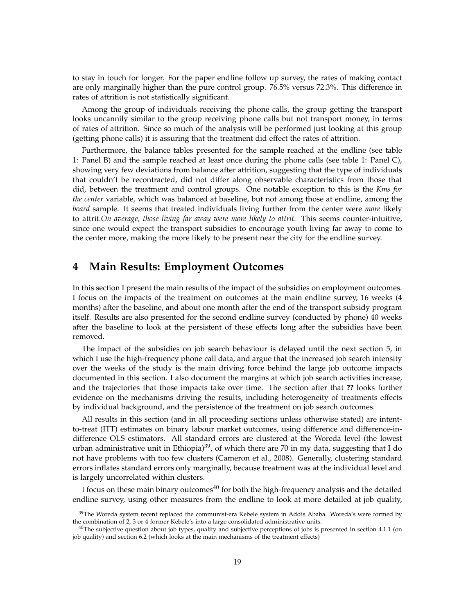to stay in touch for longer. For the paper endline follow up survey, the rates of making contact are only marginally higher than the pure control group. 76.5% versus 72.3%. This difference in rates of attrition is not statistically significant.

Among the group of individuals receiving the phone calls, the group getting the transport looks uncannily similar to the group receiving phone calls but not transport money, in terms of rates of attrition. Since so much of the analysis will be performed just looking at this group (getting phone calls) it is assuring that the treatment did effect the rates of attrition.

Furthermore, the balance tables presented for the sample reached at the endline (see table 1: Panel B) and the sample reached at least once during the phone calls (see table 1: Panel C), showing very few deviations from balance after attrition, suggesting that the type of individuals that couldn't be recontracted, did not differ along observable characteristics from those that did, between the treatment and control groups. One notable exception to this is the *Kms for the center* variable, which was balanced at baseline, but not among those at endline, among the *board* sample. It seems that treated individuals living further from the center were *more* likely to attrit.*On average, those living far away were more likely to attrit.* This seems counter-intuitive, since one would expect the transport subsidies to encourage youth living far away to come to the center more, making the more likely to be present near the city for the endline survey.

# **4 Main Results: Employment Outcomes**

In this section I present the main results of the impact of the subsidies on employment outcomes. I focus on the impacts of the treatment on outcomes at the main endline survey, 16 weeks (4 months) after the baseline, and about one month after the end of the transport subsidy program itself. Results are also presented for the second endline survey (conducted by phone) 40 weeks after the baseline to look at the persistent of these effects long after the subsidies have been removed.

The impact of the subsidies on job search behaviour is delayed until the next section 5, in which I use the high-frequency phone call data, and argue that the increased job search intensity over the weeks of the study is the main driving force behind the large job outcome impacts documented in this section. I also document the margins at which job search activities increase, and the trajectories that those impacts take over time. The section after that **??** looks further evidence on the mechanisms driving the results, including heterogeneity of treatments effects by individual background, and the persistence of the treatment on job search outcomes.

All results in this section (and in all proceeding sections unless otherwise stated) are intentto-treat (ITT) estimates on binary labour market outcomes, using difference and difference-indifference OLS estimators. All standard errors are clustered at the Woreda level (the lowest urban administrative unit in Ethiopia)<sup>39</sup>, of which there are 70 in my data, suggesting that I do not have problems with too few clusters (Cameron et al., 2008). Generally, clustering standard errors inflates standard errors only marginally, because treatment was at the individual level and is largely uncorrelated within clusters.

I focus on these main binary outcomes $40$  for both the high-frequency analysis and the detailed endline survey, using other measures from the endline to look at more detailed at job quality,

<sup>&</sup>lt;sup>39</sup>The Woreda system recent replaced the communist-era Kebele system in Addis Ababa. Woreda's were formed by the combination of 2, 3 or 4 former Kebele's into a large consolidated administrative units.

 $40$ The subjective question about job types, quality and subjective perceptions of jobs is presented in section  $4.1.1$  (on job quality) and section 6.2 (which looks at the main mechanisms of the treatment effects)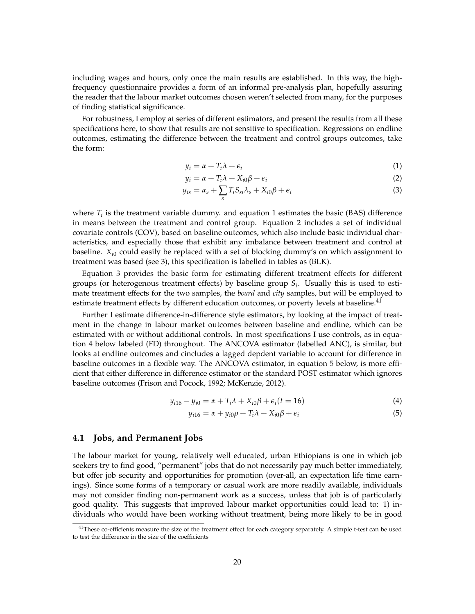including wages and hours, only once the main results are established. In this way, the highfrequency questionnaire provides a form of an informal pre-analysis plan, hopefully assuring the reader that the labour market outcomes chosen weren't selected from many, for the purposes of finding statistical significance.

For robustness, I employ at series of different estimators, and present the results from all these specifications here, to show that results are not sensitive to specification. Regressions on endline outcomes, estimating the difference between the treatment and control groups outcomes, take the form:

$$
y_i = \alpha + T_i \lambda + \epsilon_i \tag{1}
$$

$$
y_i = \alpha + T_i \lambda + X_{i0} \beta + \epsilon_i \tag{2}
$$

$$
y_{is} = \alpha_s + \sum_s T_i S_{si} \lambda_s + X_{i0} \beta + \epsilon_i
$$
\n(3)

where  $T_i$  is the treatment variable dummy. and equation 1 estimates the basic (BAS) difference in means between the treatment and control group. Equation 2 includes a set of individual covariate controls (COV), based on baseline outcomes, which also include basic individual characteristics, and especially those that exhibit any imbalance between treatment and control at baseline.  $X_{i0}$  could easily be replaced with a set of blocking dummy's on which assignment to treatment was based (see 3), this specification is labelled in tables as (BLK).

Equation 3 provides the basic form for estimating different treatment effects for different groups (or heterogenous treatment effects) by baseline group *S<sup>i</sup>* . Usually this is used to estimate treatment effects for the two samples, the *board* and *city* samples, but will be employed to estimate treatment effects by different education outcomes, or poverty levels at baseline.<sup>41</sup>

Further I estimate difference-in-difference style estimators, by looking at the impact of treatment in the change in labour market outcomes between baseline and endline, which can be estimated with or without additional controls. In most specifications I use controls, as in equation 4 below labeled (FD) throughout. The ANCOVA estimator (labelled ANC), is similar, but looks at endline outcomes and cincludes a lagged depdent variable to account for difference in baseline outcomes in a flexible way. The ANCOVA estimator, in equation 5 below, is more efficient that either difference in difference estimator or the standard POST estimator which ignores baseline outcomes (Frison and Pocock, 1992; McKenzie, 2012).

$$
y_{i16} - y_{i0} = \alpha + T_i \lambda + X_{i0} \beta + \epsilon_i (t = 16)
$$
\n
$$
\tag{4}
$$

$$
y_{i16} = \alpha + y_{i0}\rho + T_i\lambda + X_{i0}\beta + \epsilon_i
$$
\n<sup>(5)</sup>

## **4.1 Jobs, and Permanent Jobs**

The labour market for young, relatively well educated, urban Ethiopians is one in which job seekers try to find good, "permanent" jobs that do not necessarily pay much better immediately, but offer job security and opportunities for promotion (over-all, an expectation life time earnings). Since some forms of a temporary or casual work are more readily available, individuals may not consider finding non-permanent work as a success, unless that job is of particularly good quality. This suggests that improved labour market opportunities could lead to: 1) individuals who would have been working without treatment, being more likely to be in good

<sup>&</sup>lt;sup>41</sup>These co-efficients measure the size of the treatment effect for each category separately. A simple t-test can be used to test the difference in the size of the coefficients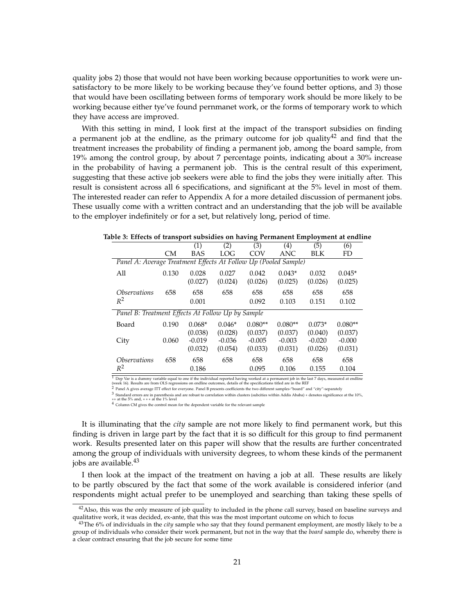quality jobs 2) those that would not have been working because opportunities to work were unsatisfactory to be more likely to be working because they've found better options, and 3) those that would have been oscillating between forms of temporary work should be more likely to be working because either tye've found pernmanet work, or the forms of temporary work to which they have access are improved.

With this setting in mind, I look first at the impact of the transport subsidies on finding a permanent job at the endline, as the primary outcome for job quality<sup>42</sup> and find that the treatment increases the probability of finding a permanent job, among the board sample, from 19% among the control group, by about 7 percentage points, indicating about a 30% increase in the probability of having a permanent job. This is the central result of this experiment, suggesting that these active job seekers were able to find the jobs they were initially after. This result is consistent across all 6 specifications, and significant at the 5% level in most of them. The interested reader can refer to Appendix A for a more detailed discussion of permanent jobs. These usually come with a written contract and an understanding that the job will be available to the employer indefinitely or for a set, but relatively long, period of time.

|                                                                 |           | (1)        | (2)        | (3)       | (4)       | $\overline{(5)}$ | (6)       |
|-----------------------------------------------------------------|-----------|------------|------------|-----------|-----------|------------------|-----------|
|                                                                 | <b>CM</b> | <b>BAS</b> | <b>LOG</b> | COV       | ANC       | <b>BLK</b>       | FD        |
| Panel A: Average Treatment Effects At Follow Up (Pooled Sample) |           |            |            |           |           |                  |           |
| All                                                             | 0.130     | 0.028      | 0.027      | 0.042     | $0.043*$  | 0.032            | $0.045*$  |
|                                                                 |           | (0.027)    | (0.024)    | (0.026)   | (0.025)   | (0.026)          | (0.025)   |
| <i><b>Observations</b></i>                                      | 658       | 658        | 658        | 658       | 658       | 658              | 658       |
| $R^2$                                                           |           | 0.001      |            | 0.092     | 0.103     | 0.151            | 0.102     |
| Panel B: Treatment Effects At Follow Up by Sample               |           |            |            |           |           |                  |           |
| Board                                                           | 0.190     | $0.068*$   | $0.046*$   | $0.080**$ | $0.080**$ | $0.073*$         | $0.080**$ |
|                                                                 |           | (0.038)    | (0.028)    | (0.037)   | (0.037)   | (0.040)          | (0.037)   |
| City                                                            | 0.060     | $-0.019$   | $-0.036$   | $-0.005$  | $-0.003$  | $-0.020$         | $-0.000$  |
|                                                                 |           | (0.032)    | (0.054)    | (0.033)   | (0.031)   | (0.026)          | (0.031)   |
| <i><b>Observations</b></i>                                      | 658       | 658        | 658        | 658       | 658       | 658              | 658       |
| $R^2$                                                           |           | 0.186      |            | 0.095     | 0.106     | 0.155            | 0.104     |

**Table 3: Effects of transport subsidies on having Permanent Employment at endline**

 $^1$  Dep Var is a dummy variable equal to one if the individual reported having worked at a permanent job in the last 7 days, measured at endline<br>(week 16). Results are from OLS regressions on endline outcomes, details of

2 Panel A gives average ITT effect for everyone. Panel B presents coefficients the two different samples-"board" and "city"-separately

3 Standard errors are in parenthesis and are robust to correlation within clusters (subcities within Addis Ababa) ∗ denotes significance at the 10%, ∗∗ at the 5% and, ∗ ∗ ∗ at the 1% level

4 Column CM gives the control mean for the dependent variable for the relevant sample

It is illuminating that the *city* sample are not more likely to find permanent work, but this finding is driven in large part by the fact that it is so difficult for this group to find permanent work. Results presented later on this paper will show that the results are further concentrated among the group of individuals with university degrees, to whom these kinds of the permanent jobs are available.<sup>43</sup>

I then look at the impact of the treatment on having a job at all. These results are likely to be partly obscured by the fact that some of the work available is considered inferior (and respondents might actual prefer to be unemployed and searching than taking these spells of

 $42$ Also, this was the only measure of job quality to included in the phone call survey, based on baseline surveys and qualitative work, it was decided, ex-ante, that this was the most important outcome on which to focus

<sup>43</sup>The 6% of individuals in the *city* sample who say that they found permanent employment, are mostly likely to be a group of individuals who consider their work permanent, but not in the way that the *board* sample do, whereby there is a clear contract ensuring that the job secure for some time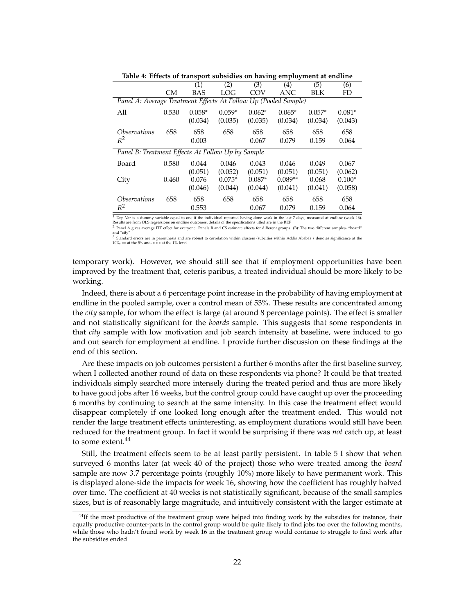|                                                                 |       | л.<br>(1)  | (2)      | (3)      | ັ<br>$\left( 4\right)$ | (5)      | (6)      |
|-----------------------------------------------------------------|-------|------------|----------|----------|------------------------|----------|----------|
|                                                                 |       |            |          |          |                        |          |          |
|                                                                 | CМ    | <b>BAS</b> | LOG      | COV      | ANC                    | BLK      | FD       |
| Panel A: Average Treatment Effects At Follow Up (Pooled Sample) |       |            |          |          |                        |          |          |
| All                                                             | 0.530 | $0.058*$   | $0.059*$ | $0.062*$ | $0.065*$               | $0.057*$ | $0.081*$ |
|                                                                 |       | (0.034)    | (0.035)  | (0.035)  | (0.034)                | (0.034)  | (0.043)  |
| <i><b>Observations</b></i>                                      | 658   | 658        | 658      | 658      | 658                    | 658      | 658      |
| $R^2$                                                           |       | 0.003      |          | 0.067    | 0.079                  | 0.159    | 0.064    |
| Panel B: Treatment Effects At Follow Up by Sample               |       |            |          |          |                        |          |          |
| Board                                                           | 0.580 | 0.044      | 0.046    | 0.043    | 0.046                  | 0.049    | 0.067    |
|                                                                 |       | (0.051)    | (0.052)  | (0.051)  | (0.051)                | (0.051)  | (0.062)  |
| City                                                            | 0.460 | 0.076      | $0.075*$ | $0.087*$ | $0.089**$              | 0.068    | $0.100*$ |
|                                                                 |       | (0.046)    | (0.044)  | (0.044)  | (0.041)                | (0.041)  | (0.058)  |
| <i><b>Observations</b></i>                                      | 658   | 658        | 658      | 658      | 658                    | 658      | 658      |
| $R^2$                                                           |       | 0.553      |          | 0.067    | 0.079                  | 0.159    | 0.064    |

**Table 4: Effects of transport subsidies on having employment at endline**

<sup>1</sup> Dep Var is a dummy variable equal to one if the individual reported having done work in the last 7 days, measured at endline (week 16).<br>Results are from OLS regressions on endline outcomes, details of the specification 2 Panel A gives average ITT effect for everyone. Panels B and CS estimate effects for different groups. (B): The two different samples- "board"

and "city 3 Standard errors are in parenthesis and are robust to correlation within clusters (subcities within Addis Ababa) ∗ denotes significance at the 10%, ∗∗ at the 5% and, ∗ ∗ ∗ at the 1% level

temporary work). However, we should still see that if employment opportunities have been improved by the treatment that, ceteris paribus, a treated individual should be more likely to be working.

Indeed, there is about a 6 percentage point increase in the probability of having employment at endline in the pooled sample, over a control mean of 53%. These results are concentrated among the *city* sample, for whom the effect is large (at around 8 percentage points). The effect is smaller and not statistically significant for the *boards* sample. This suggests that some respondents in that *city* sample with low motivation and job search intensity at baseline, were induced to go and out search for employment at endline. I provide further discussion on these findings at the end of this section.

Are these impacts on job outcomes persistent a further 6 months after the first baseline survey, when I collected another round of data on these respondents via phone? It could be that treated individuals simply searched more intensely during the treated period and thus are more likely to have good jobs after 16 weeks, but the control group could have caught up over the proceeding 6 months by continuing to search at the same intensity. In this case the treatment effect would disappear completely if one looked long enough after the treatment ended. This would not render the large treatment effects uninteresting, as employment durations would still have been reduced for the treatment group. In fact it would be surprising if there was *not* catch up, at least to some extent.<sup>44</sup>

Still, the treatment effects seem to be at least partly persistent. In table 5 I show that when surveyed 6 months later (at week 40 of the project) those who were treated among the *board* sample are now 3.7 percentage points (roughly 10%) more likely to have permanent work. This is displayed alone-side the impacts for week 16, showing how the coefficient has roughly halved over time. The coefficient at 40 weeks is not statistically significant, because of the small samples sizes, but is of reasonably large magnitude, and intuitively consistent with the larger estimate at

<sup>&</sup>lt;sup>44</sup>If the most productive of the treatment group were helped into finding work by the subsidies for instance, their equally productive counter-parts in the control group would be quite likely to find jobs too over the following months, while those who hadn't found work by week 16 in the treatment group would continue to struggle to find work after the subsidies ended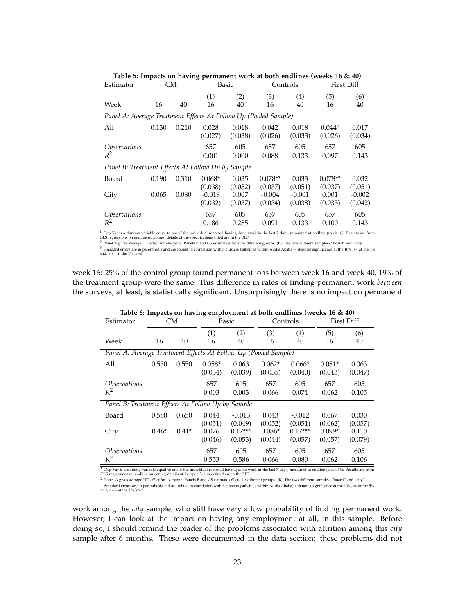| <b>CM</b><br>Basic<br>Controls<br>First Diff<br>Estimator<br>(1)<br>(2)<br>(3)<br>(5)<br>(4)<br>(6)<br>Week<br>16<br>40<br>16<br>40<br>40<br>16<br>16<br>40<br>Panel A: Average Treatment Effects At Follow Up (Pooled Sample)<br>All<br>0.210<br>0.028<br>0.018<br>0.042<br>0.018<br>$0.044*$<br>0.017<br>0.130<br>(0.027)<br>(0.038)<br>(0.026)<br>(0.033)<br>(0.026)<br>(0.034)<br>605<br>657<br>605<br>657<br>605<br><i><b>Observations</b></i><br>657<br>$R^2$<br>0.001<br>0.088<br>0.133<br>0.097<br>0.143<br>0.000<br>Panel B: Treatment Effects At Follow Up by Sample<br>0.035<br>$0.078**$<br>0.190<br>0.310<br>$0.068*$<br>$0.078**$<br>0.033<br>0.032<br>Board<br>(0.052)<br>(0.037)<br>(0.051)<br>(0.037)<br>(0.051)<br>(0.038)<br>0.080<br>City<br>0.065<br>$-0.019$<br>0.007<br>$-0.004$<br>$-0.001$<br>0.001<br>$-0.002$<br>(0.032)<br>(0.037)<br>(0.034)<br>(0.038)<br>(0.033)<br>(0.042)<br>605<br>605<br>657<br>657<br>605<br>657<br><i><b>Observations</b></i><br>$R^2$<br>0.186<br>0.285<br>0.091<br>0.133<br>0.100<br>0.143 |  |  | AILLILL TTUIAL ML |  |  |
|---------------------------------------------------------------------------------------------------------------------------------------------------------------------------------------------------------------------------------------------------------------------------------------------------------------------------------------------------------------------------------------------------------------------------------------------------------------------------------------------------------------------------------------------------------------------------------------------------------------------------------------------------------------------------------------------------------------------------------------------------------------------------------------------------------------------------------------------------------------------------------------------------------------------------------------------------------------------------------------------------------------------------------------------------|--|--|-------------------|--|--|
|                                                                                                                                                                                                                                                                                                                                                                                                                                                                                                                                                                                                                                                                                                                                                                                                                                                                                                                                                                                                                                                   |  |  |                   |  |  |
|                                                                                                                                                                                                                                                                                                                                                                                                                                                                                                                                                                                                                                                                                                                                                                                                                                                                                                                                                                                                                                                   |  |  |                   |  |  |
|                                                                                                                                                                                                                                                                                                                                                                                                                                                                                                                                                                                                                                                                                                                                                                                                                                                                                                                                                                                                                                                   |  |  |                   |  |  |
|                                                                                                                                                                                                                                                                                                                                                                                                                                                                                                                                                                                                                                                                                                                                                                                                                                                                                                                                                                                                                                                   |  |  |                   |  |  |
|                                                                                                                                                                                                                                                                                                                                                                                                                                                                                                                                                                                                                                                                                                                                                                                                                                                                                                                                                                                                                                                   |  |  |                   |  |  |
|                                                                                                                                                                                                                                                                                                                                                                                                                                                                                                                                                                                                                                                                                                                                                                                                                                                                                                                                                                                                                                                   |  |  |                   |  |  |
|                                                                                                                                                                                                                                                                                                                                                                                                                                                                                                                                                                                                                                                                                                                                                                                                                                                                                                                                                                                                                                                   |  |  |                   |  |  |
|                                                                                                                                                                                                                                                                                                                                                                                                                                                                                                                                                                                                                                                                                                                                                                                                                                                                                                                                                                                                                                                   |  |  |                   |  |  |
|                                                                                                                                                                                                                                                                                                                                                                                                                                                                                                                                                                                                                                                                                                                                                                                                                                                                                                                                                                                                                                                   |  |  |                   |  |  |
|                                                                                                                                                                                                                                                                                                                                                                                                                                                                                                                                                                                                                                                                                                                                                                                                                                                                                                                                                                                                                                                   |  |  |                   |  |  |
|                                                                                                                                                                                                                                                                                                                                                                                                                                                                                                                                                                                                                                                                                                                                                                                                                                                                                                                                                                                                                                                   |  |  |                   |  |  |
|                                                                                                                                                                                                                                                                                                                                                                                                                                                                                                                                                                                                                                                                                                                                                                                                                                                                                                                                                                                                                                                   |  |  |                   |  |  |
|                                                                                                                                                                                                                                                                                                                                                                                                                                                                                                                                                                                                                                                                                                                                                                                                                                                                                                                                                                                                                                                   |  |  |                   |  |  |
|                                                                                                                                                                                                                                                                                                                                                                                                                                                                                                                                                                                                                                                                                                                                                                                                                                                                                                                                                                                                                                                   |  |  |                   |  |  |
|                                                                                                                                                                                                                                                                                                                                                                                                                                                                                                                                                                                                                                                                                                                                                                                                                                                                                                                                                                                                                                                   |  |  |                   |  |  |

**Table 5: Impacts on having permanent work at both endlines (weeks 16 & 40)**

 $^1$  Dep Var is a dummy variable equal to one if the individual reported having done work in the last 7 days, measured at endline (week 16). Results are from OLS regressions on endline outcomes, details of the specificati

2 Panel A gives average ITT effect for everyone. Panels B and CS estimate effects for different groups. (B): The two different samples- "board" and "city"

3 Standard errors are in parenthesis and are robust to correlation within clusters (subcities within Addis Ababa) ∗ denotes significance at the 10%, ∗∗ at the 5% and, ∗ ∗ ∗ at the 1% level

week 16: 25% of the control group found permanent jobs between week 16 and week 40, 19% of the treatment group were the same. This difference in rates of finding permanent work *between* the surveys, at least, is statistically significant. Unsurprisingly there is no impact on permanent

|                                                                 | Table 6: Impacts on having employment at both endlines (weeks 16 $\&$ 40) |         |                     |                      |                     |                      |                     |                  |  |  |  |  |
|-----------------------------------------------------------------|---------------------------------------------------------------------------|---------|---------------------|----------------------|---------------------|----------------------|---------------------|------------------|--|--|--|--|
| Estimator                                                       |                                                                           | CМ      |                     | Basic                |                     | Controls             |                     | First Diff       |  |  |  |  |
| Week                                                            | 16                                                                        | 40      | (1)<br>16           | (2)<br>40            | (3)<br>16           | (4)<br>40            | (5)<br>16           | (6)<br>40        |  |  |  |  |
| Panel A: Average Treatment Effects At Follow Up (Pooled Sample) |                                                                           |         |                     |                      |                     |                      |                     |                  |  |  |  |  |
| All                                                             | 0.530                                                                     | 0.550   | $0.058*$<br>(0.034) | 0.063<br>(0.039)     | $0.062*$<br>(0.035) | $0.066*$<br>(0.040)  | $0.081*$<br>(0.043) | 0.063<br>(0.047) |  |  |  |  |
| <i><b>Observations</b></i><br>$R^2$                             |                                                                           |         | 657<br>0.003        | 605<br>0.003         | 657<br>0.066        | 605<br>0.074         | 657<br>0.062        | 605<br>0.105     |  |  |  |  |
| Panel B: Treatment Effects At Follow Up by Sample               |                                                                           |         |                     |                      |                     |                      |                     |                  |  |  |  |  |
| Board                                                           | 0.580                                                                     | 0.650   | 0.044<br>(0.051)    | $-0.013$<br>(0.049)  | 0.043<br>(0.052)    | $-0.012$<br>(0.051)  | 0.067<br>(0.062)    | 0.030<br>(0.057) |  |  |  |  |
| City                                                            | $0.46*$                                                                   | $0.41*$ | 0.076<br>(0.046)    | $0.17***$<br>(0.053) | $0.086*$<br>(0.044) | $0.17***$<br>(0.057) | $0.099*$<br>(0.057) | 0.110<br>(0.079) |  |  |  |  |
| <i><b>Observations</b></i>                                      |                                                                           |         | 657                 | 605                  | 657                 | 605                  | 657                 | 605              |  |  |  |  |
| $R^2$                                                           | $\sim$ $\sim$ $\sim$                                                      | .       | 0.553               | 0.586                | 0.066               | 0.080                | 0.062               | 0.106            |  |  |  |  |

 $^1$  Dep Var is a dummy variable equal to one if the individual reported having done work in the last 7 days, measured at endline (week 16). Results are from OLS regressions on endline outcomes, details of the specificati

2 Panel A gives average ITT effect for everyone. Panels B and CS estimate effects for different groups. (B): The two different samples- "board" and "city"

3 Standard errors are in parenthesis and are robust to correlation within clusters (subcities within Addis Ababa) ∗ denotes significance at the 10%, ∗∗ at the 5% and, ∗ ∗ ∗ at the 1% level

work among the *city* sample, who still have very a low probability of finding permanent work. However, I can look at the impact on having any employment at all, in this sample. Before doing so, I should remind the reader of the problems associated with attrition among this *city* sample after 6 months. These were documented in the data section: these problems did not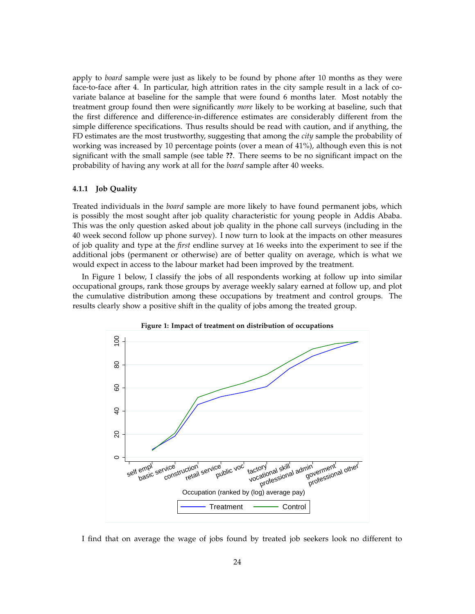apply to *board* sample were just as likely to be found by phone after 10 months as they were face-to-face after 4. In particular, high attrition rates in the city sample result in a lack of covariate balance at baseline for the sample that were found 6 months later. Most notably the treatment group found then were significantly *more* likely to be working at baseline, such that the first difference and difference-in-difference estimates are considerably different from the simple difference specifications. Thus results should be read with caution, and if anything, the FD estimates are the most trustworthy, suggesting that among the *city* sample the probability of working was increased by 10 percentage points (over a mean of 41%), although even this is not significant with the small sample (see table **??**. There seems to be no significant impact on the probability of having any work at all for the *board* sample after 40 weeks.

#### **4.1.1 Job Quality**

Treated individuals in the *board* sample are more likely to have found permanent jobs, which is possibly the most sought after job quality characteristic for young people in Addis Ababa. This was the only question asked about job quality in the phone call surveys (including in the 40 week second follow up phone survey). I now turn to look at the impacts on other measures of job quality and type at the *first* endline survey at 16 weeks into the experiment to see if the additional jobs (permanent or otherwise) are of better quality on average, which is what we would expect in access to the labour market had been improved by the treatment.

In Figure 1 below, I classify the jobs of all respondents working at follow up into similar occupational groups, rank those groups by average weekly salary earned at follow up, and plot the cumulative distribution among these occupations by treatment and control groups. The results clearly show a positive shift in the quality of jobs among the treated group.





I find that on average the wage of jobs found by treated job seekers look no different to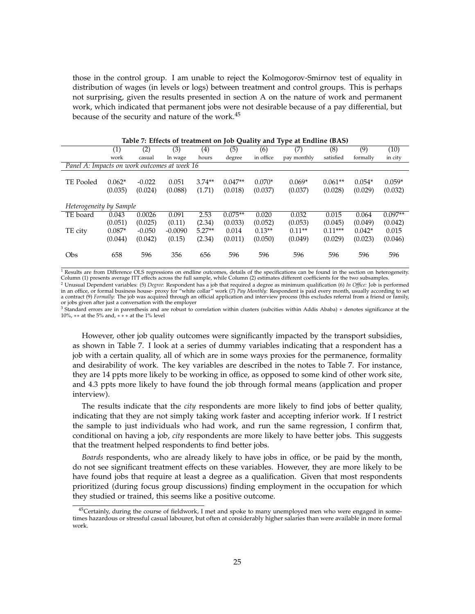those in the control group. I am unable to reject the Kolmogorov-Smirnov test of equality in distribution of wages (in levels or logs) between treatment and control groups. This is perhaps not surprising, given the results presented in section A on the nature of work and permanent work, which indicated that permanent jobs were not desirable because of a pay differential, but because of the security and nature of the work.<sup>45</sup>

|                                              | (1)                 | $\overline{(2)}$    | $\overline{(3)}$ | (4)                | $\overline{(5)}$     | $\mathcal{L}$<br>(6) | ╯<br>(7)            | $\overline{(8)}$     | $\overline{(9)}$    | (10)                |
|----------------------------------------------|---------------------|---------------------|------------------|--------------------|----------------------|----------------------|---------------------|----------------------|---------------------|---------------------|
|                                              | work                | casual              | ln wage          | hours              | degree               | in office            | pay monthly         | satisfied            | formally            | in city             |
| Panel A: Impacts on work outcomes at week 16 |                     |                     |                  |                    |                      |                      |                     |                      |                     |                     |
| TE Pooled                                    | $0.062*$<br>(0.035) | $-0.022$<br>(0.024) | 0.051<br>(0.088) | $3.74**$<br>(1.71) | $0.047**$<br>(0.018) | $0.070*$<br>(0.037)  | $0.069*$<br>(0.037) | $0.061**$<br>(0.028) | $0.054*$<br>(0.029) | $0.059*$<br>(0.032) |
| Heterogeneity by Sample                      |                     |                     |                  |                    |                      |                      |                     |                      |                     |                     |
| TE board                                     | 0.043               | 0.0026              | 0.091            | 2.53               | $0.075**$            | 0.020                | 0.032               | 0.015                | 0.064               | $0.097**$           |
|                                              | (0.051)             | (0.025)             | (0.11)           | (2.34)             | (0.033)              | (0.052)              | (0.053)             | (0.045)              | (0.049)             | (0.042)             |
| TE city                                      | $0.087*$            | $-0.050$            | $-0.0090$        | $5.27**$           | 0.014                | $0.13**$             | $0.11**$            | $0.11***$            | $0.042*$            | 0.015               |
|                                              | (0.044)             | (0.042)             | (0.15)           | (2.34)             | (0.011)              | (0.050)              | (0.049)             | (0.029)              | (0.023)             | (0.046)             |
| Obs                                          | 658                 | 596                 | 356              | 656                | 596                  | 596                  | 596                 | 596                  | 596                 | 596                 |

**Table 7: Effects of treatment on Job Quality and Type at Endline (BAS)**

 $1$  Results are from Difference OLS regressions on endline outcomes, details of the specifications can be found in the section on heterogeneity. Column (1) presents average ITT effects across the full sample, while Column (2) estimates different coefficients for the two subsamples. <sup>2</sup> Unusual Dependent variables: (5) *Degree*: Respondent has a job that required a degree as minimum qualification (6) *In Office:* Job is performed<br>in an office, or formal business house- proxy for "white collar" work (7 a contract (9) *Formally:* The job was acquired through an official application and interview process (this excludes referral from a friend or family, or jobs given after just a conversation with the employer

<sup>3</sup> Standard errors are in parenthesis and are robust to correlation within clusters (subcities within Addis Ababa) ∗ denotes significance at the 10%, ∗∗ at the 5% and, ∗ ∗ ∗ at the 1% level

However, other job quality outcomes were significantly impacted by the transport subsidies, as shown in Table 7. I look at a series of dummy variables indicating that a respondent has a job with a certain quality, all of which are in some ways proxies for the permanence, formality and desirability of work. The key variables are described in the notes to Table 7. For instance, they are 14 ppts more likely to be working in office, as opposed to some kind of other work site, and 4.3 ppts more likely to have found the job through formal means (application and proper interview).

The results indicate that the *city* respondents are more likely to find jobs of better quality, indicating that they are not simply taking work faster and accepting inferior work. If I restrict the sample to just individuals who had work, and run the same regression, I confirm that, conditional on having a job, *city* respondents are more likely to have better jobs. This suggests that the treatment helped respondents to find better jobs.

*Boards* respondents, who are already likely to have jobs in office, or be paid by the month, do not see significant treatment effects on these variables. However, they are more likely to be have found jobs that require at least a degree as a qualification. Given that most respondents prioritized (during focus group discussions) finding employment in the occupation for which they studied or trained, this seems like a positive outcome.

<sup>&</sup>lt;sup>45</sup>Certainly, during the course of fieldwork, I met and spoke to many unemployed men who were engaged in sometimes hazardous or stressful casual labourer, but often at considerably higher salaries than were available in more formal work.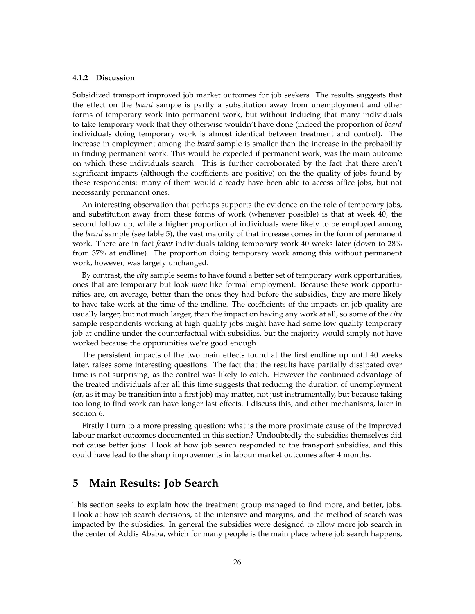#### **4.1.2 Discussion**

Subsidized transport improved job market outcomes for job seekers. The results suggests that the effect on the *board* sample is partly a substitution away from unemployment and other forms of temporary work into permanent work, but without inducing that many individuals to take temporary work that they otherwise wouldn't have done (indeed the proportion of *board* individuals doing temporary work is almost identical between treatment and control). The increase in employment among the *board* sample is smaller than the increase in the probability in finding permanent work. This would be expected if permanent work, was the main outcome on which these individuals search. This is further corroborated by the fact that there aren't significant impacts (although the coefficients are positive) on the the quality of jobs found by these respondents: many of them would already have been able to access office jobs, but not necessarily permanent ones.

An interesting observation that perhaps supports the evidence on the role of temporary jobs, and substitution away from these forms of work (whenever possible) is that at week 40, the second follow up, while a higher proportion of individuals were likely to be employed among the *board* sample (see table 5), the vast majority of that increase comes in the form of permanent work. There are in fact *fewer* individuals taking temporary work 40 weeks later (down to 28% from 37% at endline). The proportion doing temporary work among this without permanent work, however, was largely unchanged.

By contrast, the *city* sample seems to have found a better set of temporary work opportunities, ones that are temporary but look *more* like formal employment. Because these work opportunities are, on average, better than the ones they had before the subsidies, they are more likely to have take work at the time of the endline. The coefficients of the impacts on job quality are usually larger, but not much larger, than the impact on having any work at all, so some of the *city* sample respondents working at high quality jobs might have had some low quality temporary job at endline under the counterfactual with subsidies, but the majority would simply not have worked because the oppurunities we're good enough.

The persistent impacts of the two main effects found at the first endline up until 40 weeks later, raises some interesting questions. The fact that the results have partially dissipated over time is not surprising, as the control was likely to catch. However the continued advantage of the treated individuals after all this time suggests that reducing the duration of unemployment (or, as it may be transition into a first job) may matter, not just instrumentally, but because taking too long to find work can have longer last effects. I discuss this, and other mechanisms, later in section 6.

Firstly I turn to a more pressing question: what is the more proximate cause of the improved labour market outcomes documented in this section? Undoubtedly the subsidies themselves did not cause better jobs: I look at how job search responded to the transport subsidies, and this could have lead to the sharp improvements in labour market outcomes after 4 months.

# **5 Main Results: Job Search**

This section seeks to explain how the treatment group managed to find more, and better, jobs. I look at how job search decisions, at the intensive and margins, and the method of search was impacted by the subsidies. In general the subsidies were designed to allow more job search in the center of Addis Ababa, which for many people is the main place where job search happens,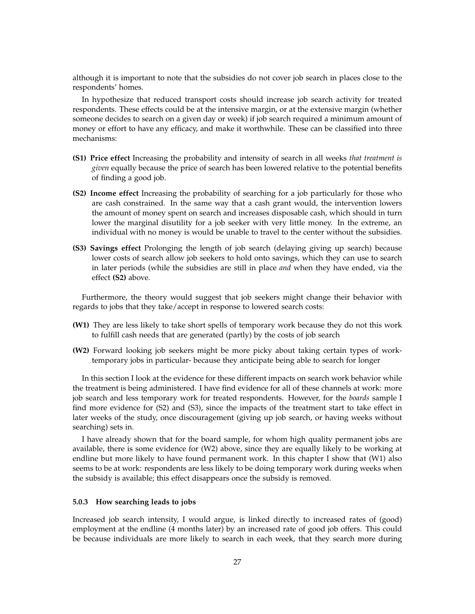although it is important to note that the subsidies do not cover job search in places close to the respondents' homes.

In hypothesize that reduced transport costs should increase job search activity for treated respondents. These effects could be at the intensive margin, or at the extensive margin (whether someone decides to search on a given day or week) if job search required a minimum amount of money or effort to have any efficacy, and make it worthwhile. These can be classified into three mechanisms:

- **(S1) Price effect** Increasing the probability and intensity of search in all weeks *that treatment is given* equally because the price of search has been lowered relative to the potential benefits of finding a good job.
- **(S2) Income effect** Increasing the probability of searching for a job particularly for those who are cash constrained. In the same way that a cash grant would, the intervention lowers the amount of money spent on search and increases disposable cash, which should in turn lower the marginal disutility for a job seeker with very little money. In the extreme, an individual with no money is would be unable to travel to the center without the subsidies.
- **(S3) Savings effect** Prolonging the length of job search (delaying giving up search) because lower costs of search allow job seekers to hold onto savings, which they can use to search in later periods (while the subsidies are still in place *and* when they have ended, via the effect **(S2)** above.

Furthermore, the theory would suggest that job seekers might change their behavior with regards to jobs that they take/accept in response to lowered search costs:

- **(W1)** They are less likely to take short spells of temporary work because they do not this work to fulfill cash needs that are generated (partly) by the costs of job search
- **(W2)** Forward looking job seekers might be more picky about taking certain types of worktemporary jobs in particular- because they anticipate being able to search for longer

In this section I look at the evidence for these different impacts on search work behavior while the treatment is being administered. I have find evidence for all of these channels at work: more job search and less temporary work for treated respondents. However, for the *boards* sample I find more evidence for (S2) and (S3), since the impacts of the treatment start to take effect in later weeks of the study, once discouragement (giving up job search, or having weeks without searching) sets in.

I have already shown that for the board sample, for whom high quality permanent jobs are available, there is some evidence for (W2) above, since they are equally likely to be working at endline but more likely to have found permanent work. In this chapter I show that (W1) also seems to be at work: respondents are less likely to be doing temporary work during weeks when the subsidy is available; this effect disappears once the subsidy is removed.

#### **5.0.3 How searching leads to jobs**

Increased job search intensity, I would argue, is linked directly to increased rates of (good) employment at the endline (4 months later) by an increased rate of good job offers. This could be because individuals are more likely to search in each week, that they search more during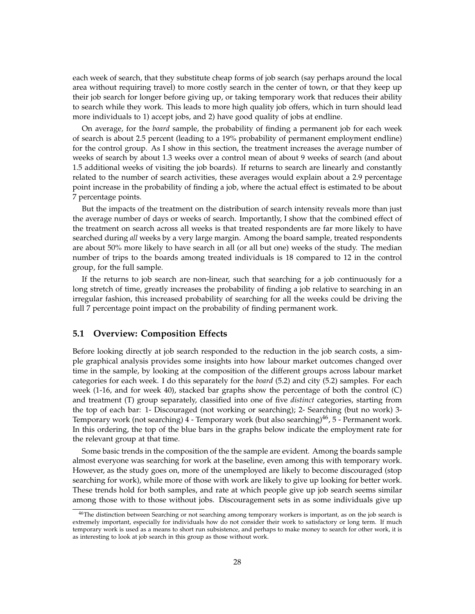each week of search, that they substitute cheap forms of job search (say perhaps around the local area without requiring travel) to more costly search in the center of town, or that they keep up their job search for longer before giving up, or taking temporary work that reduces their ability to search while they work. This leads to more high quality job offers, which in turn should lead more individuals to 1) accept jobs, and 2) have good quality of jobs at endline.

On average, for the *board* sample, the probability of finding a permanent job for each week of search is about 2.5 percent (leading to a 19% probability of permanent employment endline) for the control group. As I show in this section, the treatment increases the average number of weeks of search by about 1.3 weeks over a control mean of about 9 weeks of search (and about 1.5 additional weeks of visiting the job boards). If returns to search are linearly and constantly related to the number of search activities, these averages would explain about a 2.9 percentage point increase in the probability of finding a job, where the actual effect is estimated to be about 7 percentage points.

But the impacts of the treatment on the distribution of search intensity reveals more than just the average number of days or weeks of search. Importantly, I show that the combined effect of the treatment on search across all weeks is that treated respondents are far more likely to have searched during *all* weeks by a very large margin. Among the board sample, treated respondents are about 50% more likely to have search in all (or all but one) weeks of the study. The median number of trips to the boards among treated individuals is 18 compared to 12 in the control group, for the full sample.

If the returns to job search are non-linear, such that searching for a job continuously for a long stretch of time, greatly increases the probability of finding a job relative to searching in an irregular fashion, this increased probability of searching for all the weeks could be driving the full 7 percentage point impact on the probability of finding permanent work.

## **5.1 Overview: Composition Effects**

Before looking directly at job search responded to the reduction in the job search costs, a simple graphical analysis provides some insights into how labour market outcomes changed over time in the sample, by looking at the composition of the different groups across labour market categories for each week. I do this separately for the *board* (5.2) and city (5.2) samples. For each week (1-16, and for week 40), stacked bar graphs show the percentage of both the control (C) and treatment (T) group separately, classified into one of five *distinct* categories, starting from the top of each bar: 1- Discouraged (not working or searching); 2- Searching (but no work) 3- Temporary work (not searching) 4 - Temporary work (but also searching)<sup>46</sup>, 5 - Permanent work. In this ordering, the top of the blue bars in the graphs below indicate the employment rate for the relevant group at that time.

Some basic trends in the composition of the the sample are evident. Among the boards sample almost everyone was searching for work at the baseline, even among this with temporary work. However, as the study goes on, more of the unemployed are likely to become discouraged (stop searching for work), while more of those with work are likely to give up looking for better work. These trends hold for both samples, and rate at which people give up job search seems similar among those with to those without jobs. Discouragement sets in as some individuals give up

<sup>&</sup>lt;sup>46</sup>The distinction between Searching or not searching among temporary workers is important, as on the job search is extremely important, especially for individuals how do not consider their work to satisfactory or long term. If much temporary work is used as a means to short run subsistence, and perhaps to make money to search for other work, it is as interesting to look at job search in this group as those without work.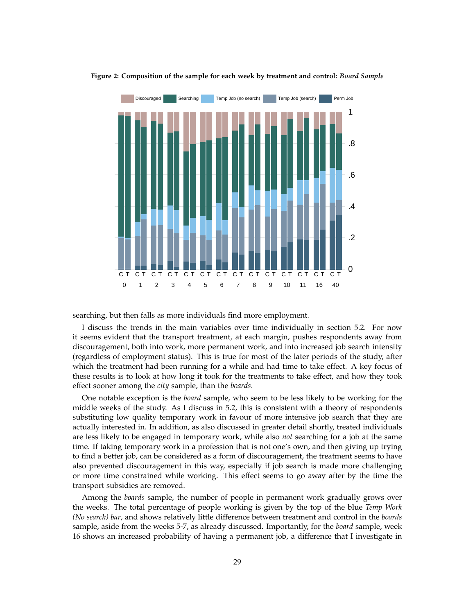

**Figure 2: Composition of the sample for each week by treatment and control:** *Board Sample*

searching, but then falls as more individuals find more employment.

I discuss the trends in the main variables over time individually in section 5.2. For now it seems evident that the transport treatment, at each margin, pushes respondents away from discouragement, both into work, more permanent work, and into increased job search intensity (regardless of employment status). This is true for most of the later periods of the study, after which the treatment had been running for a while and had time to take effect. A key focus of these results is to look at how long it took for the treatments to take effect, and how they took effect sooner among the *city* sample, than the *boards*.

One notable exception is the *board* sample, who seem to be less likely to be working for the middle weeks of the study. As I discuss in 5.2, this is consistent with a theory of respondents substituting low quality temporary work in favour of more intensive job search that they are actually interested in. In addition, as also discussed in greater detail shortly, treated individuals are less likely to be engaged in temporary work, while also *not* searching for a job at the same time. If taking temporary work in a profession that is not one's own, and then giving up trying to find a better job, can be considered as a form of discouragement, the treatment seems to have also prevented discouragement in this way, especially if job search is made more challenging or more time constrained while working. This effect seems to go away after by the time the transport subsidies are removed.

Among the *boards* sample, the number of people in permanent work gradually grows over the weeks. The total percentage of people working is given by the top of the blue *Temp Work (No search) bar*, and shows relatively little difference between treatment and control in the *boards* sample, aside from the weeks 5-7, as already discussed. Importantly, for the *board* sample, week 16 shows an increased probability of having a permanent job, a difference that I investigate in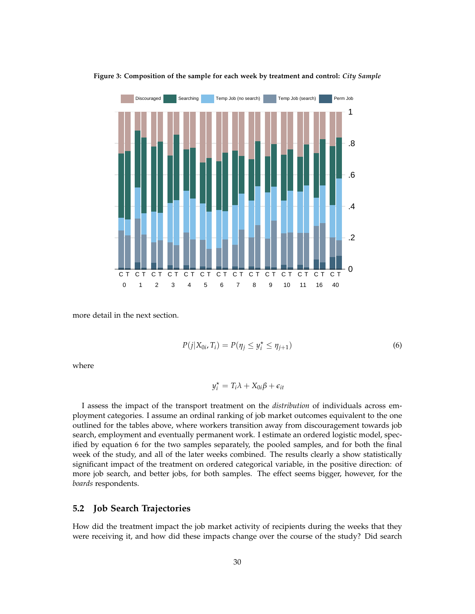

**Figure 3: Composition of the sample for each week by treatment and control:** *City Sample*

more detail in the next section.

$$
P(j|X_{0i},T_i) = P(\eta_j \le y_i^* \le \eta_{j+1})
$$
\n<sup>(6)</sup>

where

$$
y_i^* = T_i \lambda + X_{0i} \beta + \epsilon_{it}
$$

I assess the impact of the transport treatment on the *distribution* of individuals across employment categories. I assume an ordinal ranking of job market outcomes equivalent to the one outlined for the tables above, where workers transition away from discouragement towards job search, employment and eventually permanent work. I estimate an ordered logistic model, specified by equation 6 for the two samples separately, the pooled samples, and for both the final week of the study, and all of the later weeks combined. The results clearly a show statistically significant impact of the treatment on ordered categorical variable, in the positive direction: of more job search, and better jobs, for both samples. The effect seems bigger, however, for the *boards* respondents.

## **5.2 Job Search Trajectories**

How did the treatment impact the job market activity of recipients during the weeks that they were receiving it, and how did these impacts change over the course of the study? Did search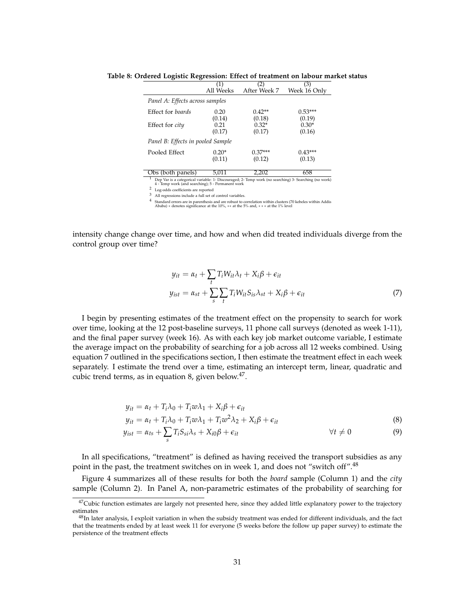|                                   | (1)            | 2)                | (3)                 |
|-----------------------------------|----------------|-------------------|---------------------|
|                                   | All Weeks      | After Week 7      | Week 16 Only        |
| Panel A: Effects across samples   |                |                   |                     |
| Effect for boards                 | 0.20           | $0.42**$          | $0.53***$<br>(0.19) |
| Effect for <i>city</i>            | (0.14)<br>0.21 | (0.18)<br>$0.32*$ | $0.30*$             |
|                                   | (0.17)         | (0.17)            | (0.16)              |
| Panel B: Effects in pooled Sample |                |                   |                     |
| Pooled Effect                     | $0.20*$        | $0.37***$         | $0.43***$           |
|                                   | (0.11)         | (0.12)            | (0.13)              |
| Obe (both panole)                 | 5.011          | ר∩ר ר             | 658                 |

**Table 8: Ordered Logistic Regression: Effect of treatment on labour market status**

Obs (both panels) 5,011 2,202 658<br><sup>1</sup> Dep Var is a categorical variable: 1- Discouraged; 2- Temp work (no searching) 3- Searching (no work)<br>4 - Temp work (and searching); 5 - Permanent work

2 Log-odds coefficients are reported

3 All regressions include a full set of control variables.

4 Standard errors are in parenthesis and are robust to correlation within clusters (70 kebeles within Addis Ababa) ∗ denotes significance at the 10%, ∗∗ at the 5% and, ∗ ∗ ∗ at the 1% level

intensity change change over time, and how and when did treated individuals diverge from the control group over time?

$$
y_{it} = \alpha_t + \sum_t T_i W_{it} \lambda_t + X_i \beta + \epsilon_{it}
$$
  
\n
$$
y_{ist} = \alpha_{st} + \sum_s \sum_t T_i W_{it} S_{is} \lambda_{st} + X_i \beta + \epsilon_{it}
$$
 (7)

I begin by presenting estimates of the treatment effect on the propensity to search for work over time, looking at the 12 post-baseline surveys, 11 phone call surveys (denoted as week 1-11), and the final paper survey (week 16). As with each key job market outcome variable, I estimate the average impact on the probability of searching for a job across all 12 weeks combined. Using equation 7 outlined in the specifications section, I then estimate the treatment effect in each week separately. I estimate the trend over a time, estimating an intercept term, linear, quadratic and cubic trend terms, as in equation 8, given below. $47$ .

$$
y_{it} = \alpha_t + T_i \lambda_0 + T_i w \lambda_1 + X_i \beta + \epsilon_{it}
$$

$$
y_{it} = \alpha_t + T_i \lambda_0 + T_i w \lambda_1 + T_i w^2 \lambda_2 + X_i \beta + \epsilon_{it}
$$
\n
$$
(8)
$$

$$
y_{ist} = \alpha_{ts} + \sum_{s} T_i S_{si} \lambda_s + X_{i0} \beta + \epsilon_{it} \qquad \forall t \neq 0 \qquad (9)
$$

In all specifications, "treatment" is defined as having received the transport subsidies as any point in the past, the treatment switches on in week 1, and does not "switch off".<sup>48</sup>

Figure 4 summarizes all of these results for both the *board* sample (Column 1) and the *city* sample (Column 2). In Panel A, non-parametric estimates of the probability of searching for

 $47$ Cubic function estimates are largely not presented here, since they added little explanatory power to the trajectory estimates

 $48$ In later analysis, I exploit variation in when the subsidy treatment was ended for different individuals, and the fact that the treatments ended by at least week 11 for everyone (5 weeks before the follow up paper survey) to estimate the persistence of the treatment effects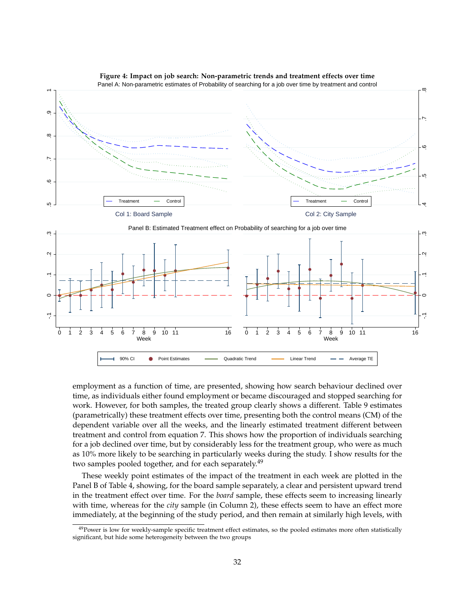

**Figure 4: Impact on job search: Non-parametric trends and treatment effects over time**

employment as a function of time, are presented, showing how search behaviour declined over time, as individuals either found employment or became discouraged and stopped searching for work. However, for both samples, the treated group clearly shows a different. Table 9 estimates (parametrically) these treatment effects over time, presenting both the control means (CM) of the dependent variable over all the weeks, and the linearly estimated treatment different between treatment and control from equation 7. This shows how the proportion of individuals searching for a job declined over time, but by considerably less for the treatment group, who were as much as 10% more likely to be searching in particularly weeks during the study. I show results for the two samples pooled together, and for each separately.<sup>49</sup>

These weekly point estimates of the impact of the treatment in each week are plotted in the Panel B of Table 4, showing, for the board sample separately, a clear and persistent upward trend in the treatment effect over time. For the *board* sample, these effects seem to increasing linearly with time, whereas for the *city* sample (in Column 2), these effects seem to have an effect more immediately, at the beginning of the study period, and then remain at similarly high levels, with

<sup>&</sup>lt;sup>49</sup>Power is low for weekly-sample specific treatment effect estimates, so the pooled estimates more often statistically significant, but hide some heterogeneity between the two groups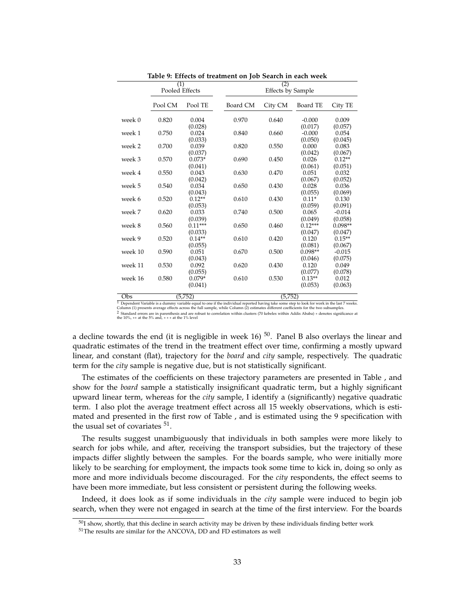|         | (1)            |                                 | (2)      |                          |                                 |                                 |  |  |
|---------|----------------|---------------------------------|----------|--------------------------|---------------------------------|---------------------------------|--|--|
|         | Pooled Effects |                                 |          | <b>Effects by Sample</b> |                                 |                                 |  |  |
|         | Pool CM        | Pool TE                         | Board CM | City CM                  | Board TE                        | City TE                         |  |  |
| week 0  | 0.820          | 0.004<br>(0.028)                | 0.970    | 0.640                    | $-0.000$<br>(0.017)             | 0.009<br>(0.057)                |  |  |
| week 1  | 0.750          | 0.024                           | 0.840    | 0.660                    | $-0.000$                        | 0.054                           |  |  |
| week 2  | 0.700          | (0.033)<br>0.039<br>(0.037)     | 0.820    | 0.550                    | (0.050)<br>0.000<br>(0.042)     | (0.045)<br>0.083<br>(0.067)     |  |  |
| week 3  | 0.570          | $0.073*$                        | 0.690    | 0.450                    | 0.026                           | $0.12**$                        |  |  |
| week 4  | 0.550          | (0.041)<br>0.043<br>(0.042)     | 0.630    | 0.470                    | (0.061)<br>0.051<br>(0.067)     | (0.051)<br>0.032<br>(0.052)     |  |  |
| week 5  | 0.540          | 0.034                           | 0.650    | 0.430                    | 0.028                           | 0.036                           |  |  |
| week 6  | 0.520          | (0.043)<br>$0.12**$<br>(0.053)  | 0.610    | 0.430                    | (0.055)<br>$0.11*$<br>(0.059)   | (0.069)<br>0.130<br>(0.091)     |  |  |
| week 7  | 0.620          | 0.033                           | 0.740    | 0.500                    | 0.065                           | $-0.014$                        |  |  |
| week 8  | 0.560          | (0.039)<br>$0.11***$<br>(0.033) | 0.650    | 0.460                    | (0.049)<br>$0.12***$<br>(0.047) | (0.058)<br>$0.098**$<br>(0.047) |  |  |
| week 9  | 0.520          | $0.14**$<br>(0.055)             | 0.610    | 0.420                    | 0.120<br>(0.081)                | $0.15**$<br>(0.067)             |  |  |
| week 10 | 0.590          | 0.051<br>(0.043)                | 0.670    | 0.500                    | $0.098**$<br>(0.046)            | $-0.015$<br>(0.075)             |  |  |
| week 11 | 0.530          | 0.092                           | 0.620    | 0.430                    | 0.120                           | 0.049                           |  |  |
| week 16 | 0.580          | (0.055)<br>$0.079*$<br>(0.041)  | 0.610    | 0.530                    | (0.077)<br>$0.13**$<br>(0.053)  | (0.078)<br>0.012<br>(0.063)     |  |  |
|         |                |                                 |          |                          |                                 |                                 |  |  |

**Table 9: Effects of treatment on Job Search in each week**

2 Standard errors are in parenthesis and are robust to correlation within clusters (70 kebeles within Addis Ababa) ∗ denotes significance at the 10%, ∗∗ at the 5% and, ∗ ∗ ∗ at the 1% level

a decline towards the end (it is negligible in week 16)  $50$ . Panel B also overlays the linear and quadratic estimates of the trend in the treatment effect over time, confirming a mostly upward linear, and constant (flat), trajectory for the *board* and *city* sample, respectively. The quadratic term for the *city* sample is negative due, but is not statistically significant.

The estimates of the coefficients on these trajectory parameters are presented in Table , and show for the *board* sample a statistically insignificant quadratic term, but a highly significant upward linear term, whereas for the *city* sample, I identify a (significantly) negative quadratic term. I also plot the average treatment effect across all 15 weekly observations, which is estimated and presented in the first row of Table , and is estimated using the 9 specification with the usual set of covariates  $51$ .

The results suggest unambiguously that individuals in both samples were more likely to search for jobs while, and after, receiving the transport subsidies, but the trajectory of these impacts differ slightly between the samples. For the boards sample, who were initially more likely to be searching for employment, the impacts took some time to kick in, doing so only as more and more individuals become discouraged. For the *city* respondents, the effect seems to have been more immediate, but less consistent or persistent during the following weeks.

Indeed, it does look as if some individuals in the *city* sample were induced to begin job search, when they were not engaged in search at the time of the first interview. For the boards

 $\frac{(5,752)}{$  Dependent Variable is a dummy variable equal to one if the individual reported having take some step to look for work in the last 7 weeks.

Column (1) presents average effects across the full sample, while Column (2) estimates different coefficients for the two subsamples.

 $50$ I show, shortly, that this decline in search activity may be driven by these individuals finding better work

<sup>51</sup>The results are similar for the ANCOVA, DD and FD estimators as well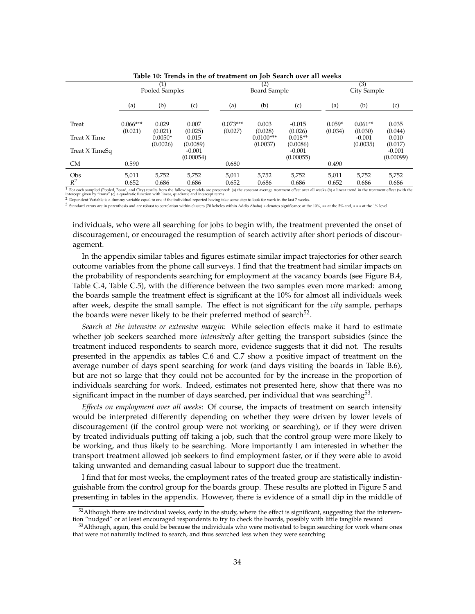|                                                                                                                                                                                                                                                                                                             |                       | Pooled Samples        |                       |                       | (2)<br>Board Sample     |                       |                     | (3)<br>City Sample   |                       |
|-------------------------------------------------------------------------------------------------------------------------------------------------------------------------------------------------------------------------------------------------------------------------------------------------------------|-----------------------|-----------------------|-----------------------|-----------------------|-------------------------|-----------------------|---------------------|----------------------|-----------------------|
|                                                                                                                                                                                                                                                                                                             | (a)                   | (b)                   | (c)                   | (a)                   | (b)                     | (c)                   | (a)                 | (b)                  | (c)                   |
| Treat                                                                                                                                                                                                                                                                                                       | $0.066***$<br>(0.021) | 0.029<br>(0.021)      | 0.007<br>(0.025)      | $0.073***$<br>(0.027) | 0.003<br>(0.028)        | $-0.015$<br>(0.026)   | $0.059*$<br>(0.034) | $0.061**$<br>(0.030) | 0.035<br>(0.044)      |
| Treat X Time                                                                                                                                                                                                                                                                                                |                       | $0.0050*$<br>(0.0026) | 0.015<br>(0.0089)     |                       | $0.0100***$<br>(0.0037) | $0.018**$<br>(0.0086) |                     | $-0.001$<br>(0.0035) | 0.010<br>(0.017)      |
| Treat X TimeSq                                                                                                                                                                                                                                                                                              |                       |                       | $-0.001$<br>(0.00054) |                       |                         | $-0.001$<br>(0.00055) |                     |                      | $-0.001$<br>(0.00099) |
| <b>CM</b>                                                                                                                                                                                                                                                                                                   | 0.590                 |                       |                       | 0.680                 |                         |                       | 0.490               |                      |                       |
| Obs                                                                                                                                                                                                                                                                                                         | 5,011                 | 5.752                 | 5,752                 | 5,011                 | 5,752                   | 5,752                 | 5,011               | 5,752                | 5,752                 |
| $R^2$                                                                                                                                                                                                                                                                                                       | 0.652                 | 0.686                 | 0.686                 | 0.652                 | 0.686                   | 0.686                 | 0.652               | 0.686                | 0.686                 |
| For each sampled (Pooled, Board, and City) results from the following models are presented: (a) the constant average treatment effect over all weeks (b) a linear trend in the treatment effect (with the<br>intercept given by "trans" (c) a quadratic function with linear, quadratic and intercept terms |                       |                       |                       |                       |                         |                       |                     |                      |                       |

**Table 10: Trends in the of treatment on Job Search over all weeks**

2 Dependent Variable is a dummy variable equal to one if the individual reported having take some step to look for work in the last 7 weeks.

3 Standard errors are in parenthesis and are robust to correlation within clusters (70 kebeles within Addis Ababa) ∗ denotes significance at the 10%, ∗∗ at the 5% and, ∗ ∗ ∗ at the 1% level

individuals, who were all searching for jobs to begin with, the treatment prevented the onset of discouragement, or encouraged the resumption of search activity after short periods of discouragement.

In the appendix similar tables and figures estimate similar impact trajectories for other search outcome variables from the phone call surveys. I find that the treatment had similar impacts on the probability of respondents searching for employment at the vacancy boards (see Figure B.4, Table C.4, Table C.5), with the difference between the two samples even more marked: among the boards sample the treatment effect is significant at the 10% for almost all individuals week after week, despite the small sample. The effect is not significant for the *city* sample, perhaps the boards were never likely to be their preferred method of search<sup>52</sup>.

*Search at the intensive or extensive margin*: While selection effects make it hard to estimate whether job seekers searched more *intensively* after getting the transport subsidies (since the treatment induced respondents to search more, evidence suggests that it did not. The results presented in the appendix as tables C.6 and C.7 show a positive impact of treatment on the average number of days spent searching for work (and days visiting the boards in Table B.6), but are not so large that they could not be accounted for by the increase in the proportion of individuals searching for work. Indeed, estimates not presented here, show that there was no significant impact in the number of days searched, per individual that was searching $^{53}$ .

*Effects on employment over all weeks*: Of course, the impacts of treatment on search intensity would be interpreted differently depending on whether they were driven by lower levels of discouragement (if the control group were not working or searching), or if they were driven by treated individuals putting off taking a job, such that the control group were more likely to be working, and thus likely to be searching. More importantly I am interested in whether the transport treatment allowed job seekers to find employment faster, or if they were able to avoid taking unwanted and demanding casual labour to support due the treatment.

I find that for most weeks, the employment rates of the treated group are statistically indistinguishable from the control group for the boards group. These results are plotted in Figure 5 and presenting in tables in the appendix. However, there is evidence of a small dip in the middle of

 $52$ Although there are individual weeks, early in the study, where the effect is significant, suggesting that the intervention "nudged" or at least encouraged respondents to try to check the boards, possibly with little tangible reward

<sup>53</sup> Although, again, this could be because the individuals who were motivated to begin searching for work where ones that were not naturally inclined to search, and thus searched less when they were searching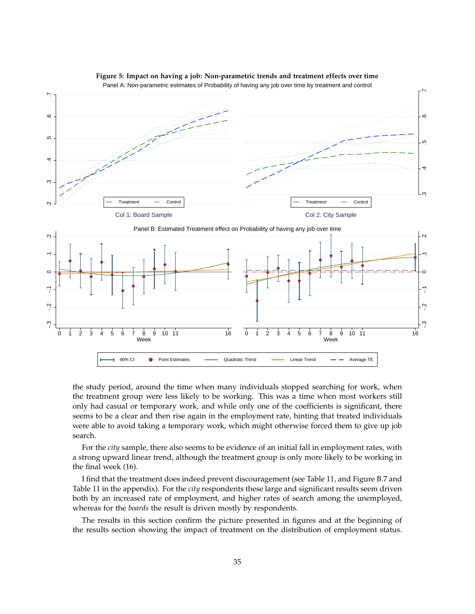

**Figure 5: Impact on having a job: Non-parametric trends and treatment effects over time**

the study period, around the time when many individuals stopped searching for work, when the treatment group were less likely to be working. This was a time when most workers still only had casual or temporary work, and while only one of the coefficients is significant, there seems to be a clear and then rise again in the employment rate, hinting that treated individuals were able to avoid taking a temporary work, which might otherwise forced them to give up job search.

For the *city* sample, there also seems to be evidence of an initial fall in employment rates, with a strong upward linear trend, although the treatment group is only more likely to be working in the final week (16).

I find that the treatment does indeed prevent discouragement (see Table 11, and Figure B.7 and Table 11 in the appendix). For the *city* respondents these large and significant results seem driven both by an increased rate of employment, and higher rates of search among the unemployed, whereas for the *boards* the result is driven mostly by respondents.

The results in this section confirm the picture presented in figures and at the beginning of the results section showing the impact of treatment on the distribution of employment status.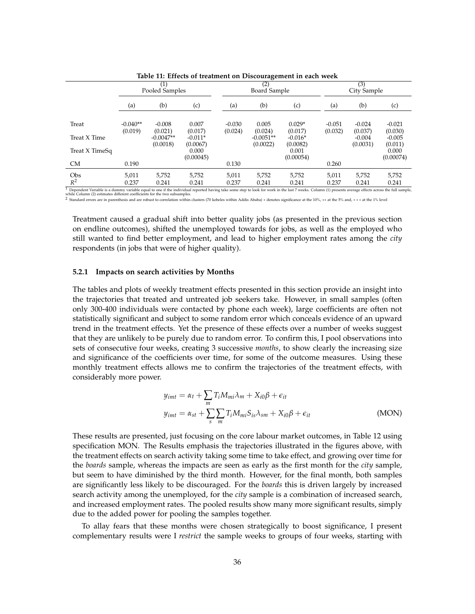|                                                                                                                                                                                                       |                       | $\left( 1\right)$<br>Pooled Samples |                  |                     | (2)<br>Board Sample |                     |                     | (3)<br>City Sample  |                     |  |
|-------------------------------------------------------------------------------------------------------------------------------------------------------------------------------------------------------|-----------------------|-------------------------------------|------------------|---------------------|---------------------|---------------------|---------------------|---------------------|---------------------|--|
|                                                                                                                                                                                                       | (a)                   | (b)                                 | (c)              | (a)                 | (b)                 | (c)                 | (a)                 | (b)                 | (c)                 |  |
|                                                                                                                                                                                                       |                       |                                     |                  |                     |                     |                     |                     |                     |                     |  |
| Treat                                                                                                                                                                                                 | $-0.040**$<br>(0.019) | $-0.008$<br>(0.021)                 | 0.007<br>(0.017) | $-0.030$<br>(0.024) | 0.005<br>(0.024)    | $0.029*$<br>(0.017) | $-0.051$<br>(0.032) | $-0.024$<br>(0.037) | $-0.021$<br>(0.030) |  |
| Treat X Time                                                                                                                                                                                          |                       | $-0.0047**$                         | $-0.011*$        |                     | $-0.0051**$         | $-0.016*$           |                     | $-0.004$            | $-0.005$            |  |
|                                                                                                                                                                                                       |                       | (0.0018)                            | (0.0067)         |                     | (0.0022)            | (0.0082)            |                     | (0.0031)            | (0.011)             |  |
| Treat X TimeSq                                                                                                                                                                                        |                       |                                     | 0.000            |                     |                     | 0.001               |                     |                     | 0.000               |  |
| <b>CM</b>                                                                                                                                                                                             | 0.190                 |                                     | (0.00045)        | 0.130               |                     | (0.00054)           | 0.260               |                     | (0.00074)           |  |
| Obs                                                                                                                                                                                                   | 5.011                 | 5,752                               | 5.752            | 5.011               | 5,752               | 5,752               | 5,011               | 5,752               | 5,752               |  |
| $R^2$                                                                                                                                                                                                 | 0.237                 | 0.241                               | 0.241            | 0.237               | 0.241               | 0.241               | 0.237               | 0.241               | 0.241               |  |
| Dependent Variable is a dummy variable equal to one if the individual reported having take some step to look for work in the last 7 weeks. Column (1) presents average effects across the full sample |                       |                                     |                  |                     |                     |                     |                     |                     |                     |  |

**Table 11: Effects of treatment on Discouragement in each week**

<sup>1</sup> Dependent Variable is a dummy variable equal to one if the individual reported having take some step to look for work in the last 7 weeks. Column (1) presents average effects across the full sample,<br>while Column (2) es

Treatment caused a gradual shift into better quality jobs (as presented in the previous section on endline outcomes), shifted the unemployed towards for jobs, as well as the employed who still wanted to find better employment, and lead to higher employment rates among the *city* respondents (in jobs that were of higher quality).

#### **5.2.1 Impacts on search activities by Months**

The tables and plots of weekly treatment effects presented in this section provide an insight into the trajectories that treated and untreated job seekers take. However, in small samples (often only 300-400 individuals were contacted by phone each week), large coefficients are often not statistically significant and subject to some random error which conceals evidence of an upward trend in the treatment effects. Yet the presence of these effects over a number of weeks suggest that they are unlikely to be purely due to random error. To confirm this, I pool observations into sets of consecutive four weeks, creating 3 successive *months*, to show clearly the increasing size and significance of the coefficients over time, for some of the outcome measures. Using these monthly treatment effects allows me to confirm the trajectories of the treatment effects, with considerably more power.

$$
y_{imt} = \alpha_t + \sum_m T_i M_{mi} \lambda_m + X_{i0} \beta + \epsilon_{it}
$$
  

$$
y_{imt} = \alpha_{st} + \sum_s \sum_m T_i M_{mi} S_{is} \lambda_{sm} + X_{i0} \beta + \epsilon_{it}
$$
 (MON)

These results are presented, just focusing on the core labour market outcomes, in Table 12 using specification MON. The Results emphasis the trajectories illustrated in the figures above, with the treatment effects on search activity taking some time to take effect, and growing over time for the *boards* sample, whereas the impacts are seen as early as the first month for the *city* sample, but seem to have diminished by the third month. However, for the final month, both samples are significantly less likely to be discouraged. For the *boards* this is driven largely by increased search activity among the unemployed, for the *city* sample is a combination of increased search, and increased employment rates. The pooled results show many more significant results, simply due to the added power for pooling the samples together.

To allay fears that these months were chosen strategically to boost significance, I present complementary results were I *restrict* the sample weeks to groups of four weeks, starting with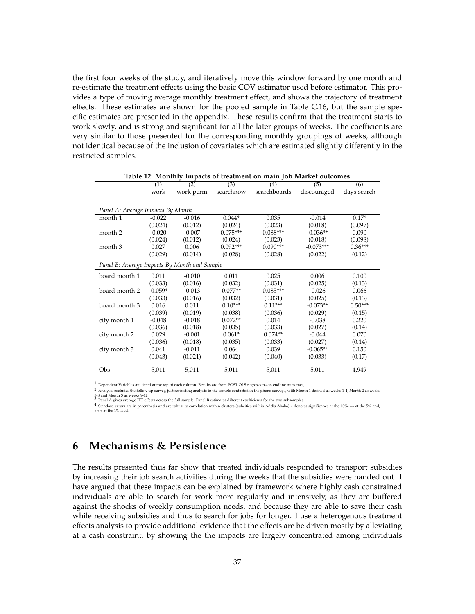the first four weeks of the study, and iteratively move this window forward by one month and re-estimate the treatment effects using the basic COV estimator used before estimator. This provides a type of moving average monthly treatment effect, and shows the trajectory of treatment effects. These estimates are shown for the pooled sample in Table C.16, but the sample specific estimates are presented in the appendix. These results confirm that the treatment starts to work slowly, and is strong and significant for all the later groups of weeks. The coefficients are very similar to those presented for the corresponding monthly groupings of weeks, although not identical because of the inclusion of covariates which are estimated slightly differently in the restricted samples.

|                                              | (1)       | (2)       | (3)        | (4)          | (5)         | (6)         |
|----------------------------------------------|-----------|-----------|------------|--------------|-------------|-------------|
|                                              | work      | work perm | searchnow  | searchboards | discouraged | days search |
|                                              |           |           |            |              |             |             |
| Panel A: Average Impacts By Month            |           |           |            |              |             |             |
| month 1                                      | $-0.022$  | $-0.016$  | $0.044*$   | 0.035        | $-0.014$    | $0.17*$     |
|                                              | (0.024)   | (0.012)   | (0.024)    | (0.023)      | (0.018)     | (0.097)     |
| month 2                                      | $-0.020$  | $-0.007$  | $0.075***$ | $0.088***$   | $-0.036**$  | 0.090       |
|                                              | (0.024)   | (0.012)   | (0.024)    | (0.023)      | (0.018)     | (0.098)     |
| month 3                                      | 0.027     | 0.006     | $0.092***$ | $0.090***$   | $-0.073***$ | $0.36***$   |
|                                              | (0.029)   | (0.014)   | (0.028)    | (0.028)      | (0.022)     | (0.12)      |
| Panel B: Average Impacts By Month and Sample |           |           |            |              |             |             |
| board month 1                                | 0.011     | $-0.010$  | 0.011      | 0.025        | 0.006       | 0.100       |
|                                              | (0.033)   | (0.016)   | (0.032)    | (0.031)      | (0.025)     | (0.13)      |
| board month 2                                | $-0.059*$ | $-0.013$  | $0.077**$  | $0.085***$   | $-0.026$    | 0.066       |
|                                              | (0.033)   | (0.016)   | (0.032)    | (0.031)      | (0.025)     | (0.13)      |
| board month 3                                | 0.016     | 0.011     | $0.10***$  | $0.11***$    | $-0.073**$  | $0.50***$   |
|                                              | (0.039)   | (0.019)   | (0.038)    | (0.036)      | (0.029)     | (0.15)      |
| city month 1                                 | $-0.048$  | $-0.018$  | $0.072**$  | 0.014        | $-0.038$    | 0.220       |
|                                              | (0.036)   | (0.018)   | (0.035)    | (0.033)      | (0.027)     | (0.14)      |
| city month 2                                 | 0.029     | $-0.001$  | $0.061*$   | $0.074**$    | $-0.044$    | 0.070       |
|                                              | (0.036)   | (0.018)   | (0.035)    | (0.033)      | (0.027)     | (0.14)      |
| city month 3                                 | 0.041     | $-0.011$  | 0.064      | 0.039        | $-0.065**$  | 0.150       |
|                                              | (0.043)   | (0.021)   | (0.042)    | (0.040)      | (0.033)     | (0.17)      |
| Obs                                          | 5,011     | 5,011     | 5,011      | 5,011        | 5,011       | 4,949       |

**Table 12: Monthly Impacts of treatment on main Job Market outcomes**

<sup>1</sup> Dependent Variables are listed at the top of each column. Results are from POST-OLS regressions on endline outcomes,

2 Analysis excludes the follow up survey, just restricting analysis to the sample contacted in the phone surveys, with Month 1 defined as weeks 1-4, Month 2 as weeks 5-8 and Month 3 as weeks 9-12.

3 and Montri 5 as weeks 7-12.<br>Panel A gives average ITT effects across the full sample. Panel B estimates different coefficients for the two subsamples.

4 Standard errors are in parenthesis and are robust to correlation within clusters (subcities within Addis Ababa) ∗ denotes significance at the 10%, ∗∗ at the 5% and, ∗ ∗ ∗ at the 1% level

# **6 Mechanisms & Persistence**

The results presented thus far show that treated individuals responded to transport subsidies by increasing their job search activities during the weeks that the subsidies were handed out. I have argued that these impacts can be explained by framework where highly cash constrained individuals are able to search for work more regularly and intensively, as they are buffered against the shocks of weekly consumption needs, and because they are able to save their cash while receiving subsidies and thus to search for jobs for longer. I use a heterogenous treatment effects analysis to provide additional evidence that the effects are be driven mostly by alleviating at a cash constraint, by showing the the impacts are largely concentrated among individuals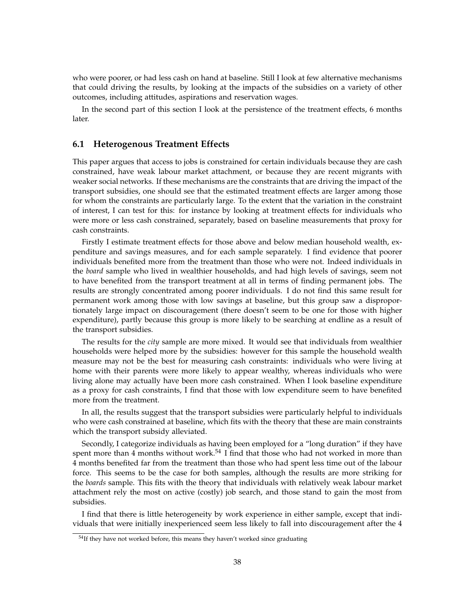who were poorer, or had less cash on hand at baseline. Still I look at few alternative mechanisms that could driving the results, by looking at the impacts of the subsidies on a variety of other outcomes, including attitudes, aspirations and reservation wages.

In the second part of this section I look at the persistence of the treatment effects, 6 months later.

### **6.1 Heterogenous Treatment Effects**

This paper argues that access to jobs is constrained for certain individuals because they are cash constrained, have weak labour market attachment, or because they are recent migrants with weaker social networks. If these mechanisms are the constraints that are driving the impact of the transport subsidies, one should see that the estimated treatment effects are larger among those for whom the constraints are particularly large. To the extent that the variation in the constraint of interest, I can test for this: for instance by looking at treatment effects for individuals who were more or less cash constrained, separately, based on baseline measurements that proxy for cash constraints.

Firstly I estimate treatment effects for those above and below median household wealth, expenditure and savings measures, and for each sample separately. I find evidence that poorer individuals benefited more from the treatment than those who were not. Indeed individuals in the *board* sample who lived in wealthier households, and had high levels of savings, seem not to have benefited from the transport treatment at all in terms of finding permanent jobs. The results are strongly concentrated among poorer individuals. I do not find this same result for permanent work among those with low savings at baseline, but this group saw a disproportionately large impact on discouragement (there doesn't seem to be one for those with higher expenditure), partly because this group is more likely to be searching at endline as a result of the transport subsidies.

The results for the *city* sample are more mixed. It would see that individuals from wealthier households were helped more by the subsidies: however for this sample the household wealth measure may not be the best for measuring cash constraints: individuals who were living at home with their parents were more likely to appear wealthy, whereas individuals who were living alone may actually have been more cash constrained. When I look baseline expenditure as a proxy for cash constraints, I find that those with low expenditure seem to have benefited more from the treatment.

In all, the results suggest that the transport subsidies were particularly helpful to individuals who were cash constrained at baseline, which fits with the theory that these are main constraints which the transport subsidy alleviated.

Secondly, I categorize individuals as having been employed for a "long duration" if they have spent more than  $4$  months without work.<sup>54</sup> I find that those who had not worked in more than 4 months benefited far from the treatment than those who had spent less time out of the labour force. This seems to be the case for both samples, although the results are more striking for the *boards* sample. This fits with the theory that individuals with relatively weak labour market attachment rely the most on active (costly) job search, and those stand to gain the most from subsidies.

I find that there is little heterogeneity by work experience in either sample, except that individuals that were initially inexperienced seem less likely to fall into discouragement after the 4

 $54$ If they have not worked before, this means they haven't worked since graduating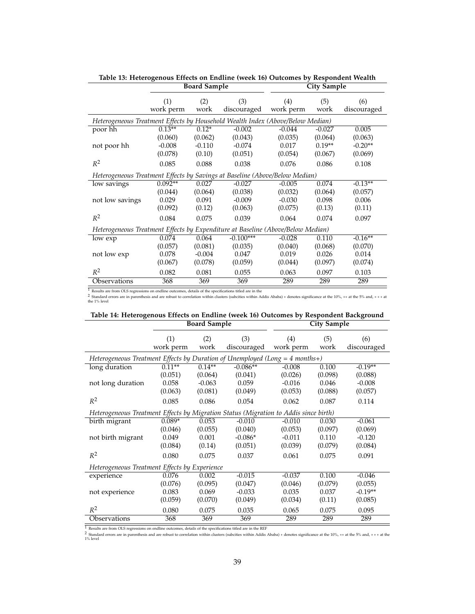|                                                                                 |           | <b>Board Sample</b> |             |           | <b>City Sample</b> |             |
|---------------------------------------------------------------------------------|-----------|---------------------|-------------|-----------|--------------------|-------------|
|                                                                                 | (1)       | (2)                 | (3)         | (4)       | (5)                | (6)         |
|                                                                                 | work perm | work                | discouraged | work perm | work               | discouraged |
| Heterogeneous Treatment Effects by Household Wealth Index (Above/Below Median)  |           |                     |             |           |                    |             |
| poor hh                                                                         | $0.13**$  | $0.12*$             | $-0.002$    | $-0.044$  | $-0.027$           | 0.005       |
|                                                                                 | (0.060)   | (0.062)             | (0.043)     | (0.035)   | (0.064)            | (0.063)     |
| not poor hh                                                                     | $-0.008$  | $-0.110$            | $-0.074$    | 0.017     | $0.19**$           | $-0.20**$   |
|                                                                                 | (0.078)   | (0.10)              | (0.051)     | (0.054)   | (0.067)            | (0.069)     |
| $R^2$                                                                           | 0.085     | 0.088               | 0.038       | 0.076     | 0.086              | 0.108       |
| Heterogeneous Treatment Effects by Savings at Baseline (Above/Below Median)     |           |                     |             |           |                    |             |
| low savings                                                                     | $0.092**$ | 0.027               | $-0.027$    | $-0.005$  | 0.074              | $-0.13**$   |
|                                                                                 | (0.044)   | (0.064)             | (0.038)     | (0.032)   | (0.064)            | (0.057)     |
| not low savings                                                                 | 0.029     | 0.091               | $-0.009$    | $-0.030$  | 0.098              | 0.006       |
|                                                                                 | (0.092)   | (0.12)              | (0.063)     | (0.075)   | (0.13)             | (0.11)      |
| $R^2$                                                                           | 0.084     | 0.075               | 0.039       | 0.064     | 0.074              | 0.097       |
| Heterogeneous Treatment Effects by Expenditure at Baseline (Above/Below Median) |           |                     |             |           |                    |             |
| low exp                                                                         | 0.074     | 0.064               | $-0.100***$ | $-0.028$  | 0.110              | $-0.16**$   |
|                                                                                 | (0.057)   | (0.081)             | (0.035)     | (0.040)   | (0.068)            | (0.070)     |
| not low exp                                                                     | 0.078     | $-0.004$            | 0.047       | 0.019     | 0.026              | 0.014       |
|                                                                                 | (0.067)   | (0.078)             | (0.059)     | (0.044)   | (0.097)            | (0.074)     |
| $R^2$                                                                           | 0.082     | 0.081               | 0.055       | 0.063     | 0.097              | 0.103       |
| Observations                                                                    | 368       | 369                 | 369         | 289       | 289                | 289         |

**Table 13: Heterogenous Effects on Endline (week 16) Outcomes by Respondent Wealth**

1 Results are from OLS regressions on endline outcomes, details of the specifications titled are in the<br>2 Standard erros are in parenthesis and are robust to correlation within clusters (subcities within Addis Ababa) \* den

|                                                                                      |                  | <b>Board Sample</b> |                    |                  | <b>City Sample</b> |                    |
|--------------------------------------------------------------------------------------|------------------|---------------------|--------------------|------------------|--------------------|--------------------|
|                                                                                      | (1)<br>work perm | (2)<br>work         | (3)<br>discouraged | (4)<br>work perm | (5)<br>work        | (6)<br>discouraged |
| Heterogeneous Treatment Effects by Duration of Unemployed (Long = $4$ months+)       |                  |                     |                    |                  |                    |                    |
| long duration                                                                        | $0.11**$         | $0.14**$            | $-0.086**$         | $-0.008$         | 0.100              | $-0.19**$          |
|                                                                                      | (0.051)          | (0.064)             | (0.041)            | (0.026)          | (0.098)            | (0.088)            |
| not long duration                                                                    | 0.058            | $-0.063$            | 0.059              | $-0.016$         | 0.046              | $-0.008$           |
|                                                                                      | (0.063)          | (0.081)             | (0.049)            | (0.053)          | (0.088)            | (0.057)            |
| $R^2$                                                                                | 0.085            | 0.086               | 0.054              | 0.062            | 0.087              | 0.114              |
| Heterogeneous Treatment Effects by Migration Status (Migration to Addis since birth) |                  |                     |                    |                  |                    |                    |
| birth migrant                                                                        | $0.089*$         | 0.053               | $-0.010$           | $-0.010$         | 0.030              | $-0.061$           |
|                                                                                      | (0.046)          | (0.055)             | (0.040)            | (0.053)          | (0.097)            | (0.069)            |
| not birth migrant                                                                    | 0.049            | 0.001               | $-0.086*$          | $-0.011$         | 0.110              | $-0.120$           |
|                                                                                      | (0.084)          | (0.14)              | (0.051)            | (0.039)          | (0.079)            | (0.084)            |
| $R^2$                                                                                | 0.080            | 0.075               | 0.037              | 0.061            | 0.075              | 0.091              |
| Heterogeneous Treatment Effects by Experience                                        |                  |                     |                    |                  |                    |                    |
| experience                                                                           | 0.076            | 0.002               | $-0.015$           | $-0.037$         | 0.100              | $-0.046$           |
|                                                                                      | (0.076)          | (0.095)             | (0.047)            | (0.046)          | (0.079)            | (0.055)            |
| not experience                                                                       | 0.083            | 0.069               | $-0.033$           | 0.035            | 0.037              | $-0.19**$          |
|                                                                                      | (0.059)          | (0.070)             | (0.049)            | (0.034)          | (0.11)             | (0.085)            |
| $R^2$                                                                                | 0.080            | 0.075               | 0.035              | 0.065            | 0.075              | 0.095              |
| Observations                                                                         | 368              | 369                 | 369                | 289              | 289                | 289                |

|                     | Table 14: Heterogenous Effects on Endline (week 16) Outcomes by Respondent Background |
|---------------------|---------------------------------------------------------------------------------------|
| <b>Board Sample</b> | City Sample                                                                           |

1 Results are from OLS regressions on endline outcomes, details of the specifications titled are in the REF<br>2 Standard errors are in parenthesis and are robust to correlation within clusters (subcities within Addis Ababa)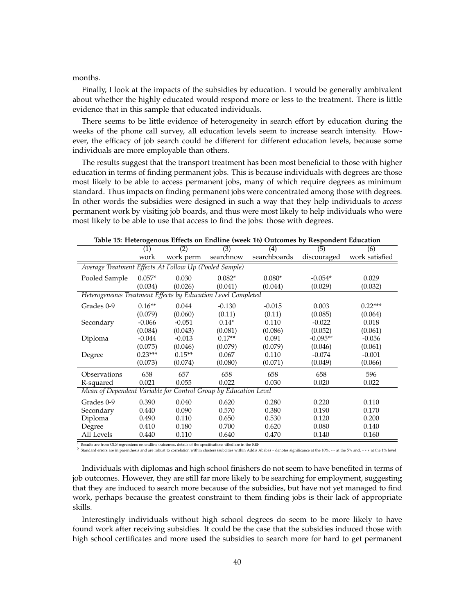#### months.

Finally, I look at the impacts of the subsidies by education. I would be generally ambivalent about whether the highly educated would respond more or less to the treatment. There is little evidence that in this sample that educated individuals.

There seems to be little evidence of heterogeneity in search effort by education during the weeks of the phone call survey, all education levels seem to increase search intensity. However, the efficacy of job search could be different for different education levels, because some individuals are more employable than others.

The results suggest that the transport treatment has been most beneficial to those with higher education in terms of finding permanent jobs. This is because individuals with degrees are those most likely to be able to access permanent jobs, many of which require degrees as minimum standard. Thus impacts on finding permanent jobs were concentrated among those with degrees. In other words the subsidies were designed in such a way that they help individuals to *access* permanent work by visiting job boards, and thus were most likely to help individuals who were most likely to be able to use that access to find the jobs: those with degrees.

|                                                                 |           |           |           | Table 15. Heterogenous Effects on Enumie (week 10) Outcomes by Respondent Equitation |             |                |
|-----------------------------------------------------------------|-----------|-----------|-----------|--------------------------------------------------------------------------------------|-------------|----------------|
|                                                                 | (1)       | (2)       | (3)       | $\overline{(4)}$                                                                     | (5)         | (6)            |
|                                                                 | work      | work perm | searchnow | searchboards                                                                         | discouraged | work satisfied |
| Average Treatment Effects At Follow Up (Pooled Sample)          |           |           |           |                                                                                      |             |                |
| Pooled Sample                                                   | $0.057*$  | 0.030     | $0.082*$  | $0.080*$                                                                             | $-0.054*$   | 0.029          |
|                                                                 | (0.034)   | (0.026)   | (0.041)   | (0.044)                                                                              | (0.029)     | (0.032)        |
| Heterogeneous Treatment Effects by Education Level Completed    |           |           |           |                                                                                      |             |                |
| Grades 0-9                                                      | $0.16**$  | 0.044     | $-0.130$  | $-0.015$                                                                             | 0.003       | $0.22***$      |
|                                                                 | (0.079)   | (0.060)   | (0.11)    | (0.11)                                                                               | (0.085)     | (0.064)        |
| Secondary                                                       | $-0.066$  | $-0.051$  | $0.14*$   | 0.110                                                                                | $-0.022$    | 0.018          |
|                                                                 | (0.084)   | (0.043)   | (0.081)   | (0.086)                                                                              | (0.052)     | (0.061)        |
| Diploma                                                         | $-0.044$  | $-0.013$  | $0.17**$  | 0.091                                                                                | $-0.095**$  | $-0.056$       |
|                                                                 | (0.075)   | (0.046)   | (0.079)   | (0.079)                                                                              | (0.046)     | (0.061)        |
| Degree                                                          | $0.23***$ | $0.15**$  | 0.067     | 0.110                                                                                | $-0.074$    | $-0.001$       |
|                                                                 | (0.073)   | (0.074)   | (0.080)   | (0.071)                                                                              | (0.049)     | (0.066)        |
| Observations                                                    | 658       | 657       | 658       | 658                                                                                  | 658         | 596            |
| R-squared                                                       | 0.021     | 0.055     | 0.022     | 0.030                                                                                | 0.020       | 0.022          |
| Mean of Dependent Variable for Control Group by Education Level |           |           |           |                                                                                      |             |                |
| Grades 0-9                                                      | 0.390     | 0.040     | 0.620     | 0.280                                                                                | 0.220       | 0.110          |
| Secondary                                                       | 0.440     | 0.090     | 0.570     | 0.380                                                                                | 0.190       | 0.170          |
| Diploma                                                         | 0.490     | 0.110     | 0.650     | 0.530                                                                                | 0.120       | 0.200          |
| Degree                                                          | 0.410     | 0.180     | 0.700     | 0.620                                                                                | 0.080       | 0.140          |
| All Levels                                                      | 0.440     | 0.110     | 0.640     | 0.470                                                                                | 0.140       | 0.160          |

**Table 15: Heterogenous Effects on Endline (week 16) Outcomes by Respondent Education**

 $\overline{1}$  Results are from OLS regressions on endline outcomes, details of the specifications titled are in the REF

<sup>2</sup> Standard errors are in parenthesis and are robust to correlation within clusters (subcities within Addis Ababa) ∗ denotes significance at the 10%, ∗\* at the 5% and, ∗\* \* at the 1% level

Individuals with diplomas and high school finishers do not seem to have benefited in terms of job outcomes. However, they are still far more likely to be searching for employment, suggesting that they are induced to search more because of the subsidies, but have not yet managed to find work, perhaps because the greatest constraint to them finding jobs is their lack of appropriate skills.

Interestingly individuals without high school degrees do seem to be more likely to have found work after receiving subsidies. It could be the case that the subsidies induced those with high school certificates and more used the subsidies to search more for hard to get permanent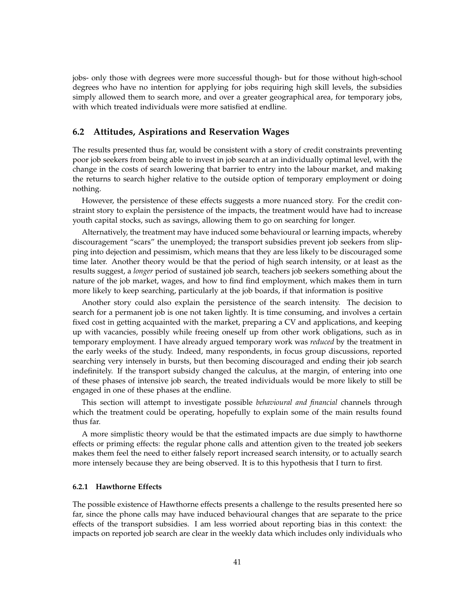jobs- only those with degrees were more successful though- but for those without high-school degrees who have no intention for applying for jobs requiring high skill levels, the subsidies simply allowed them to search more, and over a greater geographical area, for temporary jobs, with which treated individuals were more satisfied at endline.

## **6.2 Attitudes, Aspirations and Reservation Wages**

The results presented thus far, would be consistent with a story of credit constraints preventing poor job seekers from being able to invest in job search at an individually optimal level, with the change in the costs of search lowering that barrier to entry into the labour market, and making the returns to search higher relative to the outside option of temporary employment or doing nothing.

However, the persistence of these effects suggests a more nuanced story. For the credit constraint story to explain the persistence of the impacts, the treatment would have had to increase youth capital stocks, such as savings, allowing them to go on searching for longer.

Alternatively, the treatment may have induced some behavioural or learning impacts, whereby discouragement "scars" the unemployed; the transport subsidies prevent job seekers from slipping into dejection and pessimism, which means that they are less likely to be discouraged some time later. Another theory would be that the period of high search intensity, or at least as the results suggest, a *longer* period of sustained job search, teachers job seekers something about the nature of the job market, wages, and how to find find employment, which makes them in turn more likely to keep searching, particularly at the job boards, if that information is positive

Another story could also explain the persistence of the search intensity. The decision to search for a permanent job is one not taken lightly. It is time consuming, and involves a certain fixed cost in getting acquainted with the market, preparing a CV and applications, and keeping up with vacancies, possibly while freeing oneself up from other work obligations, such as in temporary employment. I have already argued temporary work was *reduced* by the treatment in the early weeks of the study. Indeed, many respondents, in focus group discussions, reported searching very intensely in bursts, but then becoming discouraged and ending their job search indefinitely. If the transport subsidy changed the calculus, at the margin, of entering into one of these phases of intensive job search, the treated individuals would be more likely to still be engaged in one of these phases at the endline.

This section will attempt to investigate possible *behavioural and financial* channels through which the treatment could be operating, hopefully to explain some of the main results found thus far.

A more simplistic theory would be that the estimated impacts are due simply to hawthorne effects or priming effects: the regular phone calls and attention given to the treated job seekers makes them feel the need to either falsely report increased search intensity, or to actually search more intensely because they are being observed. It is to this hypothesis that I turn to first.

#### **6.2.1 Hawthorne Effects**

The possible existence of Hawthorne effects presents a challenge to the results presented here so far, since the phone calls may have induced behavioural changes that are separate to the price effects of the transport subsidies. I am less worried about reporting bias in this context: the impacts on reported job search are clear in the weekly data which includes only individuals who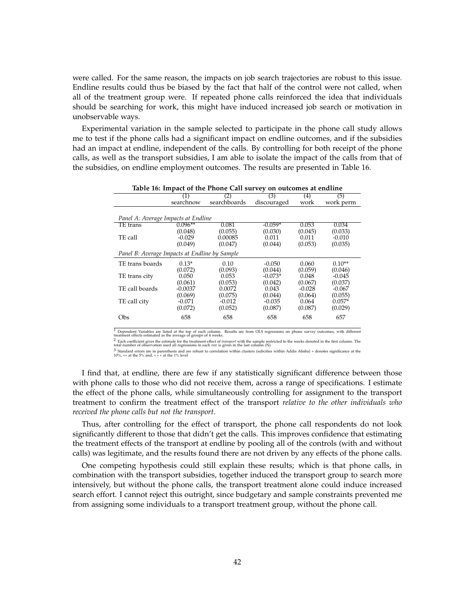were called. For the same reason, the impacts on job search trajectories are robust to this issue. Endline results could thus be biased by the fact that half of the control were not called, when all of the treatment group were. If repeated phone calls reinforced the idea that individuals should be searching for work, this might have induced increased job search or motivation in unobservable ways.

Experimental variation in the sample selected to participate in the phone call study allows me to test if the phone calls had a significant impact on endline outcomes, and if the subsidies had an impact at endline, independent of the calls. By controlling for both receipt of the phone calls, as well as the transport subsidies, I am able to isolate the impact of the calls from that of the subsidies, on endline employment outcomes. The results are presented in Table 16.

| Table 16: Impact of the Phone Call survey on outcomes at endline |           |              |             |                   |           |  |  |  |  |  |  |
|------------------------------------------------------------------|-----------|--------------|-------------|-------------------|-----------|--|--|--|--|--|--|
|                                                                  | (1)       | (2)          | (3)         | $\left( 4\right)$ | (5)       |  |  |  |  |  |  |
|                                                                  | searchnow | searchboards | discouraged | work              | work perm |  |  |  |  |  |  |
|                                                                  |           |              |             |                   |           |  |  |  |  |  |  |
| Panel A: Average Impacts at Endline                              |           |              |             |                   |           |  |  |  |  |  |  |
| TE trans                                                         | $0.096**$ | 0.081        | $-0.059*$   | 0.053             | 0.034     |  |  |  |  |  |  |
|                                                                  | (0.048)   | (0.055)      | (0.030)     | (0.045)           | (0.033)   |  |  |  |  |  |  |
| TE call                                                          | $-0.029$  | 0.00085      | 0.011       | 0.011             | $-0.010$  |  |  |  |  |  |  |
|                                                                  | (0.049)   | (0.047)      | (0.044)     | (0.053)           | (0.035)   |  |  |  |  |  |  |
| Panel B: Average Impacts at Endline by Sample                    |           |              |             |                   |           |  |  |  |  |  |  |
| TE trans boards                                                  | $0.13*$   | 0.10         | $-0.050$    | 0.060             | $0.10**$  |  |  |  |  |  |  |
|                                                                  | (0.072)   | (0.093)      | (0.044)     | (0.059)           | (0.046)   |  |  |  |  |  |  |
| TE trans city                                                    | 0.050     | 0.053        | $-0.073*$   | 0.048             | $-0.045$  |  |  |  |  |  |  |
|                                                                  | (0.061)   | (0.053)      | (0.042)     | (0.067)           | (0.037)   |  |  |  |  |  |  |
| TE call boards                                                   | $-0.0037$ | 0.0072       | 0.043       | $-0.028$          | $-0.067$  |  |  |  |  |  |  |
|                                                                  | (0.069)   | (0.075)      | (0.044)     | (0.064)           | (0.055)   |  |  |  |  |  |  |
| TE call city                                                     | $-0.071$  | $-0.012$     | $-0.035$    | 0.064             | $0.057*$  |  |  |  |  |  |  |
|                                                                  | (0.072)   | (0.052)      | (0.087)     | (0.087)           | (0.029)   |  |  |  |  |  |  |
| Obs                                                              | 658       | 658          | 658         | 658               | 657       |  |  |  |  |  |  |

**Table 16: Impact of the Phone Call survey on outcomes at endline**

 $^1$  Dependent Variables are listed at the top of each column. Results are from OLS regressions on phone survey outcomes, with different<br>treatment effects estimated as the average of groups of 4 weeks.

 $^2$  Each coefficient gives the estimate for the treatment effect of *transport* with the sample restricted to the weeks denoted in the first column. The total number of observation used all regressions in each *row* is g

3 Standard errors are in parenthesis and are robust to correlation within clusters (subcities within Addis Ababa) ∗ denotes significance at the 10%, ∗∗ at the 5% and, ∗ ∗ ∗ at the 1% level

I find that, at endline, there are few if any statistically significant difference between those with phone calls to those who did not receive them, across a range of specifications. I estimate the effect of the phone calls, while simultaneously controlling for assignment to the transport treatment to confirm the treatment effect of the transport *relative to the other individuals who received the phone calls but not the transport*.

Thus, after controlling for the effect of transport, the phone call respondents do not look significantly different to those that didn't get the calls. This improves confidence that estimating the treatment effects of the transport at endline by pooling all of the controls (with and without calls) was legitimate, and the results found there are not driven by any effects of the phone calls.

One competing hypothesis could still explain these results; which is that phone calls, in combination with the transport subsidies, together induced the transport group to search more intensively, but without the phone calls, the transport treatment alone could induce increased search effort. I cannot reject this outright, since budgetary and sample constraints prevented me from assigning some individuals to a transport treatment group, without the phone call.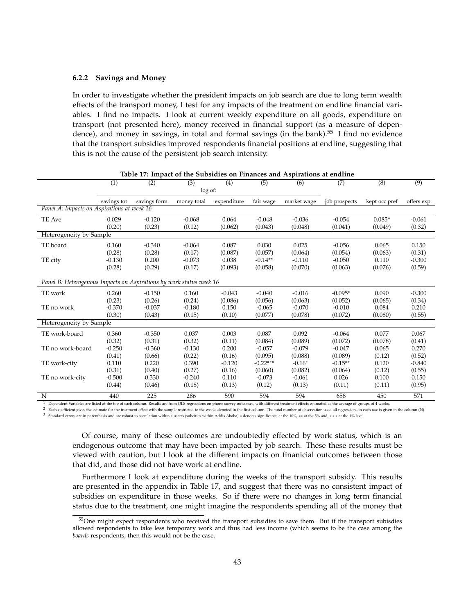#### **6.2.2 Savings and Money**

In order to investigate whether the president impacts on job search are due to long term wealth effects of the transport money, I test for any impacts of the treatment on endline financial variables. I find no impacts. I look at current weekly expenditure on all goods, expenditure on transport (not presented here), money received in financial support (as a measure of dependence), and money in savings, in total and formal savings (in the bank).<sup>55</sup> I find no evidence that the transport subsidies improved respondents financial positions at endline, suggesting that this is not the cause of the persistent job search intensity.

|                                                                     | $\overline{(1)}$ | $\overline{(2)}$                                                                                                                                                                                                                                                                                   | (3)      | (4)      | $\overline{(5)}$ | (6)      | (7)       | (8)     | $\overline{(9)}$ |
|---------------------------------------------------------------------|------------------|----------------------------------------------------------------------------------------------------------------------------------------------------------------------------------------------------------------------------------------------------------------------------------------------------|----------|----------|------------------|----------|-----------|---------|------------------|
|                                                                     |                  |                                                                                                                                                                                                                                                                                                    |          |          |                  |          |           |         |                  |
|                                                                     | savings tot      | log of:<br>savings form<br>expenditure<br>fair wage<br>market wage<br>money total<br>job prospects<br>kept occ pref<br>0.029<br>$-0.120$<br>$-0.068$<br>0.064<br>$-0.048$<br>$-0.036$<br>$-0.054$<br>$0.085*$<br>(0.23)<br>(0.12)<br>(0.062)<br>(0.043)<br>(0.048)<br>(0.20)<br>(0.041)<br>(0.049) |          |          |                  |          |           |         | offers exp       |
| Panel A: Impacts on Aspirations at week 16                          |                  |                                                                                                                                                                                                                                                                                                    |          |          |                  |          |           |         |                  |
| TE Ave                                                              |                  |                                                                                                                                                                                                                                                                                                    |          |          |                  |          |           |         | $-0.061$         |
|                                                                     |                  |                                                                                                                                                                                                                                                                                                    |          |          |                  |          |           |         | (0.32)           |
| Heterogeneity by Sample                                             |                  |                                                                                                                                                                                                                                                                                                    |          |          |                  |          |           |         |                  |
| TE board                                                            | 0.160            | $-0.340$                                                                                                                                                                                                                                                                                           | $-0.064$ | 0.087    | 0.030            | 0.025    | $-0.056$  | 0.065   | 0.150            |
|                                                                     | (0.28)           | (0.28)                                                                                                                                                                                                                                                                                             | (0.17)   | (0.087)  | (0.057)          | (0.064)  | (0.054)   | (0.063) | (0.31)           |
| TE city                                                             | $-0.130$         | 0.200                                                                                                                                                                                                                                                                                              | $-0.073$ | 0.038    | $-0.14**$        | $-0.110$ | $-0.050$  | 0.110   | $-0.300$         |
|                                                                     | (0.28)           | (0.29)                                                                                                                                                                                                                                                                                             | (0.17)   | (0.093)  | (0.058)          | (0.070)  | (0.063)   | (0.076) | (0.59)           |
|                                                                     |                  |                                                                                                                                                                                                                                                                                                    |          |          |                  |          |           |         |                  |
| Panel B: Heterogenous Impacts on Aspirations by work status week 16 |                  |                                                                                                                                                                                                                                                                                                    |          |          |                  |          |           |         |                  |
| TE work                                                             | 0.260            | $-0.150$                                                                                                                                                                                                                                                                                           | 0.160    | $-0.043$ | $-0.040$         | $-0.016$ | $-0.095*$ | 0.090   | $-0.300$         |
|                                                                     | (0.23)           | (0.26)                                                                                                                                                                                                                                                                                             | (0.24)   | (0.086)  | (0.056)          | (0.063)  | (0.052)   | (0.065) | (0.34)           |
| TE no work                                                          | $-0.370$         | $-0.037$                                                                                                                                                                                                                                                                                           | $-0.180$ | 0.150    | $-0.065$         | $-0.070$ | $-0.010$  | 0.084   | 0.210            |
|                                                                     | (0.30)           | (0.43)                                                                                                                                                                                                                                                                                             | (0.15)   | (0.10)   | (0.077)          | (0.078)  | (0.072)   | (0.080) | (0.55)           |
| Heterogeneity by Sample                                             |                  |                                                                                                                                                                                                                                                                                                    |          |          |                  |          |           |         |                  |
| TE work-board                                                       | 0.360            | $-0.350$                                                                                                                                                                                                                                                                                           | 0.037    | 0.003    | 0.087            | 0.092    | $-0.064$  | 0.077   | 0.067            |
|                                                                     | (0.32)           | (0.31)                                                                                                                                                                                                                                                                                             | (0.32)   | (0.11)   | (0.084)          | (0.089)  | (0.072)   | (0.078) | (0.41)           |
| TE no work-board                                                    | $-0.250$         | $-0.360$                                                                                                                                                                                                                                                                                           | $-0.130$ | 0.200    | $-0.057$         | $-0.079$ | $-0.047$  | 0.065   | 0.270            |
|                                                                     | (0.41)           | (0.66)                                                                                                                                                                                                                                                                                             | (0.22)   | (0.16)   | (0.095)          | (0.088)  | (0.089)   | (0.12)  | (0.52)           |
| TE work-city                                                        | 0.110            | 0.220                                                                                                                                                                                                                                                                                              | 0.390    | $-0.120$ | $-0.22***$       | $-0.16*$ | $-0.15**$ | 0.120   | $-0.840$         |
|                                                                     | (0.31)           | (0.40)                                                                                                                                                                                                                                                                                             | (0.27)   | (0.16)   | (0.060)          | (0.082)  | (0.064)   | (0.12)  | (0.55)           |
| TE no work-city                                                     | $-0.500$         | 0.330                                                                                                                                                                                                                                                                                              | $-0.240$ | 0.110    | $-0.073$         | $-0.061$ | 0.026     | 0.100   | 0.150            |
|                                                                     | (0.44)           | (0.46)                                                                                                                                                                                                                                                                                             | (0.18)   | (0.13)   | (0.12)           | (0.13)   | (0.11)    | (0.11)  | (0.95)           |
| N                                                                   | 440              | $\overline{225}$                                                                                                                                                                                                                                                                                   | 286      | 590      | 594              | 594      | 658       | 450     | 571              |

**Table 17: Impact of the Subsidies on Finances and Aspirations at endline**

Dependent Variables are listed at the top of each column. Results are from OLS regressions on phone survey outcomes, with different treatment effects estimated as the average of groups of 4 weeks.

<sup>2</sup> Each coefficient gives the estimate for the treatment effect with the sample restricted to the weeks denoted in the first column. The total number of observation used all regressions in each row is given in the column 3 Standard errors are in parenthesis and are robust to correlation within clusters (subcities within Addis Ababa) ∗ denotes significance at the 10%, ∗∗ at the 5% and, ∗ ∗ ∗ at the 1% level

Of course, many of these outcomes are undoubtedly effected by work status, which is an endogenous outcome that may have been impacted by job search. These these results must be viewed with caution, but I look at the different impacts on finanicial outcomes between those that did, and those did not have work at endline.

Furthermore I look at expenditure during the weeks of the transport subsidy. This results are presented in the appendix in Table 17, and suggest that there was no consistent impact of subsidies on expenditure in those weeks. So if there were no changes in long term financial status due to the treatment, one might imagine the respondents spending all of the money that

<sup>&</sup>lt;sup>55</sup>One might expect respondents who received the transport subsidies to save them. But if the transport subisdies allowed respondents to take less temporary work and thus had less income (which seems to be the case among the *boards* respondents, then this would not be the case.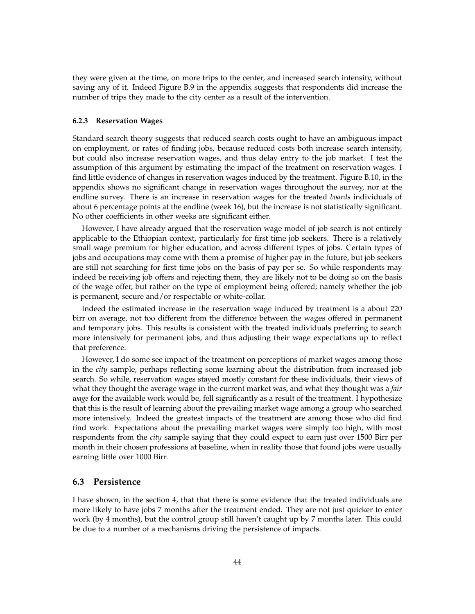they were given at the time, on more trips to the center, and increased search intensity, without saving any of it. Indeed Figure B.9 in the appendix suggests that respondents did increase the number of trips they made to the city center as a result of the intervention.

#### **6.2.3 Reservation Wages**

Standard search theory suggests that reduced search costs ought to have an ambiguous impact on employment, or rates of finding jobs, because reduced costs both increase search intensity, but could also increase reservation wages, and thus delay entry to the job market. I test the assumption of this argument by estimating the impact of the treatment on reservation wages. I find little evidence of changes in reservation wages induced by the treatment. Figure B.10, in the appendix shows no significant change in reservation wages throughout the survey, nor at the endline survey. There is an increase in reservation wages for the treated *boards* individuals of about 6 percentage points at the endline (week 16), but the increase is not statistically significant. No other coefficients in other weeks are significant either.

However, I have already argued that the reservation wage model of job search is not entirely applicable to the Ethiopian context, particularly for first time job seekers. There is a relatively small wage premium for higher education, and across different types of jobs. Certain types of jobs and occupations may come with them a promise of higher pay in the future, but job seekers are still not searching for first time jobs on the basis of pay per se. So while respondents may indeed be receiving job offers and rejecting them, they are likely not to be doing so on the basis of the wage offer, but rather on the type of employment being offered; namely whether the job is permanent, secure and/or respectable or white-collar.

Indeed the estimated increase in the reservation wage induced by treatment is a about 220 birr on average, not too different from the difference between the wages offered in permanent and temporary jobs. This results is consistent with the treated individuals preferring to search more intensively for permanent jobs, and thus adjusting their wage expectations up to reflect that preference.

However, I do some see impact of the treatment on perceptions of market wages among those in the *city* sample, perhaps reflecting some learning about the distribution from increased job search. So while, reservation wages stayed mostly constant for these individuals, their views of what they thought the average wage in the current market was, and what they thought was a *fair wage* for the available work would be, fell significantly as a result of the treatment. I hypothesize that this is the result of learning about the prevailing market wage among a group who searched more intensively. Indeed the greatest impacts of the treatment are among those who did find find work. Expectations about the prevailing market wages were simply too high, with most respondents from the *city* sample saying that they could expect to earn just over 1500 Birr per month in their chosen professions at baseline, when in reality those that found jobs were usually earning little over 1000 Birr.

## **6.3 Persistence**

I have shown, in the section 4, that that there is some evidence that the treated individuals are more likely to have jobs 7 months after the treatment ended. They are not just quicker to enter work (by 4 months), but the control group still haven't caught up by 7 months later. This could be due to a number of a mechanisms driving the persistence of impacts.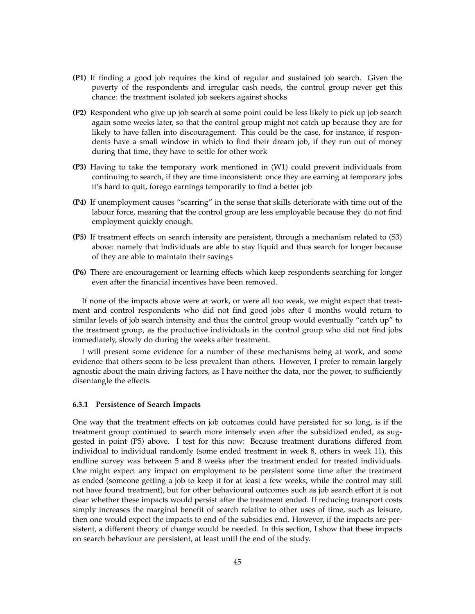- **(P1)** If finding a good job requires the kind of regular and sustained job search. Given the poverty of the respondents and irregular cash needs, the control group never get this chance: the treatment isolated job seekers against shocks
- **(P2)** Respondent who give up job search at some point could be less likely to pick up job search again some weeks later, so that the control group might not catch up because they are for likely to have fallen into discouragement. This could be the case, for instance, if respondents have a small window in which to find their dream job, if they run out of money during that time, they have to settle for other work
- **(P3)** Having to take the temporary work mentioned in (W1) could prevent individuals from continuing to search, if they are time inconsistent: once they are earning at temporary jobs it's hard to quit, forego earnings temporarily to find a better job
- **(P4)** If unemployment causes "scarring" in the sense that skills deteriorate with time out of the labour force, meaning that the control group are less employable because they do not find employment quickly enough.
- **(P5)** If treatment effects on search intensity are persistent, through a mechanism related to (S3) above: namely that individuals are able to stay liquid and thus search for longer because of they are able to maintain their savings
- **(P6)** There are encouragement or learning effects which keep respondents searching for longer even after the financial incentives have been removed.

If none of the impacts above were at work, or were all too weak, we might expect that treatment and control respondents who did not find good jobs after 4 months would return to similar levels of job search intensity and thus the control group would eventually "catch up" to the treatment group, as the productive individuals in the control group who did not find jobs immediately, slowly do during the weeks after treatment.

I will present some evidence for a number of these mechanisms being at work, and some evidence that others seem to be less prevalent than others. However, I prefer to remain largely agnostic about the main driving factors, as I have neither the data, nor the power, to sufficiently disentangle the effects.

#### **6.3.1 Persistence of Search Impacts**

One way that the treatment effects on job outcomes could have persisted for so long, is if the treatment group continued to search more intensely even after the subsidized ended, as suggested in point (P5) above. I test for this now: Because treatment durations differed from individual to individual randomly (some ended treatment in week 8, others in week 11), this endline survey was between 5 and 8 weeks after the treatment ended for treated individuals. One might expect any impact on employment to be persistent some time after the treatment as ended (someone getting a job to keep it for at least a few weeks, while the control may still not have found treatment), but for other behavioural outcomes such as job search effort it is not clear whether these impacts would persist after the treatment ended. If reducing transport costs simply increases the marginal benefit of search relative to other uses of time, such as leisure, then one would expect the impacts to end of the subsidies end. However, if the impacts are persistent, a different theory of change would be needed. In this section, I show that these impacts on search behaviour are persistent, at least until the end of the study.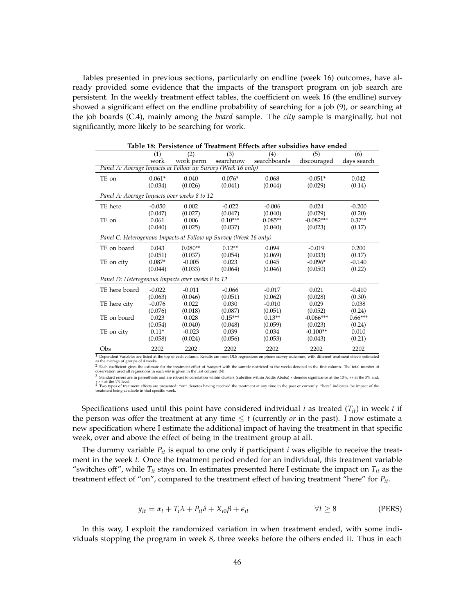Tables presented in previous sections, particularly on endline (week 16) outcomes, have already provided some evidence that the impacts of the transport program on job search are persistent. In the weekly treatment effect tables, the coefficient on week 16 (the endline) survey showed a significant effect on the endline probability of searching for a job (9), or searching at the job boards (C.4), mainly among the *board* sample. The *city* sample is marginally, but not significantly, more likely to be searching for work.

|                                                                                                                                                                                                        | (1)      | (2)       | (3)       | (4)          | (5)         | (6)         |
|--------------------------------------------------------------------------------------------------------------------------------------------------------------------------------------------------------|----------|-----------|-----------|--------------|-------------|-------------|
|                                                                                                                                                                                                        | work     | work perm | searchnow | searchboards | discouraged | days search |
| Panel A: Average Impacts at Follow up Survey (Week 16 only)                                                                                                                                            |          |           |           |              |             |             |
| TE on                                                                                                                                                                                                  | $0.061*$ | 0.040     | $0.076*$  | 0.068        | $-0.051*$   | 0.042       |
|                                                                                                                                                                                                        | (0.034)  | (0.026)   | (0.041)   | (0.044)      | (0.029)     | (0.14)      |
| Panel A: Average Impacts over weeks 8 to 12                                                                                                                                                            |          |           |           |              |             |             |
| TE here                                                                                                                                                                                                | $-0.050$ | 0.002     | $-0.022$  | $-0.006$     | 0.024       | $-0.200$    |
|                                                                                                                                                                                                        | (0.047)  | (0.027)   | (0.047)   | (0.040)      | (0.029)     | (0.20)      |
| TE on                                                                                                                                                                                                  | 0.061    | 0.006     | $0.10***$ | $0.085**$    | $-0.082***$ | $0.37**$    |
|                                                                                                                                                                                                        | (0.040)  | (0.025)   | (0.037)   | (0.040)      | (0.023)     | (0.17)      |
| Panel C: Heterogenous Impacts at Follow up Survey (Week 16 only)                                                                                                                                       |          |           |           |              |             |             |
| TE on board                                                                                                                                                                                            | 0.043    | $0.080**$ | $0.12**$  | 0.094        | $-0.019$    | 0.200       |
|                                                                                                                                                                                                        | (0.051)  | (0.037)   | (0.054)   | (0.069)      | (0.033)     | (0.17)      |
| TE on city                                                                                                                                                                                             | $0.087*$ | $-0.005$  | 0.023     | 0.045        | $-0.096*$   | $-0.140$    |
|                                                                                                                                                                                                        | (0.044)  | (0.033)   | (0.064)   | (0.046)      | (0.050)     | (0.22)      |
| Panel D: Heterogenous Impacts over weeks 8 to 12                                                                                                                                                       |          |           |           |              |             |             |
| TE here board                                                                                                                                                                                          | $-0.022$ | $-0.011$  | $-0.066$  | $-0.017$     | 0.021       | $-0.410$    |
|                                                                                                                                                                                                        | (0.063)  | (0.046)   | (0.051)   | (0.062)      | (0.028)     | (0.30)      |
| TE here city                                                                                                                                                                                           | $-0.076$ | 0.022     | 0.030     | $-0.010$     | 0.029       | 0.038       |
|                                                                                                                                                                                                        | (0.076)  | (0.018)   | (0.087)   | (0.051)      | (0.052)     | (0.24)      |
| TE on board                                                                                                                                                                                            | 0.023    | 0.028     | $0.15***$ | $0.13**$     | $-0.066***$ | $0.66***$   |
|                                                                                                                                                                                                        | (0.054)  | (0.040)   | (0.048)   | (0.059)      | (0.023)     | (0.24)      |
| TE on city                                                                                                                                                                                             | $0.11*$  | $-0.023$  | 0.039     | 0.034        | $-0.100**$  | 0.010       |
|                                                                                                                                                                                                        | (0.058)  | (0.024)   | (0.056)   | (0.053)      | (0.043)     | (0.21)      |
| Obs                                                                                                                                                                                                    | 2202     | 2202      | 2202      | 2202         | 2202        | 2202        |
| Dependent Variables are listed at the top of each column. Results are from OLS regressions on phone survey outcomes, with different treatment effects estimated<br>se the syprage of groupe of 4 weeks |          |           |           |              |             |             |

**Table 18: Persistence of Treatment Effects after subsidies have ended**

as the average of groups of 4 weeks.<br><sup>2</sup> Each coefficient gives the estimate for the treatment effect of *transport* with the sample restricted to the weeks denoted in the first column. The total number of<br>observation used

3 Standard errors are in parenthesis and are robust to correlation within clusters (subcities within Addis Ababa) ∗ denotes significance at the 10%, ∗∗ at the 5% and,

\* \* \* at the 1% level<br><sup>4</sup> Two types of treatment effects are presented: "on" denotes having received the treatment at any time in the past or currently. "here" indicates the impact of the<br>treatment being available in that

Specifications used until this point have considered individual *i* as treated  $(T_{it})$  in week *t* if the person was offer the treatment at any time  $\leq t$  (currently *or* in the past). I now estimate a new specification where I estimate the additional impact of having the treatment in that specific week, over and above the effect of being in the treatment group at all.

The dummy variable *Pit* is equal to one only if participant *i* was eligible to receive the treatment in the week *t*. Once the treatment period ended for an individual, this treatment variable "switches off", while  $T_{it}$  stays on. In estimates presented here I estimate the impact on  $T_{it}$  as the treatment effect of "on", compared to the treatment effect of having treatment "here" for *Pit*.

$$
y_{it} = \alpha_t + T_i \lambda + P_{it} \delta + X_{i0} \beta + \epsilon_{it} \qquad \forall t \ge 8 \qquad \text{(PERS)}
$$

In this way, I exploit the randomized variation in when treatment ended, with some individuals stopping the program in week 8, three weeks before the others ended it. Thus in each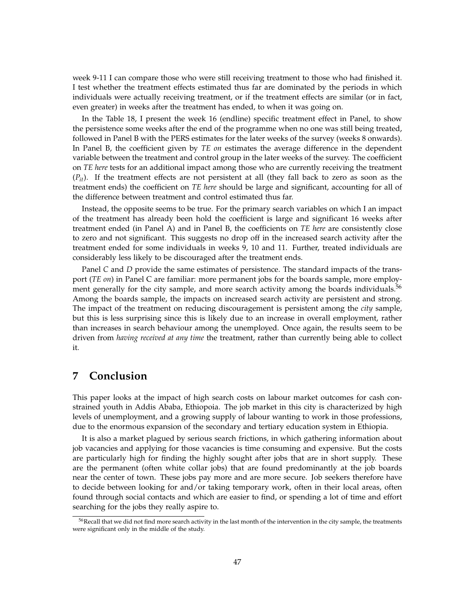week 9-11 I can compare those who were still receiving treatment to those who had finished it. I test whether the treatment effects estimated thus far are dominated by the periods in which individuals were actually receiving treatment, or if the treatment effects are similar (or in fact, even greater) in weeks after the treatment has ended, to when it was going on.

In the Table 18, I present the week 16 (endline) specific treatment effect in Panel, to show the persistence some weeks after the end of the programme when no one was still being treated, followed in Panel B with the PERS estimates for the later weeks of the survey (weeks 8 onwards). In Panel B, the coefficient given by *TE on* estimates the average difference in the dependent variable between the treatment and control group in the later weeks of the survey. The coefficient on *TE here* tests for an additional impact among those who are currently receiving the treatment  $(P_{it})$ . If the treatment effects are not persistent at all (they fall back to zero as soon as the treatment ends) the coefficient on *TE here* should be large and significant, accounting for all of the difference between treatment and control estimated thus far.

Instead, the opposite seems to be true. For the primary search variables on which I an impact of the treatment has already been hold the coefficient is large and significant 16 weeks after treatment ended (in Panel A) and in Panel B, the coefficients on *TE here* are consistently close to zero and not significant. This suggests no drop off in the increased search activity after the treatment ended for some individuals in weeks 9, 10 and 11. Further, treated individuals are considerably less likely to be discouraged after the treatment ends.

Panel *C* and *D* provide the same estimates of persistence. The standard impacts of the transport (*TE on*) in Panel C are familiar: more permanent jobs for the boards sample, more employment generally for the city sample, and more search activity among the boards individuals.<sup>56</sup> Among the boards sample, the impacts on increased search activity are persistent and strong. The impact of the treatment on reducing discouragement is persistent among the *city* sample, but this is less surprising since this is likely due to an increase in overall employment, rather than increases in search behaviour among the unemployed. Once again, the results seem to be driven from *having received at any time* the treatment, rather than currently being able to collect it.

# **7 Conclusion**

This paper looks at the impact of high search costs on labour market outcomes for cash constrained youth in Addis Ababa, Ethiopoia. The job market in this city is characterized by high levels of unemployment, and a growing supply of labour wanting to work in those professions, due to the enormous expansion of the secondary and tertiary education system in Ethiopia.

It is also a market plagued by serious search frictions, in which gathering information about job vacancies and applying for those vacancies is time consuming and expensive. But the costs are particularly high for finding the highly sought after jobs that are in short supply. These are the permanent (often white collar jobs) that are found predominantly at the job boards near the center of town. These jobs pay more and are more secure. Job seekers therefore have to decide between looking for and/or taking temporary work, often in their local areas, often found through social contacts and which are easier to find, or spending a lot of time and effort searching for the jobs they really aspire to.

<sup>&</sup>lt;sup>56</sup>Recall that we did not find more search activity in the last month of the intervention in the city sample, the treatments were significant only in the middle of the study.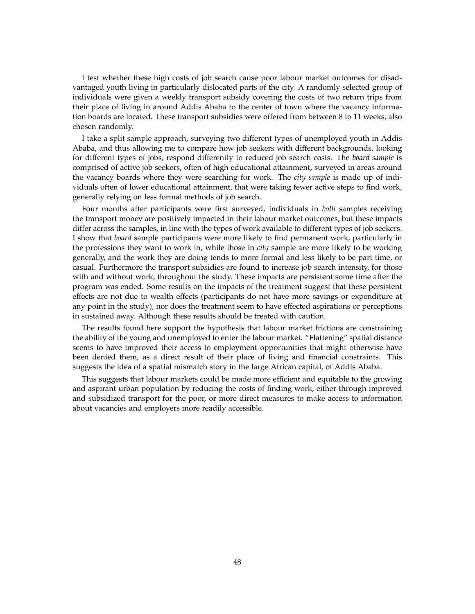I test whether these high costs of job search cause poor labour market outcomes for disadvantaged youth living in particularly dislocated parts of the city. A randomly selected group of individuals were given a weekly transport subsidy covering the costs of two return trips from their place of living in around Addis Ababa to the center of town where the vacancy information boards are located. These transport subsidies were offered from between 8 to 11 weeks, also chosen randomly.

I take a split sample approach, surveying two different types of unemployed youth in Addis Ababa, and thus allowing me to compare how job seekers with different backgrounds, looking for different types of jobs, respond differently to reduced job search costs. The *board sample* is comprised of active job seekers, often of high educational attainment, surveyed in areas around the vacancy boards where they were searching for work. The *city sample* is made up of individuals often of lower educational attainment, that were taking fewer active steps to find work, generally relying on less formal methods of job search.

Four months after participants were first surveyed, individuals in *both* samples receiving the transport money are positively impacted in their labour market outcomes, but these impacts differ across the samples, in line with the types of work available to different types of job seekers. I show that *board* sample participants were more likely to find permanent work, particularly in the professions they want to work in, while those in *city* sample are more likely to be working generally, and the work they are doing tends to more formal and less likely to be part time, or casual. Furthermore the transport subsidies are found to increase job search intensity, for those with and without work, throughout the study. These impacts are persistent some time after the program was ended. Some results on the impacts of the treatment suggest that these persistent effects are not due to wealth effects (participants do not have more savings or expenditure at any point in the study), nor does the treatment seem to have effected aspirations or perceptions in sustained away. Although these results should be treated with caution.

The results found here support the hypothesis that labour market frictions are constraining the ability of the young and unemployed to enter the labour market. "Flattening" spatial distance seems to have improved their access to employment opportunities that might otherwise have been denied them, as a direct result of their place of living and financial constraints. This suggests the idea of a spatial mismatch story in the large African capital, of Addis Ababa.

This suggests that labour markets could be made more efficient and equitable to the growing and aspirant urban population by reducing the costs of finding work, either through improved and subsidized transport for the poor, or more direct measures to make access to information about vacancies and employers more readily accessible.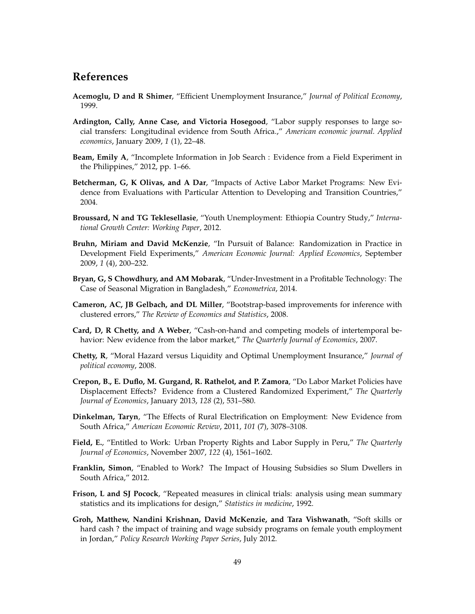# **References**

- **Acemoglu, D and R Shimer**, "Efficient Unemployment Insurance," *Journal of Political Economy*, 1999.
- **Ardington, Cally, Anne Case, and Victoria Hosegood**, "Labor supply responses to large social transfers: Longitudinal evidence from South Africa.," *American economic journal. Applied economics*, January 2009, *1* (1), 22–48.
- **Beam, Emily A**, "Incomplete Information in Job Search : Evidence from a Field Experiment in the Philippines," 2012, pp. 1–66.
- **Betcherman, G, K Olivas, and A Dar**, "Impacts of Active Labor Market Programs: New Evidence from Evaluations with Particular Attention to Developing and Transition Countries," 2004.
- **Broussard, N and TG Teklesellasie**, "Youth Unemployment: Ethiopia Country Study," *International Growth Center: Working Paper*, 2012.
- **Bruhn, Miriam and David McKenzie**, "In Pursuit of Balance: Randomization in Practice in Development Field Experiments," *American Economic Journal: Applied Economics*, September 2009, *1* (4), 200–232.
- **Bryan, G, S Chowdhury, and AM Mobarak**, "Under-Investment in a Profitable Technology: The Case of Seasonal Migration in Bangladesh," *Econometrica*, 2014.
- **Cameron, AC, JB Gelbach, and DL Miller**, "Bootstrap-based improvements for inference with clustered errors," *The Review of Economics and Statistics*, 2008.
- **Card, D, R Chetty, and A Weber**, "Cash-on-hand and competing models of intertemporal behavior: New evidence from the labor market," *The Quarterly Journal of Economics*, 2007.
- **Chetty, R**, "Moral Hazard versus Liquidity and Optimal Unemployment Insurance," *Journal of political economy*, 2008.
- **Crepon, B., E. Duflo, M. Gurgand, R. Rathelot, and P. Zamora**, "Do Labor Market Policies have Displacement Effects? Evidence from a Clustered Randomized Experiment," *The Quarterly Journal of Economics*, January 2013, *128* (2), 531–580.
- **Dinkelman, Taryn**, "The Effects of Rural Electrification on Employment: New Evidence from South Africa," *American Economic Review*, 2011, *101* (7), 3078–3108.
- **Field, E.**, "Entitled to Work: Urban Property Rights and Labor Supply in Peru," *The Quarterly Journal of Economics*, November 2007, *122* (4), 1561–1602.
- **Franklin, Simon**, "Enabled to Work? The Impact of Housing Subsidies so Slum Dwellers in South Africa," 2012.
- **Frison, L and SJ Pocock**, "Repeated measures in clinical trials: analysis using mean summary statistics and its implications for design," *Statistics in medicine*, 1992.
- **Groh, Matthew, Nandini Krishnan, David McKenzie, and Tara Vishwanath**, "Soft skills or hard cash ? the impact of training and wage subsidy programs on female youth employment in Jordan," *Policy Research Working Paper Series*, July 2012.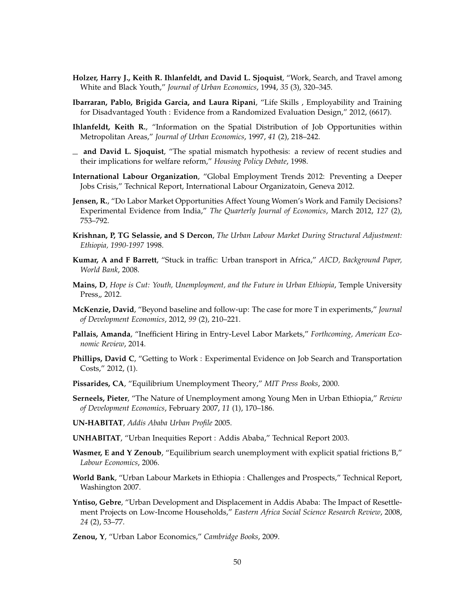- **Holzer, Harry J., Keith R. Ihlanfeldt, and David L. Sjoquist**, "Work, Search, and Travel among White and Black Youth," *Journal of Urban Economics*, 1994, *35* (3), 320–345.
- **Ibarraran, Pablo, Brigida Garcia, and Laura Ripani**, "Life Skills , Employability and Training for Disadvantaged Youth : Evidence from a Randomized Evaluation Design," 2012, (6617).
- **Ihlanfeldt, Keith R.**, "Information on the Spatial Distribution of Job Opportunities within Metropolitan Areas," *Journal of Urban Economics*, 1997, *41* (2), 218–242.
- **and David L. Sjoquist**, "The spatial mismatch hypothesis: a review of recent studies and their implications for welfare reform," *Housing Policy Debate*, 1998.
- **International Labour Organization**, "Global Employment Trends 2012: Preventing a Deeper Jobs Crisis," Technical Report, International Labour Organizatoin, Geneva 2012.
- **Jensen, R.**, "Do Labor Market Opportunities Affect Young Women's Work and Family Decisions? Experimental Evidence from India," *The Quarterly Journal of Economics*, March 2012, *127* (2), 753–792.
- **Krishnan, P, TG Selassie, and S Dercon**, *The Urban Labour Market During Structural Adjustment: Ethiopia, 1990-1997* 1998.
- **Kumar, A and F Barrett**, "Stuck in traffic: Urban transport in Africa," *AICD, Background Paper, World Bank*, 2008.
- **Mains, D**, *Hope is Cut: Youth, Unemployment, and the Future in Urban Ethiopia*, Temple University Press,, 2012.
- **McKenzie, David**, "Beyond baseline and follow-up: The case for more T in experiments," *Journal of Development Economics*, 2012, *99* (2), 210–221.
- **Pallais, Amanda**, "Inefficient Hiring in Entry-Level Labor Markets," *Forthcoming, American Economic Review*, 2014.
- **Phillips, David C**, "Getting to Work : Experimental Evidence on Job Search and Transportation Costs," 2012, (1).
- **Pissarides, CA**, "Equilibrium Unemployment Theory," *MIT Press Books*, 2000.
- **Serneels, Pieter**, "The Nature of Unemployment among Young Men in Urban Ethiopia," *Review of Development Economics*, February 2007, *11* (1), 170–186.
- **UN-HABITAT**, *Addis Ababa Urban Profile* 2005.
- **UNHABITAT**, "Urban Inequities Report : Addis Ababa," Technical Report 2003.
- **Wasmer, E and Y Zenoub**, "Equilibrium search unemployment with explicit spatial frictions B," *Labour Economics*, 2006.
- **World Bank**, "Urban Labour Markets in Ethiopia : Challenges and Prospects," Technical Report, Washington 2007.
- **Yntiso, Gebre**, "Urban Development and Displacement in Addis Ababa: The Impact of Resettlement Projects on Low-Income Households," *Eastern Africa Social Science Research Review*, 2008, *24* (2), 53–77.
- **Zenou, Y**, "Urban Labor Economics," *Cambridge Books*, 2009.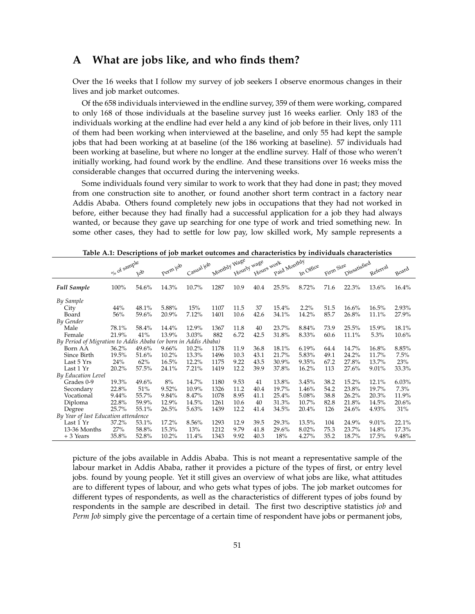# **A What are jobs like, and who finds them?**

Over the 16 weeks that I follow my survey of job seekers I observe enormous changes in their lives and job market outcomes.

Of the 658 individuals interviewed in the endline survey, 359 of them were working, compared to only 168 of those individuals at the baseline survey just 16 weeks earlier. Only 183 of the individuals working at the endline had ever held a any kind of job before in their lives, only 111 of them had been working when interviewed at the baseline, and only 55 had kept the sample jobs that had been working at at baseline (of the 186 working at baseline). 57 individuals had been working at baseline, but where no longer at the endline survey. Half of those who weren't initially working, had found work by the endline. And these transitions over 16 weeks miss the considerable changes that occurred during the intervening weeks.

Some individuals found very similar to work to work that they had done in past; they moved from one construction site to another, or found another short term contract in a factory near Addis Ababa. Others found completely new jobs in occupations that they had not worked in before, either because they had finally had a successful application for a job they had always wanted, or because they gave up searching for one type of work and tried something new. In some other cases, they had to settle for low pay, low skilled work, My sample represents a

|                                                                | olo of sample | $\gamma_0$ | Perm job | Casual job | Monthly Wage |      | Hourly wage<br>Hours work | Paid Monthly | In Office | Firm Size | Dissatisfied | Referral | Board    |
|----------------------------------------------------------------|---------------|------------|----------|------------|--------------|------|---------------------------|--------------|-----------|-----------|--------------|----------|----------|
|                                                                |               |            |          |            |              |      |                           |              |           |           |              |          |          |
| <b>Full Sample</b>                                             | 100%          | 54.6%      | 14.3%    | 10.7%      | 1287         | 10.9 | 40.4                      | 25.5%        | 8.72%     | 71.6      | 22.3%        | 13.6%    | $16.4\%$ |
| By Sample                                                      |               |            |          |            |              |      |                           |              |           |           |              |          |          |
| City                                                           | 44%           | 48.1%      | 5.88%    | 15%        | 1107         | 11.5 | 37                        | 15.4%        | 2.2%      | 51.5      | 16.6%        | 16.5%    | 2.93%    |
| Board                                                          | 56%           | 59.6%      | 20.9%    | 7.12%      | 1401         | 10.6 | 42.6                      | 34.1%        | 14.2%     | 85.7      | 26.8%        | 11.1%    | 27.9%    |
| By Gender                                                      |               |            |          |            |              |      |                           |              |           |           |              |          |          |
| Male                                                           | 78.1%         | 58.4%      | 14.4%    | 12.9%      | 1367         | 11.8 | 40                        | 23.7%        | 8.84%     | 73.9      | 25.5%        | 15.9%    | 18.1%    |
| Female                                                         | 21.9%         | 41%        | 13.9%    | 3.03%      | 882          | 6.72 | 42.5                      | 31.8%        | 8.33%     | 60.6      | 11.1%        | 5.3%     | 10.6%    |
| By Period of Migration to Addis Ababa (or born in Addis Ababa) |               |            |          |            |              |      |                           |              |           |           |              |          |          |
| Born AA                                                        | $36.2\%$      | 49.6%      | $9.66\%$ | 10.2%      | 1178         | 11.9 | 36.8                      | 18.1%        | 6.19%     | 64.4      | 14.7%        | 16.8%    | 8.85%    |
| Since Birth                                                    | 19.5%         | 51.6%      | 10.2%    | 13.3%      | 1496         | 10.3 | 43.1                      | 21.7%        | 5.83%     | 49.1      | 24.2%        | 11.7%    | 7.5%     |
| Last 5 Yrs                                                     | 24%           | 62%        | 16.5%    | 12.2%      | 1175         | 9.22 | 43.5                      | 30.9%        | 9.35%     | 67.2      | 27.8%        | 13.7%    | 23%      |
| Last 1 Yr                                                      | 20.2%         | 57.5%      | 24.1%    | 7.21%      | 1419         | 12.2 | 39.9                      | 37.8%        | 16.2%     | 113       | 27.6%        | 9.01%    | 33.3%    |
| <b>By Education Level</b>                                      |               |            |          |            |              |      |                           |              |           |           |              |          |          |
| Grades 0-9                                                     | 19.3%         | 49.6%      | 8%       | 14.7%      | 1180         | 9.53 | 41                        | 13.8%        | 3.45%     | 38.2      | 15.2%        | 12.1%    | 6.03%    |
| Secondary                                                      | 22.8%         | 51%        | 9.52%    | 10.9%      | 1326         | 11.2 | 40.4                      | 19.7%        | 1.46%     | 54.2      | 23.8%        | 19.7%    | 7.3%     |
| Vocational                                                     | 9.44%         | 55.7%      | 9.84%    | 8.47%      | 1078         | 8.95 | 41.1                      | 25.4%        | 5.08%     | 38.8      | 26.2%        | 20.3%    | 11.9%    |
| Diploma                                                        | 22.8%         | 59.9%      | 12.9%    | 14.5%      | 1261         | 10.6 | 40                        | 31.3%        | 10.7%     | 82.8      | 21.8%        | 14.5%    | 20.6%    |
| Degree                                                         | 25.7%         | 55.1%      | 26.5%    | 5.63%      | 1439         | 12.2 | 41.4                      | 34.5%        | 20.4%     | 126       | 24.6%        | 4.93%    | 31%      |
| By Year of last Education attendence                           |               |            |          |            |              |      |                           |              |           |           |              |          |          |
| Last 1 Yr                                                      | 37.2%         | 53.1%      | 17.2%    | 8.56%      | 1293         | 12.9 | 39.5                      | 29.3%        | 13.5%     | 104       | 24.9%        | 9.01%    | 22.1%    |
| 13-36 Months                                                   | 27%           | 58.8%      | 15.3%    | 13%        | 1212         | 9.79 | 41.8                      | 29.6%        | 8.02%     | 75.3      | 23.7%        | 14.8%    | 17.3%    |
| + 3 Years                                                      | 35.8%         | 52.8%      | 10.2%    | 11.4%      | 1343         | 9.92 | 40.3                      | 18%          | 4.27%     | 35.2      | 18.7%        | 17.5%    | 9.48%    |

**Table A.1: Descriptions of job market outcomes and characteristics by individuals characteristics**

picture of the jobs available in Addis Ababa. This is not meant a representative sample of the labour market in Addis Ababa, rather it provides a picture of the types of first, or entry level jobs. found by young people. Yet it still gives an overview of what jobs are like, what attitudes are to different types of labour, and who gets what types of jobs. The job market outcomes for different types of respondents, as well as the characteristics of different types of jobs found by respondents in the sample are described in detail. The first two descriptive statistics *job* and *Perm Job* simply give the percentage of a certain time of respondent have jobs or permanent jobs,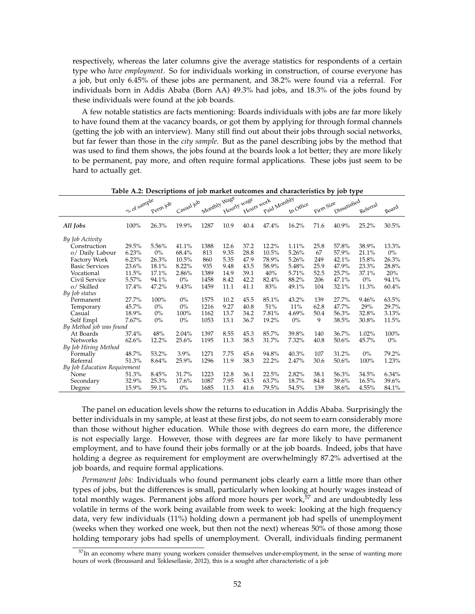respectively, whereas the later columns give the average statistics for respondents of a certain type who *have employment*. So for individuals working in construction, of course everyone has a job, but only 6.45% of these jobs are permanent, and 38.2% were found via a referral. For individuals born in Addis Ababa (Born AA) 49.3% had jobs, and 18.3% of the jobs found by these individuals were found at the job boards.

A few notable statistics are facts mentioning: Boards individuals with jobs are far more likely to have found them at the vacancy boards, or got them by applying for through formal channels (getting the job with an interview). Many still find out about their jobs through social networks, but far fewer than those in the *city sample*. But as the panel describing jobs by the method that was used to find them shows, the jobs found at the boards look a lot better; they are more likely to be permanent, pay more, and often require formal applications. These jobs just seem to be hard to actually get.

|                              | olo of sample | Perm job | Casual job | Monthly Wage | Hourly wage | Hours work | Paid Monthly | In Office | Firm Size | Dissatisfied | Referral | Board |
|------------------------------|---------------|----------|------------|--------------|-------------|------------|--------------|-----------|-----------|--------------|----------|-------|
| All Jobs                     | 100%          | 26.3%    | 19.9%      | 1287         | 10.9        | 40.4       | 47.4%        | 16.2%     | 71.6      | 40.9%        | 25.2%    | 30.5% |
| By Job Activity              |               |          |            |              |             |            |              |           |           |              |          |       |
| Construction                 | 29.5%         | 5.56%    | 41.1%      | 1388         | 12.6        | 37.2       | 12.2%        | 1.11%     | 25.8      | 57.8%        | 38.9%    | 13.3% |
| o/ Daily Labour              | 6.23%         | $0\%$    | 68.4%      | 813          | 9.35        | 28.8       | 10.5%        | 5.26%     | 67        | 57.9%        | 21.1%    | $0\%$ |
| Factory Work                 | 6.23%         | 26.3%    | 10.5%      | 860          | 5.35        | 47.9       | 78.9%        | 5.26%     | 249       | 42.1%        | 15.8%    | 26.3% |
| <b>Basic Services</b>        | 23.6%         | 18.1%    | 8.22%      | 935          | 9.48        | 43.5       | 58.9%        | 5.48%     | 25.9      | 47.9%        | 23.3%    | 28.8% |
| Vocational                   | 11.5%         | 17.1%    | 2.86%      | 1389         | 14.9        | 39.1       | 40%          | 5.71%     | 52.5      | 25.7%        | 37.1%    | 20%   |
| Civil Service                | 5.57%         | 94.1%    | $0\%$      | 1458         | 8.42        | 42.2       | 82.4%        | 88.2%     | 206       | 47.1%        | $0\%$    | 94.1% |
| o/ Skilled                   | 17.4%         | 47.2%    | 9.43%      | 1459         | 11.1        | 41.1       | 83%          | 49.1%     | 104       | 32.1%        | 11.3%    | 60.4% |
| By Job status                |               |          |            |              |             |            |              |           |           |              |          |       |
| Permanent                    | 27.7%         | 100%     | $0\%$      | 1575         | 10.2        | 45.5       | 85.1%        | 43.2%     | 139       | 27.7%        | 9.46%    | 63.5% |
| Temporary                    | 45.7%         | $0\%$    | $0\%$      | 1216         | 9.27        | 40.8       | 51%          | 11%       | 62.8      | 47.7%        | 29%      | 29.7% |
| Casual                       | 18.9%         | $0\%$    | 100%       | 1162         | 13.7        | 34.2       | 7.81%        | 4.69%     | 50.4      | 56.3%        | 32.8%    | 3.13% |
| Self Empl                    | 7.67%         | $0\%$    | $0\%$      | 1053         | 13.1        | 36.7       | 19.2%        | $0\%$     | 9         | 38.5%        | 30.8%    | 11.5% |
| By Method job was found      |               |          |            |              |             |            |              |           |           |              |          |       |
| At Boards                    | 37.4%         | 48%      | $2.04\%$   | 1397         | 8.55        | 45.3       | 85.7%        | 39.8%     | 140       | 36.7%        | 1.02%    | 100%  |
| <b>Networks</b>              | 62.6%         | 12.2%    | 25.6%      | 1195         | 11.3        | 38.5       | 31.7%        | 7.32%     | 40.8      | 50.6%        | 45.7%    | $0\%$ |
| By Job Hiring Method         |               |          |            |              |             |            |              |           |           |              |          |       |
| Formally                     | 48.7%         | 53.2%    | 3.9%       | 1271         | 7.75        | 45.6       | 94.8%        | 40.3%     | 107       | 31.2%        | $0\%$    | 79.2% |
| Referral                     | 51.3%         | 8.64%    | 25.9%      | 1296         | 11.9        | 38.3       | 22.2%        | 2.47%     | 30.6      | 50.6%        | 100%     | 1.23% |
| By Job Education Requirement |               |          |            |              |             |            |              |           |           |              |          |       |
| None                         | 51.3%         | 8.45%    | 31.7%      | 1223         | 12.8        | 36.1       | 22.5%        | 2.82%     | 38.1      | 56.3%        | 34.5%    | 6.34% |
| Secondary                    | 32.9%         | 25.3%    | 17.6%      | 1087         | 7.95        | 43.5       | 63.7%        | 18.7%     | 84.8      | 39.6%        | 16.5%    | 39.6% |
| Degree                       | 15.9%         | 59.1%    | $0\%$      | 1685         | 11.3        | 41.6       | 79.5%        | 54.5%     | 139       | 38.6%        | 4.55%    | 84.1% |

**Table A.2: Descriptions of job market outcomes and characteristics by job type**

The panel on education levels show the returns to education in Addis Ababa. Surprisingly the better individuals in my sample, at least at these first jobs, do not seem to earn considerably more than those without higher education. While those with degrees do earn more, the difference is not especially large. However, those with degrees are far more likely to have permanent employment, and to have found their jobs formally or at the job boards. Indeed, jobs that have holding a degree as requirement for employment are overwhelmingly 87.2% advertised at the job boards, and require formal applications.

*Permanent Jobs:* Individuals who found permanent jobs clearly earn a little more than other types of jobs, but the differences is small, particularly when looking at hourly wages instead of total monthly wages. Permanent jobs afford more hours per work,<sup>57</sup> and are undoubtedly less volatile in terms of the work being available from week to week: looking at the high frequency data, very few individuals (11%) holding down a permanent job had spells of unemployment (weeks when they worked one week, but then not the next) whereas 50% of those among those holding temporary jobs had spells of unemployment. Overall, individuals finding permanent

<sup>&</sup>lt;sup>57</sup>In an economy where many young workers consider themselves under-employment, in the sense of wanting more hours of work (Broussard and Teklesellasie, 2012), this is a sought after characteristic of a job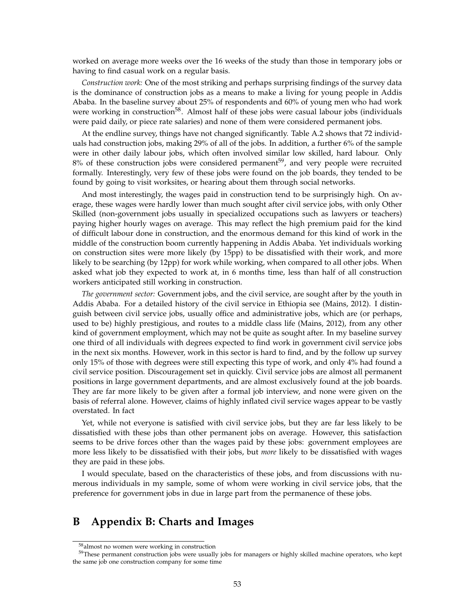worked on average more weeks over the 16 weeks of the study than those in temporary jobs or having to find casual work on a regular basis.

*Construction work:* One of the most striking and perhaps surprising findings of the survey data is the dominance of construction jobs as a means to make a living for young people in Addis Ababa. In the baseline survey about 25% of respondents and 60% of young men who had work were working in construction<sup>58</sup>. Almost half of these jobs were casual labour jobs (individuals were paid daily, or piece rate salaries) and none of them were considered permanent jobs.

At the endline survey, things have not changed significantly. Table A.2 shows that 72 individuals had construction jobs, making 29% of all of the jobs. In addition, a further 6% of the sample were in other daily labour jobs, which often involved similar low skilled, hard labour. Only 8% of these construction jobs were considered permanent<sup>59</sup>, and very people were recruited formally. Interestingly, very few of these jobs were found on the job boards, they tended to be found by going to visit worksites, or hearing about them through social networks.

And most interestingly, the wages paid in construction tend to be surprisingly high. On average, these wages were hardly lower than much sought after civil service jobs, with only Other Skilled (non-government jobs usually in specialized occupations such as lawyers or teachers) paying higher hourly wages on average. This may reflect the high premium paid for the kind of difficult labour done in construction, and the enormous demand for this kind of work in the middle of the construction boom currently happening in Addis Ababa. Yet individuals working on construction sites were more likely (by 15pp) to be dissatisfied with their work, and more likely to be searching (by 12pp) for work while working, when compared to all other jobs. When asked what job they expected to work at, in 6 months time, less than half of all construction workers anticipated still working in construction.

*The government sector:* Government jobs, and the civil service, are sought after by the youth in Addis Ababa. For a detailed history of the civil service in Ethiopia see (Mains, 2012). I distinguish between civil service jobs, usually office and administrative jobs, which are (or perhaps, used to be) highly prestigious, and routes to a middle class life (Mains, 2012), from any other kind of government employment, which may not be quite as sought after. In my baseline survey one third of all individuals with degrees expected to find work in government civil service jobs in the next six months. However, work in this sector is hard to find, and by the follow up survey only 15% of those with degrees were still expecting this type of work, and only 4% had found a civil service position. Discouragement set in quickly. Civil service jobs are almost all permanent positions in large government departments, and are almost exclusively found at the job boards. They are far more likely to be given after a formal job interview, and none were given on the basis of referral alone. However, claims of highly inflated civil service wages appear to be vastly overstated. In fact

Yet, while not everyone is satisfied with civil service jobs, but they are far less likely to be dissatisfied with these jobs than other permanent jobs on average. However, this satisfaction seems to be drive forces other than the wages paid by these jobs: government employees are more less likely to be dissatisfied with their jobs, but *more* likely to be dissatisfied with wages they are paid in these jobs.

I would speculate, based on the characteristics of these jobs, and from discussions with numerous individuals in my sample, some of whom were working in civil service jobs, that the preference for government jobs in due in large part from the permanence of these jobs.

# **B Appendix B: Charts and Images**

<sup>58</sup>almost no women were working in construction

 $59$ These permanent construction jobs were usually jobs for managers or highly skilled machine operators, who kept the same job one construction company for some time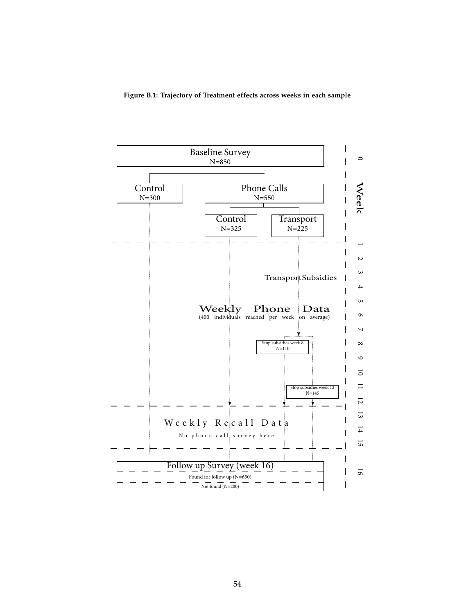**Figure B.1: Trajectory of Treatment effects across weeks in each sample**

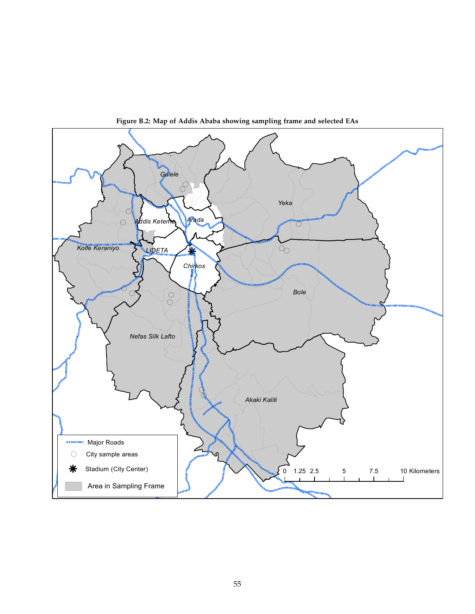

**Figure B.2: Map of Addis Ababa showing sampling frame and selected EAs**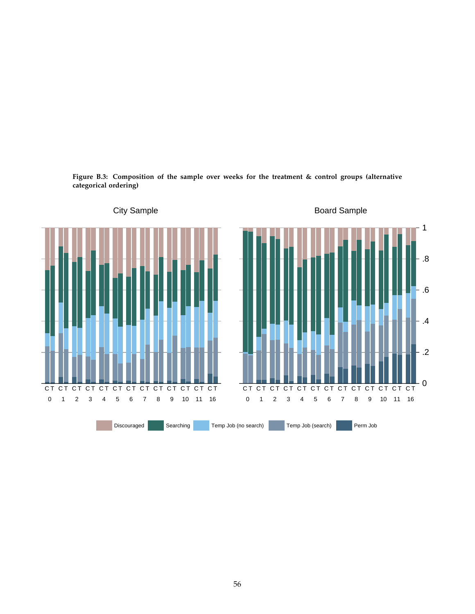

**Figure B.3: Composition of the sample over weeks for the treatment & control groups (alternative categorical ordering)**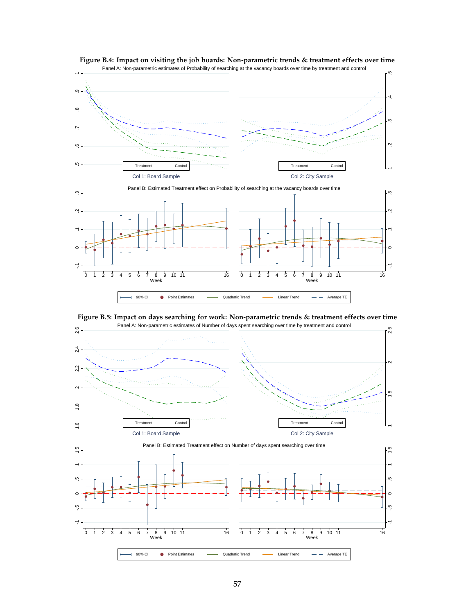

**Figure B.4: Impact on visiting the job boards: Non-parametric trends & treatment effects over time**



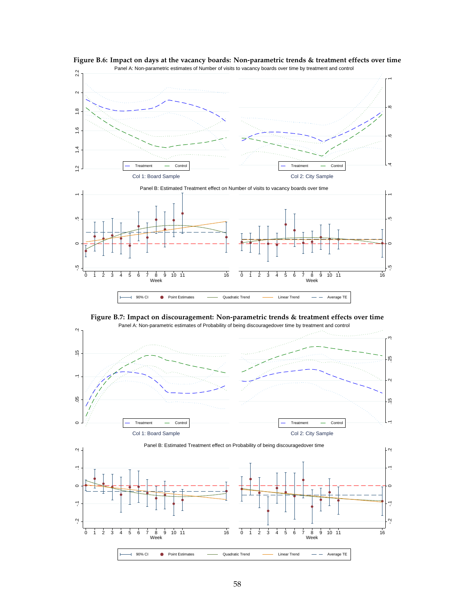



**Figure B.7: Impact on discouragement: Non-parametric trends & treatment effects over time**

ă,

0 1 2 3 4 5 6 7 8 9 10 11 16 0 1 2 3 4 5 6 7 8 9 10 11 16

90% CI • Point Estimates – Quadratic Trend – Linear Trend – Average TE |

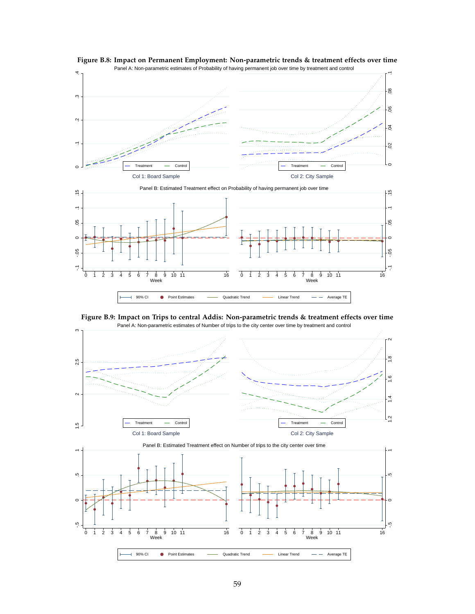

**Figure B.8: Impact on Permanent Employment: Non-parametric trends & treatment effects over time**



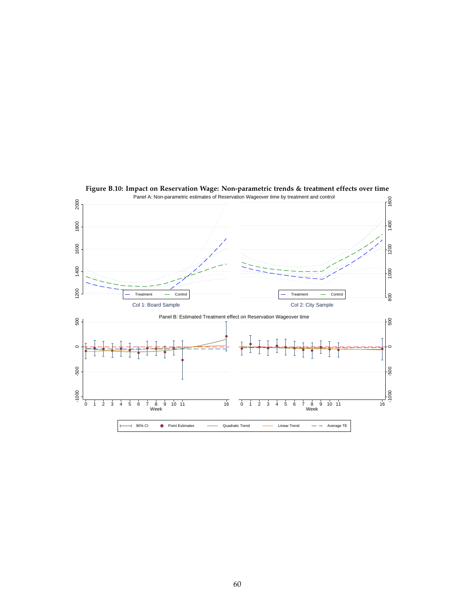

**Figure B.10: Impact on Reservation Wage: Non-parametric trends & treatment effects over time**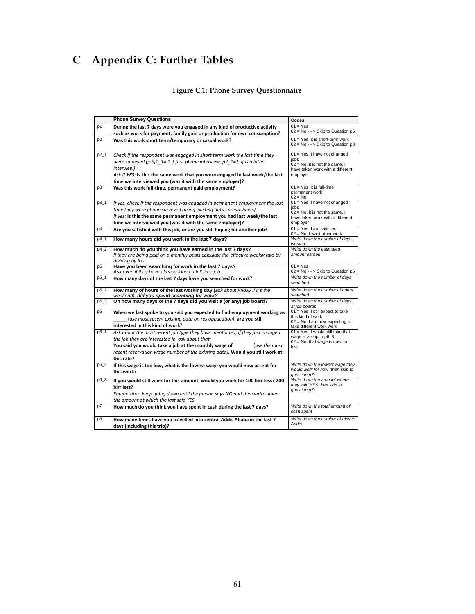# **C Appendix C: Further Tables**

## **Figure C.1: Phone Survey Questionnaire**

|                | <b>Phone Survey Questions</b>                                                                                     | Codes                                                               |
|----------------|-------------------------------------------------------------------------------------------------------------------|---------------------------------------------------------------------|
| p1             | During the last 7 days were you engaged in any kind of productive activity                                        | $01 = Yes$                                                          |
|                | such as work for payment, family gain or production for own consumption?                                          | $02 = No - >$ Skip to Question p5                                   |
| p <sub>2</sub> | Was this work short term/temporary or casual work?                                                                | 01 = Yes, it is short-term work                                     |
|                |                                                                                                                   | $02 = No - >$ Skip to Question p3                                   |
| $p2_1$         | Check if the respondent was engaged in short term work the last time they                                         | $01 = Yes$ , I have not changed                                     |
|                | were surveyed (jobj1 $1 = 1$ if first phone interview, p2 $1 = 1$ if is a later                                   | iobs<br>$02 = No$ , it is not the same, I                           |
|                | interview)                                                                                                        | have taken work with a different                                    |
|                | Ask If YES: Is this the same work that you were engaged in last week/the last                                     | employer                                                            |
|                | time we interviewed you (was it with the same employer)?                                                          |                                                                     |
| p3             | Was this work full-time, permanent paid employment?                                                               | $01 = Yes$ , it is full-time<br>permanent work                      |
|                |                                                                                                                   | $02 = No$                                                           |
| p3_1           | If yes, check if the respondent was engaged in permanent employment the last                                      | 01 = Yes, I have not changed                                        |
|                | time they were phone surveyed (using existing data spreadsheets).                                                 | jobs<br>$02$ = No, it is not the same, I                            |
|                | If yes: Is this the same permanent employment you had last week/the last                                          | have taken work with a different                                    |
|                | time we interviewed you (was it with the same employer)?                                                          | employer                                                            |
| p4             | Are you satisfied with this job, or are you still hoping for another job?                                         | $01 = Yes$ , I am satisfied<br>$02 = No$ , I want other work        |
| p4 1           | How many hours did you work in the last 7 days?                                                                   | Write down the number of days<br>worked                             |
| p4_2           | How much do you think you have earned in the last 7 days?                                                         | Write down the estimated                                            |
|                | If they are being paid on a monthly basis calculate the effective weekly rate by                                  | amount earned                                                       |
|                | dividing by four                                                                                                  | $01 = Yes$                                                          |
| p <sub>5</sub> | Have you been searching for work in the last 7 days?<br>Ask even if they have already found a full time job.      | $02 = No - >$ Skip to Question p6                                   |
| $p5_{-1}$      | How many days of the last 7 days have you searched for work?                                                      | Write down the number of days                                       |
|                |                                                                                                                   | searched                                                            |
| p5_2           | How many of hours of the last working day (ask about Friday if it's the                                           | Write down the number of hours                                      |
|                | weekend), did you spend searching for work?<br>On how many days of the 7 days did you visit a (or any) job board? | searched                                                            |
| p5_3           |                                                                                                                   | Write down the number of days<br>at job boards                      |
| p6             | When we last spoke to you said you expected to find employment working as                                         | 01 = Yes, I still expect to take                                    |
|                | (use most recent existing data on res oppucation), are you still                                                  | this kind of work<br>$02$ = No, I am now expecting to               |
|                | interested in this kind of work?                                                                                  | take different work work                                            |
| p6_1           | Ask about the most recent job type they have mentioned, if they just changed                                      | $01 = Yes$ , I would still take that                                |
|                | the job they are interested in, ask about that:                                                                   | wage $-$ > skip to p6 3<br>$02$ = No, that wage is now too          |
|                | You said you would take a job at the monthly wage of (use the most                                                | low                                                                 |
|                | recent reservation wage number of the existing data). Would you still work at                                     |                                                                     |
|                | this rate?                                                                                                        |                                                                     |
| p6_2           | If this wage is too low, what is the lowest wage you would now accept for                                         | Write down the lowest wage they<br>would work for now (then skip to |
|                | this work?                                                                                                        | question p7)                                                        |
| p6_3           | If you would still work for this amount, would you work for 100 birr less? 200                                    | Write down the amount where<br>they said YES, hen skip to           |
|                | birr less?                                                                                                        | question p7)                                                        |
|                | Enumerator: keep going down until the person says NO and then write down                                          |                                                                     |
|                | the amount at which the last said YES                                                                             | Write down the total amount of                                      |
| p7             | How much do you think you have spent in cash during the last 7 days?                                              | cash spent                                                          |
| p8             | How many times have you travelled into central Addis Ababa in the last 7                                          | Write down the number of trips to                                   |
|                | days (including this trip)?                                                                                       | Addis                                                               |
|                |                                                                                                                   |                                                                     |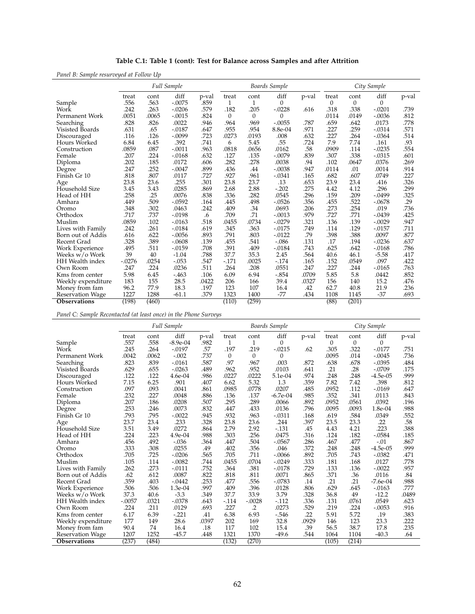| Panel B: Sample resurveyed at Follow Up |               |              |                    |               |              |              |                  |       |            |                      |           |       |  |
|-----------------------------------------|---------------|--------------|--------------------|---------------|--------------|--------------|------------------|-------|------------|----------------------|-----------|-------|--|
|                                         |               |              | <b>Full Sample</b> |               |              |              | Boards Sample    |       |            | City Sample          |           |       |  |
| Sample                                  | treat<br>.556 | cont<br>.563 | diff<br>$-.0075$   | p-val<br>.859 | treat<br>1   | cont<br>1    | diff<br>$\Omega$ | p-val | treat<br>0 | cont<br>$\mathbf{0}$ | diff<br>0 | p-val |  |
| Work                                    | .242          | .263         | $-.0206$           | .579          | .182         | .205         | $-.0228$         | .616  | .318       | .338                 | $-.0201$  | .739  |  |
| Permanent Work                          | .0051         | .0065        | $-.0015$           | .824          | $\mathbf{0}$ | $\mathbf{0}$ | $\Omega$         |       | .0114      | .0149                | $-.0036$  | .812  |  |
| Searching                               | .828          | .826         | .0022              | .946          | .964         | .969         | $-.0055$         | .787  | .659       | .642                 | .0173     | .778  |  |
| Visisted Boards                         | .631          | .65          | $-.0187$           | .647          | .955         | .954         | 8.8e-04          | .971  | .227       | .259                 | $-.0314$  | .571  |  |
| Discouraged                             | .116          | .126         | $-.0099$           | .723          | .0273        | .0193        | .008             | .632  | .227       | .264                 | $-.0364$  | .514  |  |
| Hours Worked                            | 6.84          | 6.45         | .392               | .741          | 6            | 5.45         | .55              | .724  | 7.9        | 7.74                 | .161      | .93   |  |
| Construction                            | .0859         | .087         | $-.0011$           | .963          | .0818        | .0656        | .0162            | .58   | .0909      | .114                 | $-.0235$  | .554  |  |
| Female                                  | .207          | .224         | $-0.0168$          | .632          | .127         | .135         | $-.0079$         | .839  | .307       | .338                 | $-.0315$  | .601  |  |
| Diploma                                 | .202          | .185         | .0172              | .606          | .282         | .278         | .0038            | .94   | .102       | .0647                | .0376     | .269  |  |
| Degree                                  | .247          | .252         | $-.0047$           | .899          | .436         | .44          | $-.0038$         | .947  | .0114      | .01                  | .0014     | .914  |  |
| Finish Gr 10                            | .818          | .807         | .0117              | .727          | .927         | .961         | $-.0341$         | .165  | .682       | .607                 | .0749     | .227  |  |
| Age                                     | 23.8          | 23.6         | .255               | .301          | 23.8         | 23.7         | .13              | .653  | 23.9       | 23.4                 | .416      | .326  |  |
| Household Size                          | 3.45          | 3.43         | .0285              | .869          | 2.68         | 2.88         | $-.202$          | .275  | 4.42       | 4.12                 | .296      | .299  |  |
| Head of HH                              | .258          | .25          | .0076              | .838          | .336         | .282         | .0545            | .296  | .159       | .209                 | $-.0499$  | .325  |  |
| Amhara                                  | .449          | .509         | $-.0592$           | .164          | .445         | .498         | $-.0526$         | .356  | .455       | .522                 | $-.0678$  | .29   |  |
| Oromo                                   | .348          | .302         | .0463              | .242          | .409         | .34          | .0693            | .206  | .273       | .254                 | .019      | .736  |  |
| Orthodox                                | .717          | .737         | $-.0198$           | .6            | .709         | .71          | $-.0013$         | .979  | .727       | .771                 | $-.0439$  | .425  |  |
| Muslim                                  | .0859         | .102         | $-0.0163$          | .518          | .0455        | .0734        | $-.0279$         | .321  | .136       | .139                 | $-.0029$  | .947  |  |
| Lives with Family                       | .242          | .261         | $-.0184$           | .619          | .345         | .363         | $-0.0175$        | .749  | .114       | .129                 | $-.0157$  | .711  |  |
| Born out of Addis                       | .616          | .622         | $-.0056$           | .893          | .791         | .803         | $-0.0122$        | .79   | .398       | .388                 | .0097     | .877  |  |
| Recent Grad                             | .328          | .389         | $-.0608$           | .139          | .455         | .541         | $-.086$          | .131  | .17        | .194                 | $-.0236$  | .637  |  |
| Work Experience                         | .495          | .511         | $-.0159$           | .708          | .391         | .409         | $-0.0184$        | .743  | .625       | .642                 | $-.0168$  | .786  |  |
| Weeks w/o Work                          | 39            | 40           | $-1.04$            | .788          | 37.7         | 35.3         | 2.45             | .564  | 40.6       | 46.1                 | $-5.58$   | .417  |  |
| <b>HH</b> Wealth index                  | $-.0276$      | .0254        | $-.053$            | .547          | $-.171$      | .0025        | $-.174$          | .165  | .152       | .0549                | .097      | .422  |  |
| Own Room                                | .247          | .224         | .0236              | .511          | .264         | .208         | .0551            | .247  | .227       | .244                 | $-.0165$  | .763  |  |
| Kms from center                         | 5.98          | 6.45         | $-463$             | .106          | 6.09         | 6.94         | $-.854$          | .0709 | 5.85       | 5.8                  | .0442     | .852  |  |
| Weekly expenditure                      | 183           | 155          | 28.5               | .0422         | 206          | 166          | 39.4             | .0327 | 156        | 140                  | 15.2      | .476  |  |
| Money from fam                          | 96.2          | 77.9         | 18.3               | .197          | 123          | 107          | 16.4             | .42   | 62.7       | 40.8                 | 21.9      | .236  |  |
| <b>Reservation Wage</b>                 | 1227          | 1288         | $-61.1$            | .379          | 1323         | 1400         | $-77$            | .434  | 1108       | 1145                 | $-37$     | .693  |  |
| <b>Observations</b>                     | (198)         | (460)        |                    |               | (110)        | (259)        |                  |       | (88)       | (201)                |           |       |  |

**Table C.1: Table 1 (cont): Test for Balance across Samples and after Attrition**

*Panel C: Sample Recontacted (at least once) in the Phone Surveys*

|                         | Full Sample |       |            |       |          |              | Boards Sample |       | City Sample |          |            |       |
|-------------------------|-------------|-------|------------|-------|----------|--------------|---------------|-------|-------------|----------|------------|-------|
|                         | treat       | cont  | diff       | p-val | treat    | cont         | diff          | p-val | treat       | cont     | diff       | p-val |
| Sample                  | .557        | .558  | $-8.9e-04$ | .982  | 1        | $\mathbf{1}$ | $\mathbf{0}$  |       | $\Omega$    | $\theta$ | $\Omega$   |       |
| Work                    | .245        | .264  | $-.0197$   | .57   | .197     | .219         | $-.0215$      | .62   | .305        | .322     | $-.0177$   | .751  |
| Permanent Work          | .0042       | .0062 | $-.002$    | .737  | $\theta$ | $\mathbf{0}$ | $\theta$      |       | .0095       | .014     | $-.0045$   | .736  |
| Searching               | .823        | .839  | $-0.0161$  | .587  | .97      | .967         | .003          | .872  | .638        | .678     | $-.0395$   | .484  |
| Visisted Boards         | .629        | .655  | $-.0263$   | .489  | .962     | .952         | .0103         | .641  | .21         | .28      | $-.0709$   | .175  |
| Discouraged             | .122        | .122  | 4.6e-04    | .986  | .0227    | .0222        | 5.1e-04       | .974  | .248        | .248     | $-4.5e-05$ | .999  |
| Hours Worked            | 7.15        | 6.25  | .901       | .407  | 6.62     | 5.32         | 1.3           | .359  | 7.82        | 7.42     | .398       | .812  |
| Construction            | .097        | .093  | .0041      | .861  | .0985    | .0778        | .0207         | .485  | .0952       | .112     | $-.0169$   | .647  |
| Female                  | .232        | .227  | .0048      | .886  | .136     | .137         | $-6.7e-04$    | .985  | .352        | .341     | .0113      | .843  |
| Diploma                 | .207        | .186  | .0208      | .507  | .295     | .289         | .0066         | .892  | .0952       | .0561    | .0392      | .196  |
| Degree                  | .253        | .246  | .0073      | .832  | .447     | .433         | .0136         | .796  | .0095       | .0093    | 1.8e-04    | .988  |
| Finish Gr 10            | .793        | .795  | $-.0022$   | .945  | .932     | .963         | $-.0311$      | .168  | .619        | .584     | .0349      | .552  |
| Age                     | 23.7        | 23.4  | .233       | .328  | 23.8     | 23.6         | .244          | .397  | 23.5        | 23.3     | .22        | .58   |
| Household Size          | 3.51        | 3.49  | .0272      | .864  | 2.79     | 2.92         | $-0.131$      | .45   | 4.43        | 4.21     | .223       | .388  |
| Head of HH              | .224        | .223  | $4.9e-04$  | .988  | .303     | .256         | .0475         | .316  | .124        | .182     | $-.0584$   | .185  |
| Amhara                  | .456        | .492  | $-.036$    | .364  | .447     | .504         | $-.0567$      | .286  | .467        | .477     | $-.01$     | .867  |
| Oromo                   | .333        | .308  | .0255      | .49   | .402     | .356         | .046          | .372  | .248        | .248     | $-4.5e-05$ | .999  |
| Orthodox                | .705        | .725  | $-.0206$   | .565  | .705     | .711         | $-.0066$      | .892  | .705        | .743     | $-.0382$   | .471  |
| Muslim                  | .105        | .114  | $-.0082$   | .744  | .0455    | .0704        | $-.0249$      | .333  | .181        | .168     | .0127      | .778  |
| Lives with Family       | .262        | .273  | $-.0111$   | .752  | .364     | .381         | $-.0178$      | .729  | .133        | .136     | $-.0022$   | .957  |
| Born out of Addis       | .62         | .612  | .0087      | .822  | .818     | .811         | .0071         | .865  | .371        | .36      | .0116      | .84   |
| Recent Grad             | .359        | .403  | $-.0442$   | .253  | .477     | .556         | $-.0783$      | .14   | .21         | .21      | $-7.6e-04$ | .988  |
| Work Experience         | .506        | .506  | 1.3e-04    | .997  | .409     | .396         | .0128         | .806  | .629        | .645     | $-0.0163$  | .777  |
| Weeks w/o Work          | 37.3        | 40.6  | $-3.3$     | .349  | 37.7     | 33.9         | 3.79          | .328  | 36.8        | 49       | $-12.2$    | .0489 |
| HH Wealth index         | $-.0057$    | .0321 | $-.0378$   | .643  | $-114$   | $-.0028$     | $-112$        | .336  | .131        | .0761    | .0549      | .623  |
| Own Room                | .224        | .211  | .0129      | .693  | .227     | $\cdot$      | .0273         | .529  | .219        | .224     | $-.0053$   | .916  |
| Kms from center         | 6.17        | 6.39  | $-.221$    | .41   | 6.38     | 6.93         | $-546$        | .22   | 5.91        | 5.72     | .19        | .383  |
| Weekly expenditure      | 177         | 149   | 28.6       | .0397 | 202      | 169          | 32.8          | .0929 | 146         | 123      | 23.3       | .222  |
| Money from fam          | 90.4        | 74    | 16.4       | .18   | 117      | 102          | 15.4          | .39   | 56.5        | 38.7     | 17.8       | .235  |
| <b>Reservation Wage</b> | 1207        | 1252  | $-45.7$    | .448  | 1321     | 1370         | $-49.6$       | .544  | 1064        | 1104     | $-40.3$    | .64   |
| <b>Observations</b>     | (237)       | (484) |            |       | (132)    | (270)        |               |       | (105)       | (214)    |            |       |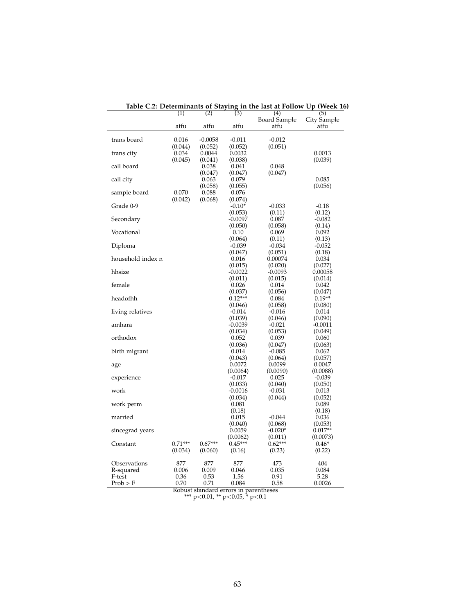|                   | (1)       | (2)              | (3)                   | (4)<br>Board Sample  | (5)<br>City Sample |
|-------------------|-----------|------------------|-----------------------|----------------------|--------------------|
|                   | atfu      | atfu             | atfu                  | atfu                 | atfu               |
| trans board       | 0.016     | $-0.0058$        | $-0.011$              | $-0.012$             |                    |
|                   | (0.044)   | (0.052)          | (0.052)               | (0.051)              |                    |
| trans city        | 0.034     | 0.0044           | 0.0032                |                      | 0.0013             |
|                   | (0.045)   | (0.041)          | (0.038)               |                      | (0.039)            |
| call board        |           | 0.038            | 0.041                 | 0.048                |                    |
| call city         |           | (0.047)<br>0.063 | (0.047)<br>0.079      | (0.047)              | 0.085              |
|                   |           | (0.058)          | (0.055)               |                      | (0.056)            |
| sample board      | 0.070     | 0.088            | 0.076                 |                      |                    |
|                   | (0.042)   | (0.068)          | (0.074)               |                      |                    |
| Grade 0-9         |           |                  | $-0.10*$              | $-0.033$             | $-0.18$            |
|                   |           |                  | (0.053)               | (0.11)               | (0.12)             |
| Secondary         |           |                  | $-0.0097$             | 0.087                | $-0.082$           |
|                   |           |                  | (0.050)               | (0.058)              | (0.14)             |
| Vocational        |           |                  | 0.10                  | 0.069                | 0.092              |
|                   |           |                  | (0.064)               | (0.11)               | (0.13)             |
| Diploma           |           |                  | $-0.039$              | $-0.034$             | $-0.052$           |
|                   |           |                  | (0.047)               | (0.051)              | (0.18)             |
| household index n |           |                  | 0.016                 | 0.00074              | 0.034              |
|                   |           |                  | (0.015)               | (0.020)              | (0.027)            |
| hhsize            |           |                  | $-0.0022$             | $-0.0093$            | 0.00058            |
|                   |           |                  | (0.011)               | (0.015)              | (0.014)            |
| female            |           |                  | 0.026                 | 0.014                | 0.042              |
|                   |           |                  | (0.037)               | (0.056)              | (0.047)            |
| headofhh          |           |                  | $0.12***$             | 0.084                | $0.19**$           |
| living relatives  |           |                  | (0.046)<br>-0.014     | (0.058)<br>$-0.016$  | (0.080)<br>0.014   |
|                   |           |                  | (0.039)               | (0.046)              | (0.090)            |
| amhara            |           |                  | -0.0039               | $-0.021$             | -0.0011            |
|                   |           |                  | (0.034)               | (0.053)              | (0.049)            |
| orthodox          |           |                  | 0.052                 | 0.039                | 0.060              |
|                   |           |                  | (0.036)               | (0.047)              | (0.063)            |
| birth migrant     |           |                  | 0.014                 | $-0.085$             | 0.062              |
|                   |           |                  | (0.043)               | (0.064)              | (0.057)            |
| age               |           |                  | 0.0072                | 0.0099               | 0.0047             |
|                   |           |                  | (0.0064)              | (0.0090)             | (0.0088)           |
| experience        |           |                  | $-0.017$              | 0.025                | $-0.039$           |
|                   |           |                  | (0.033)               | (0.040)              | (0.050)            |
| work              |           |                  | $-0.0016$             | $-0.031$             | 0.013              |
|                   |           |                  | (0.034)               | (0.044)              | (0.052)            |
| work perm         |           |                  | 0.081                 |                      | 0.089              |
|                   |           |                  | (0.18)                |                      | (0.18)             |
| married           |           |                  | 0.015                 | $-0.044$             | 0.036              |
|                   |           |                  | (0.040)               | (0.068)              | (0.053)            |
| sincegrad years   |           |                  | 0.0059                | $-0.020*$            | $0.017**$          |
| Constant          | $0.71***$ | $0.67***$        | (0.0062)<br>$0.45***$ | (0.011)<br>$0.62***$ | (0.0073)           |
|                   | (0.034)   | (0.060)          | (0.16)                | (0.23)               | $0.46*$<br>(0.22)  |
|                   |           |                  |                       |                      |                    |
| Observations      | 877       | 877              | 877                   | 473                  | 404                |
| R-squared         | 0.006     | 0.009            | 0.046                 | 0.035                | 0.084              |
| F-test            | 0.36      | 0.53             | 1.56                  | 0.91                 | 5.28               |
| Prob > F          | 0.70      | 0.71             | 0.084                 | 0.58                 | 0.0026             |

**Table C.2: Determinants of Staying in the last at Follow Up (Week 16)**

Robust standard errors in parentheses \*\*\* p<0.01, \*\* p<0.05, \* p<0.1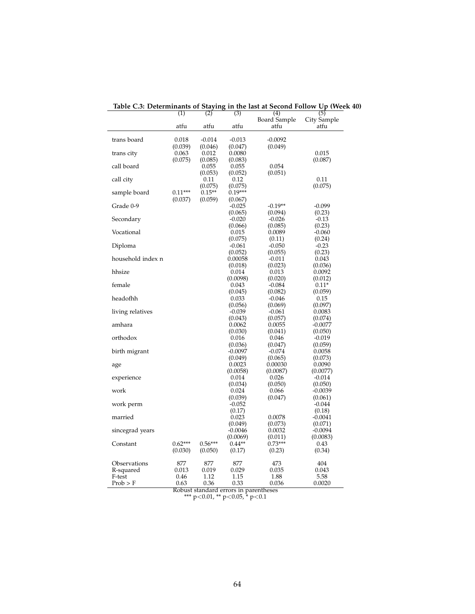|                   | (1)       | (2)              | (3)                  | (4)                  | (5)                 |
|-------------------|-----------|------------------|----------------------|----------------------|---------------------|
|                   | atfu      | atfu             | atfu                 | Board Sample<br>atfu | City Sample<br>atfu |
|                   |           |                  |                      |                      |                     |
| trans board       | 0.018     | $-0.014$         | $-0.013$             | $-0.0092$            |                     |
|                   | (0.039)   | (0.046)          | (0.047)              | (0.049)              |                     |
| trans city        | 0.063     | 0.012            | 0.0080               |                      | 0.015               |
|                   | (0.075)   | (0.085)          | (0.083)              |                      | (0.087)             |
| call board        |           | 0.055<br>(0.053) | 0.055<br>(0.052)     | 0.054<br>(0.051)     |                     |
| call city         |           | 0.11             | 0.12                 |                      | 0.11                |
|                   |           | (0.075)          | (0.075)              |                      | (0.075)             |
| sample board      | $0.11***$ | $0.15**$         | $0.19***$            |                      |                     |
|                   | (0.037)   | (0.059)          | (0.067)              |                      |                     |
| Grade 0-9         |           |                  | $-0.025$             | $-0.19**$            | $-0.099$            |
|                   |           |                  | (0.065)              | (0.094)              | (0.23)              |
| Secondary         |           |                  | $-0.020$             | $-0.026$             | $-0.13$             |
| Vocational        |           |                  | (0.066)<br>0.015     | (0.085)<br>0.0089    | (0.23)<br>$-0.060$  |
|                   |           |                  | (0.075)              | (0.11)               | (0.24)              |
| Diploma           |           |                  | $-0.061$             | $-0.050$             | $-0.23$             |
|                   |           |                  | (0.052)              | (0.055)              | (0.23)              |
| household index n |           |                  | 0.00058              | $-0.011$             | 0.043               |
|                   |           |                  | (0.018)              | (0.023)              | (0.036)             |
| hhsize            |           |                  | 0.014                | 0.013                | 0.0092              |
|                   |           |                  | (0.0098)             | (0.020)              | (0.012)             |
| female            |           |                  | 0.043                | $-0.084$             | $0.11*$             |
| headofhh          |           |                  | (0.045)<br>0.033     | (0.082)<br>$-0.046$  | (0.059)<br>0.15     |
|                   |           |                  | (0.056)              | (0.069)              | (0.097)             |
| living relatives  |           |                  | $-0.039$             | $-0.061$             | 0.0083              |
|                   |           |                  | (0.043)              | (0.057)              | (0.074)             |
| amhara            |           |                  | 0.0062               | 0.0055               | $-0.0077$           |
|                   |           |                  | (0.030)              | (0.041)              | (0.050)             |
| orthodox          |           |                  | 0.016                | 0.046                | $-0.019$            |
| birth migrant     |           |                  | (0.036)<br>$-0.0097$ | (0.047)<br>$-0.074$  | (0.059)<br>0.0058   |
|                   |           |                  | (0.049)              | (0.065)              | (0.073)             |
| age               |           |                  | 0.0023               | 0.00030              | 0.0090              |
|                   |           |                  | (0.0058)             | (0.0087)             | (0.0077)            |
| experience        |           |                  | 0.014                | 0.026                | $-0.014$            |
|                   |           |                  | (0.034)              | (0.050)              | (0.050)             |
| work              |           |                  | 0.024                | 0.066                | $-0.0039$           |
| work perm         |           |                  | (0.039)<br>$-0.052$  | (0.047)              | (0.061)<br>$-0.044$ |
|                   |           |                  | (0.17)               |                      | (0.18)              |
| married           |           |                  | 0.023                | 0.0078               | $-0.0041$           |
|                   |           |                  | (0.049)              | (0.073)              | (0.071)             |
| sincegrad years   |           |                  | $-0.0046$            | 0.0032               | $-0.0094$           |
|                   |           |                  | (0.0069)             | (0.011)              | (0.0083)            |
| Constant          | $0.62***$ | $0.56***$        | $0.44**$             | $0.73***$            | 0.43                |
|                   | (0.030)   | (0.050)          | (0.17)               | (0.23)               | (0.34)              |
| Observations      | 877       | 877              | 877                  | 473                  | 404                 |
| R-squared         | 0.013     | 0.019            | 0.029                | 0.035                | 0.043               |
| F-test            | 0.46      | 1.12             | 1.15                 | 1.88                 | 5.58                |
| Prob > F          | 0.63      | 0.36             | 0.33                 | 0.036                | 0.0020              |

**Table C.3: Determinants of Staying in the last at Second Follow Up (Week 40)**

Robust standard errors in parentheses \*\*\* p<0.01, \*\* p<0.05, \* p<0.1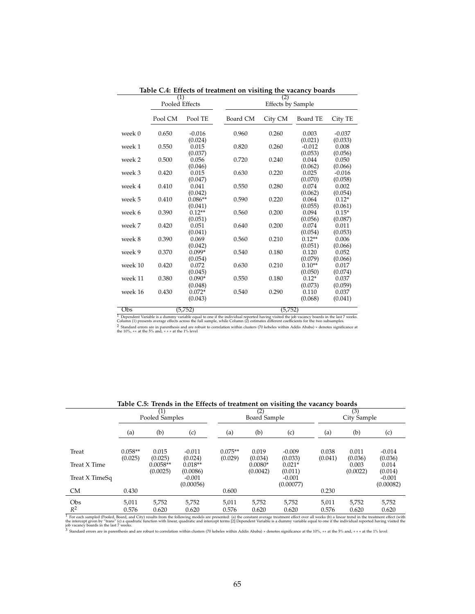|               | (1)<br>Pooled Effects |                             | (2)<br><b>Effects by Sample</b> |         |                     |                             |  |
|---------------|-----------------------|-----------------------------|---------------------------------|---------|---------------------|-----------------------------|--|
|               |                       |                             |                                 |         |                     |                             |  |
|               | Pool CM               | Pool TE                     | Board CM                        | City CM | Board TE            | City TE                     |  |
| week 0        | 0.650                 | $-0.016$                    | 0.960                           | 0.260   | 0.003<br>(0.021)    | $-0.037$                    |  |
| week 1        | 0.550                 | (0.024)<br>0.015<br>(0.037) | 0.820                           | 0.260   | $-0.012$<br>(0.053) | (0.033)<br>0.008<br>(0.056) |  |
| week 2        | 0.500                 | 0.056<br>(0.046)            | 0.720                           | 0.240   | 0.044<br>(0.062)    | 0.050<br>(0.066)            |  |
| week 3        | 0.420                 | 0.015<br>(0.047)            | 0.630                           | 0.220   | 0.025<br>(0.070)    | $-0.016$<br>(0.058)         |  |
| week 4        | 0.410                 | 0.041<br>(0.042)            | 0.550                           | 0.280   | 0.074<br>(0.062)    | 0.002<br>(0.054)            |  |
| week 5        | 0.410                 | $0.086**$<br>(0.041)        | 0.590                           | 0.220   | 0.064<br>(0.055)    | $0.12*$<br>(0.061)          |  |
| week 6        | 0.390                 | $0.12**$<br>(0.051)         | 0.560                           | 0.200   | 0.094<br>(0.056)    | $0.15*$<br>(0.087)          |  |
| week 7        | 0.420                 | 0.051<br>(0.041)            | 0.640                           | 0.200   | 0.074<br>(0.054)    | 0.011<br>(0.053)            |  |
| week 8        | 0.390                 | 0.069<br>(0.042)            | 0.560                           | 0.210   | $0.12**$<br>(0.051) | 0.006<br>(0.066)            |  |
| week 9        | 0.370                 | $0.099*$<br>(0.054)         | 0.540                           | 0.180   | 0.120<br>(0.079)    | 0.052<br>(0.066)            |  |
| week 10       | 0.420                 | 0.072<br>(0.045)            | 0.630                           | 0.210   | $0.10**$<br>(0.050) | 0.017<br>(0.074)            |  |
| week 11       | 0.380                 | $0.090*$<br>(0.048)         | 0.550                           | 0.180   | $0.12*$<br>(0.073)  | 0.037<br>(0.059)            |  |
| week 16       | 0.430                 | $0.072*$<br>(0.043)         | 0.540                           | 0.290   | 0.110<br>(0.068)    | 0.037<br>(0.041)            |  |
| $\cap$ $\sim$ |                       | (T.750)                     |                                 | (T.750) |                     |                             |  |

**Table C.4: Effects of treatment on visiting the vacancy boards**

 $\frac{(5,752)}{1}$  Dependent Variable is a dummy variable equal to one if the individual reported having visited the job vacancy boards in the last 7 weeks.<br>Column (1) presents average effects across the full sample, while Co

| Table C.S. Trends in the Effects of treatment on visiting the vacancy boards |                      |                        |                       |                      |                       |                       |                  |                                                                               |                       |  |
|------------------------------------------------------------------------------|----------------------|------------------------|-----------------------|----------------------|-----------------------|-----------------------|------------------|-------------------------------------------------------------------------------|-----------------------|--|
|                                                                              | Pooled Samples       |                        |                       |                      | (2)<br>Board Sample   |                       |                  | (3)<br>City Sample                                                            |                       |  |
|                                                                              | (a)                  | (b)                    | (c)                   | (a)                  | (b)                   | (c)                   | (a)              | (b)                                                                           | (c)                   |  |
| Treat                                                                        | $0.058**$<br>(0.025) | 0.015<br>(0.025)       | $-0.011$<br>(0.024)   | $0.075**$<br>(0.029) | 0.019<br>(0.034)      | $-0.009$<br>(0.033)   | 0.038<br>(0.041) | 0.011<br>(0.036)                                                              | $-0.014$<br>(0.036)   |  |
| Treat X Time                                                                 |                      | $0.0058**$<br>(0.0025) | $0.018**$<br>(0.0086) |                      | $0.0080*$<br>(0.0042) | $0.021*$<br>(0.011)   |                  | 0.003<br>(0.0022)                                                             | 0.014<br>(0.014)      |  |
| Treat X TimeSq                                                               |                      |                        | $-0.001$<br>(0.00056) |                      |                       | $-0.001$<br>(0.00077) |                  |                                                                               | $-0.001$<br>(0.00082) |  |
| <b>CM</b>                                                                    | 0.430                |                        |                       | 0.600                |                       |                       | 0.230            |                                                                               |                       |  |
| Obs                                                                          | 5,011                | 5,752                  | 5,752                 | 5,011                | 5,752                 | 5,752                 | 5,011            | 5,752                                                                         | 5,752                 |  |
| $R^2$                                                                        | 0.576                | 0.620                  | 0.620                 | 0.576<br>$-1$ $-1$   | 0.620                 | 0.620                 | 0.576            | 0.620<br>$\mathbf{a}$ and $\mathbf{a}$ are assumed to the set of $\mathbf{a}$ | 0.620                 |  |

**Table C.5: Trends in the Effects of treatment on visiting the vacancy boards**

 $R^2$  0.576 0.620 0.620 0.620 0.576 0.620 0.620 0.620 0.576 0.576 0.576 0.620 0.576 0.620 0.620 0.620 0.620 0.620 0.620 0.620 0.620 0.620 0.620 0.620 0.620 0.620 0.620 0.620 0.620 0.620 0.620 0.620 0.620 0.620 0.620 0.620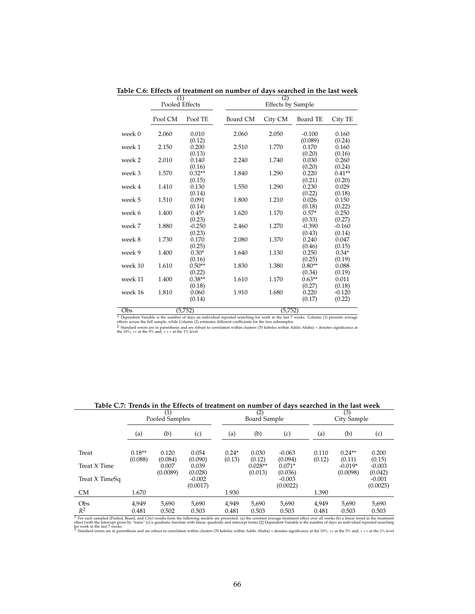|              | (1)<br>Pooled Effects |                           |          | (2)<br><b>Effects by Sample</b> |                           |                           |  |
|--------------|-----------------------|---------------------------|----------|---------------------------------|---------------------------|---------------------------|--|
|              | Pool CM               | Pool TE                   | Board CM | City CM                         | Board TE                  | City TE                   |  |
| week 0       | 2.060                 | 0.010<br>(0.12)           | 2.060    | 2.050                           | $-0.100$<br>(0.089)       | 0.160<br>(0.24)           |  |
| week 1       | 2.150                 | 0.200                     | 2.510    | 1.770                           | 0.170                     | 0.160                     |  |
| week 2       | 2.010                 | (0.13)<br>0.140           | 2.240    | 1.740                           | (0.20)<br>0.030           | (0.16)<br>0.260           |  |
| week 3       | 1.570                 | (0.16)<br>$0.32**$        | 1.840    | 1.290                           | (0.20)<br>0.220           | (0.24)<br>$0.41**$        |  |
| week 4       | 1.410                 | (0.15)<br>0.130<br>(0.14) | 1.550    | 1.290                           | (0.21)<br>0.230<br>(0.22) | (0.20)<br>0.029<br>(0.18) |  |
| week 5       | 1.510                 | 0.091<br>(0.14)           | 1.800    | 1.210                           | 0.026<br>(0.18)           | 0.150<br>(0.22)           |  |
| week 6       | 1.400                 | $0.45*$<br>(0.23)         | 1.620    | 1.170                           | $0.57*$<br>(0.33)         | 0.250<br>(0.27)           |  |
| week 7       | 1.880                 | $-0.250$<br>(0.23)        | 2.460    | 1.270                           | $-0.390$<br>(0.43)        | $-0.160$<br>(0.14)        |  |
| week 8       | 1.730                 | 0.170<br>(0.25)           | 2.080    | 1.370                           | 0.240<br>(0.46)           | 0.047<br>(0.15)           |  |
| week 9       | 1.400                 | $0.30*$<br>(0.16)         | 1.640    | 1.130                           | 0.250<br>(0.25)           | $0.34*$<br>(0.19)         |  |
| week 10      | 1.610                 | $0.50**$<br>(0.22)        | 1.830    | 1.380                           | $0.80**$<br>(0.34)        | 0.088<br>(0.19)           |  |
| week 11      | 1.400                 | $0.38**$<br>(0.18)        | 1.610    | 1.170                           | $0.63**$<br>(0.27)        | 0.011<br>(0.18)           |  |
| week 16      | 1.810                 | 0.060<br>(0.14)           | 1.910    | 1.680                           | 0.220<br>(0.17)           | $-0.120$<br>(0.22)        |  |
| $_{\rm Obs}$ |                       | (5.752)                   |          | (5.752)                         |                           |                           |  |

**Table C.6: Effects of treatment on number of days searched in the last week**

Obs (5,752) (5,752) 1 Dependent Variable is the number of days an individual reported searching for work in the last 7 weeks. Column (1) presents average effects across the full sample, while Column (2) estimates different coefficients for the two subsamples. 2 Standard errors are in parenthesis and are robust to correlation within clusters (70 kebeles within Addis Ababa) ∗ denotes significance at the 10%, ∗∗ at the 5% and, ∗ ∗ ∗ at the 1% level

| Pooled Samples |                     |                                                                                        |                                                           | Board Sample      |                             |                                             | City Sample     |                                |  |
|----------------|---------------------|----------------------------------------------------------------------------------------|-----------------------------------------------------------|-------------------|-----------------------------|---------------------------------------------|-----------------|--------------------------------|--|
| (a)            | (b)                 | (c)                                                                                    | (a)                                                       | (b)               | (c)                         | (a)                                         | (b)             | (c)                            |  |
|                |                     |                                                                                        |                                                           |                   |                             |                                             |                 |                                |  |
|                |                     |                                                                                        |                                                           |                   |                             |                                             |                 | 0.200<br>(0.15)                |  |
|                | 0.007               | 0.039                                                                                  |                                                           | $0.028**$         | $0.071*$                    |                                             | $-0.019*$       | $-0.003$                       |  |
|                | (0.0089)            | (0.028)                                                                                |                                                           | (0.013)           | (0.036)                     |                                             | (0.0098)        | (0.042)                        |  |
|                |                     |                                                                                        |                                                           |                   |                             |                                             |                 | $-0.001$<br>(0.0025)           |  |
| 1.670          |                     |                                                                                        | 1.930                                                     |                   |                             | 1.390                                       |                 |                                |  |
| 4.949          | 5,690               | 5,690                                                                                  | 4,949                                                     | 5,690             | 5,690                       | 4.949                                       | 5,690           | 5,690                          |  |
| 0.481          | 0.502               | 0.503                                                                                  | 0.481                                                     | 0.503             | 0.503                       | 0.481                                       | 0.503           | 0.503                          |  |
|                | $0.18**$<br>(0.088) | (1)<br>0.120<br>(0.084)<br><b>Contract Contract Contract Contract</b><br>.<br>$\cdots$ | 0.054<br>(0.090)<br>$-0.002$<br>(0.0017)<br>$\cdots$<br>. | $0.24*$<br>(0.13) | (2)<br>0.030<br>(0.12)<br>. | $-0.063$<br>(0.094)<br>$-0.003$<br>(0.0022) | 0.110<br>(0.12) | (3)<br>$0.24**$<br>(0.11)<br>. |  |

**Table C.7: Trends in the Effects of treatment on number of days searched in the last week**

<sup>1</sup> For each sampled (Pooled, Board, and City) results from the following models are presented: (a) the constant average treatment effect over all weeks (b) a linear trend in the treatment effect (with the intercept given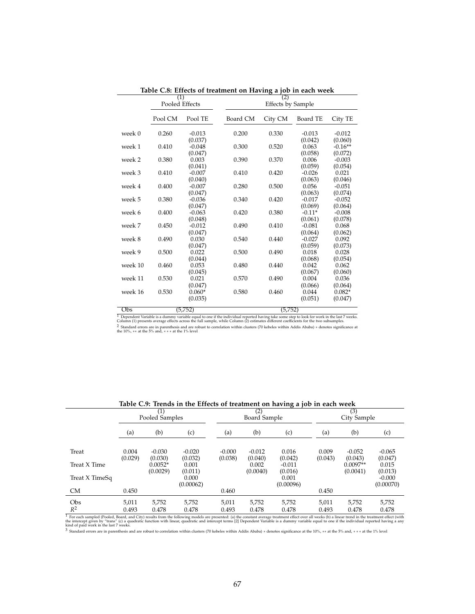|         | (1)<br>Pooled Effects |                     | (2)<br><b>Effects by Sample</b> |         |                     |                      |  |  |
|---------|-----------------------|---------------------|---------------------------------|---------|---------------------|----------------------|--|--|
|         |                       |                     |                                 |         |                     |                      |  |  |
|         | Pool CM               | Pool TE             | Board CM                        | City CM | Board TE            | City TE              |  |  |
| week 0  | 0.260                 | $-0.013$<br>(0.037) | 0.200                           | 0.330   | $-0.013$<br>(0.042) | $-0.012$<br>(0.060)  |  |  |
| week 1  | 0.410                 | $-0.048$<br>(0.047) | 0.300                           | 0.520   | 0.063<br>(0.058)    | $-0.16**$<br>(0.072) |  |  |
| week 2  | 0.380                 | 0.003<br>(0.041)    | 0.390                           | 0.370   | 0.006<br>(0.059)    | $-0.003$<br>(0.054)  |  |  |
| week 3  | 0.410                 | $-0.007$<br>(0.040) | 0.410                           | 0.420   | $-0.026$<br>(0.063) | 0.021<br>(0.046)     |  |  |
| week 4  | 0.400                 | $-0.007$<br>(0.047) | 0.280                           | 0.500   | 0.056<br>(0.063)    | $-0.051$<br>(0.074)  |  |  |
| week 5  | 0.380                 | $-0.036$<br>(0.047) | 0.340                           | 0.420   | $-0.017$<br>(0.069) | $-0.052$<br>(0.064)  |  |  |
| week 6  | 0.400                 | $-0.063$<br>(0.048) | 0.420                           | 0.380   | $-0.11*$<br>(0.061) | $-0.008$<br>(0.078)  |  |  |
| week 7  | 0.450                 | $-0.012$<br>(0.047) | 0.490                           | 0.410   | $-0.081$<br>(0.064) | 0.068<br>(0.062)     |  |  |
| week 8  | 0.490                 | 0.030<br>(0.047)    | 0.540                           | 0.440   | $-0.027$<br>(0.059) | 0.092<br>(0.073)     |  |  |
| week 9  | 0.500                 | 0.022<br>(0.044)    | 0.500                           | 0.490   | 0.018<br>(0.068)    | 0.028<br>(0.054)     |  |  |
| week 10 | 0.460                 | 0.053<br>(0.045)    | 0.480                           | 0.440   | 0.042<br>(0.067)    | 0.062<br>(0.060)     |  |  |
| week 11 | 0.530                 | 0.021<br>(0.047)    | 0.570                           | 0.490   | 0.004<br>(0.066)    | 0.036<br>(0.064)     |  |  |
| week 16 | 0.530                 | $0.060*$<br>(0.035) | 0.580                           | 0.460   | 0.044<br>(0.051)    | $0.082*$<br>(0.047)  |  |  |
| ∩he     |                       | (5.752)             |                                 | (5.752) |                     |                      |  |  |

**Table C.8: Effects of treatment on Having a job in each week**

 $\frac{(5,752)}{\text{Dependent Variable is a dummy variable equal to one if the individual reported having take some step to look for work in the last 7 weeks.}\newline \text{Column (1) presents average effects across the full sample, while Column (2) estimates different coefficients for the two subsamples.}\newline \text{2 Standard errors are in parentheses and are robust to correlation within clusters (70 kebeles within Addis Ababa) * denotes significance at the 10%, ** at the 5% and, *** at the 1% level\n$ 

|                | Pooled Samples   |                       |                     |                     | (2)<br>Board Sample |                     |                  | (3)<br>City Sample     |                       |  |
|----------------|------------------|-----------------------|---------------------|---------------------|---------------------|---------------------|------------------|------------------------|-----------------------|--|
|                | (a)              | (b)                   | (c)                 | (a)                 | (b)                 | (c)                 | (a)              | (b)                    | (c)                   |  |
| Treat          | 0.004<br>(0.029) | $-0.030$<br>(0.030)   | $-0.020$<br>(0.032) | $-0.000$<br>(0.038) | $-0.012$<br>(0.040) | 0.016<br>(0.042)    | 0.009<br>(0.043) | $-0.052$<br>(0.043)    | $-0.065$<br>(0.047)   |  |
| Treat X Time   |                  | $0.0052*$<br>(0.0029) | 0.001<br>(0.011)    |                     | 0.002<br>(0.0040)   | $-0.011$<br>(0.016) |                  | $0.0097**$<br>(0.0041) | 0.015<br>(0.013)      |  |
| Treat X TimeSq |                  |                       | 0.000<br>(0.00062)  |                     |                     | 0.001<br>(0.00096)  |                  |                        | $-0.000$<br>(0.00070) |  |
| <b>CM</b>      | 0.450            |                       |                     | 0.460               |                     |                     | 0.450            |                        |                       |  |
| Obs            | 5.011            | 5,752                 | 5,752               | 5.011               | 5,752               | 5,752               | 5,011            | 5,752                  | 5,752                 |  |
| $R^2$          | 0.493            | 0.478                 | 0.478               | 0.493               | 0.478               | 0.478               | 0.493            | 0.478                  | 0.478                 |  |

**Table C.9: Trends in the Effects of treatment on having a job in each week**

 $R^2$  0.493 0.478 0.478 0.493 0.478 0.478 0.478 0.478 0.478 0.478 0.478 0.478 0.478 0.478 0.478 0.478 0.478 0.478 0.478 0.478 0.478 0.478 0.478 0.478 0.478 0.478 0.478 0.478 0.478 0.478 0.478 0.478 0.478 0.478 0.478 0.478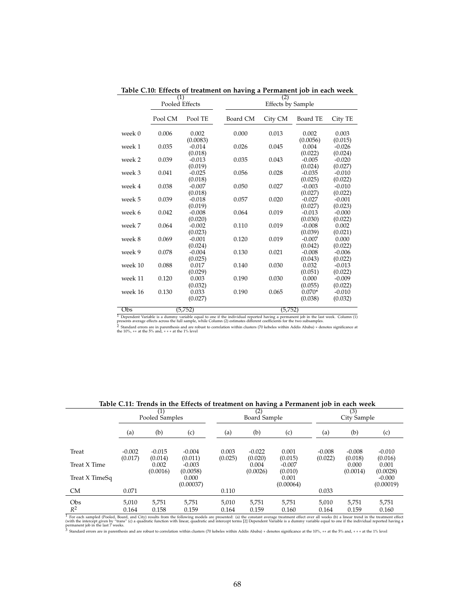|         | (1)<br>Pooled Effects |                     |          | (2)<br><b>Effects by Sample</b> |                     |                     |  |
|---------|-----------------------|---------------------|----------|---------------------------------|---------------------|---------------------|--|
|         | Pool CM               | Pool TE             | Board CM | City CM                         | Board TE            | City TE             |  |
| week 0  | 0.006                 | 0.002<br>(0.0083)   | 0.000    | 0.013                           | 0.002<br>(0.0056)   | 0.003<br>(0.015)    |  |
| week 1  | 0.035                 | $-0.014$<br>(0.018) | 0.026    | 0.045                           | 0.004<br>(0.022)    | $-0.026$<br>(0.024) |  |
| week 2  | 0.039                 | $-0.013$<br>(0.019) | 0.035    | 0.043                           | $-0.005$<br>(0.024) | $-0.020$<br>(0.027) |  |
| week 3  | 0.041                 | $-0.025$<br>(0.018) | 0.056    | 0.028                           | $-0.035$<br>(0.025) | $-0.010$<br>(0.022) |  |
| week 4  | 0.038                 | $-0.007$<br>(0.018) | 0.050    | 0.027                           | $-0.003$<br>(0.027) | $-0.010$<br>(0.022) |  |
| week 5  | 0.039                 | $-0.018$<br>(0.019) | 0.057    | 0.020                           | $-0.027$<br>(0.027) | $-0.001$<br>(0.023) |  |
| week 6  | 0.042                 | $-0.008$<br>(0.020) | 0.064    | 0.019                           | $-0.013$<br>(0.030) | $-0.000$<br>(0.022) |  |
| week 7  | 0.064                 | $-0.002$<br>(0.023) | 0.110    | 0.019                           | $-0.008$<br>(0.039) | 0.002<br>(0.021)    |  |
| week 8  | 0.069                 | $-0.001$<br>(0.024) | 0.120    | 0.019                           | $-0.007$<br>(0.042) | 0.000<br>(0.022)    |  |
| week 9  | 0.078                 | $-0.004$<br>(0.025) | 0.130    | 0.021                           | $-0.008$<br>(0.043) | $-0.006$<br>(0.022) |  |
| week 10 | 0.088                 | 0.017<br>(0.029)    | 0.140    | 0.030                           | 0.032<br>(0.051)    | $-0.013$<br>(0.022) |  |
| week 11 | 0.120                 | 0.003<br>(0.032)    | 0.190    | 0.030                           | 0.000<br>(0.055)    | $-0.009$<br>(0.022) |  |
| week 16 | 0.130                 | 0.033<br>(0.027)    | 0.190    | 0.065                           | $0.070*$<br>(0.038) | $-0.010$<br>(0.032) |  |
| ∩he     |                       | (5.752)             |          | (5.752)                         |                     |                     |  |

**Table C.10: Effects of treatment on having a Permanent job in each week**

 $\frac{(5,752)}{1}$  Dependent Variable is a dummy variable equal to one if the individual reported having a permanent job in the last week. Column (1)<br>presents average effects across the full sample, while Column (2) estimates

|                                                                                                                                                                                                 |                       |                     |                      |                  |                     | Table C.II. Trends in the Effects of treatment on having a Fermanent for in each week |          |                     |                       |  |
|-------------------------------------------------------------------------------------------------------------------------------------------------------------------------------------------------|-----------------------|---------------------|----------------------|------------------|---------------------|---------------------------------------------------------------------------------------|----------|---------------------|-----------------------|--|
|                                                                                                                                                                                                 | (1)<br>Pooled Samples |                     |                      |                  | (2)<br>Board Sample |                                                                                       |          | (3)<br>City Sample  |                       |  |
|                                                                                                                                                                                                 | (a)                   | (b)                 | (c)                  | (a)              | (b)                 | (c)                                                                                   | (a)      | (b)                 | (c)                   |  |
| Treat                                                                                                                                                                                           | $-0.002$<br>(0.017)   | $-0.015$<br>(0.014) | $-0.004$<br>(0.011)  | 0.003<br>(0.025) | $-0.022$<br>(0.020) | 0.001<br>(0.015)                                                                      | $-0.008$ | $-0.008$<br>(0.018) | $-0.010$<br>(0.016)   |  |
| Treat X Time                                                                                                                                                                                    |                       | 0.002<br>(0.0016)   | $-0.003$<br>(0.0058) |                  | 0.004<br>(0.0026)   | $-0.007$<br>(0.010)                                                                   | (0.022)  | 0.000<br>(0.0014)   | 0.001<br>(0.0028)     |  |
| Treat X TimeSq                                                                                                                                                                                  |                       |                     | 0.000<br>(0.00037)   |                  |                     | 0.001<br>(0.00064)                                                                    |          |                     | $-0.000$<br>(0.00019) |  |
| <b>CM</b>                                                                                                                                                                                       | 0.071                 |                     |                      | 0.110            |                     |                                                                                       | 0.033    |                     |                       |  |
| Obs                                                                                                                                                                                             | 5.010                 | 5.751               | 5,751                | 5.010            | 5,751               | 5,751                                                                                 | 5,010    | 5,751               | 5,751                 |  |
| $R^2$                                                                                                                                                                                           | 0.164                 | 0.158               | 0.159                | 0.164            | 0.159               | 0.160                                                                                 | 0.164    | 0.159               | 0.160                 |  |
| For each sampled (Pooled, Board, and City) results from the following models are presented: (a) the constant average treatment effect over all weeks (b) a linear trend in the treatment effect |                       |                     |                      |                  |                     |                                                                                       |          |                     |                       |  |

**Table C.11: Trends in the Effects of treatment on having a Permanent job in each week**

<sup>1</sup> For each sampled (Pooled, Board, and City) results from the following models are presented: (a) the constant average treatment effect over all weeks (b) a linear trend in the treatment effect over all weeks (b) a line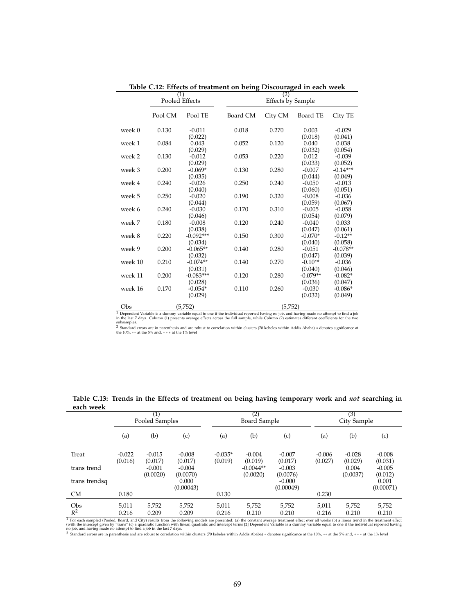|         | (1)<br>Pooled Effects |                        |          | (2)<br><b>Effects by Sample</b> |                       |                       |  |
|---------|-----------------------|------------------------|----------|---------------------------------|-----------------------|-----------------------|--|
|         | Pool CM               | Pool TE                | Board CM | City CM                         | Board TE              | City TE               |  |
| week 0  | 0.130                 | $-0.011$<br>(0.022)    | 0.018    | 0.270                           | 0.003<br>(0.018)      | $-0.029$<br>(0.041)   |  |
| week 1  | 0.084                 | 0.043<br>(0.029)       | 0.052    | 0.120                           | 0.040<br>(0.032)      | 0.038<br>(0.054)      |  |
| week 2  | 0.130                 | $-0.012$<br>(0.029)    | 0.053    | 0.220                           | 0.012<br>(0.033)      | $-0.039$<br>(0.052)   |  |
| week 3  | 0.200                 | $-0.069*$<br>(0.035)   | 0.130    | 0.280                           | $-0.007$<br>(0.044)   | $-0.14***$<br>(0.049) |  |
| week 4  | 0.240                 | $-0.026$<br>(0.040)    | 0.250    | 0.240                           | $-0.050$<br>(0.060)   | $-0.013$<br>(0.051)   |  |
| week 5  | 0.250                 | $-0.020$<br>(0.044)    | 0.190    | 0.320                           | $-0.008$<br>(0.059)   | $-0.036$<br>(0.067)   |  |
| week 6  | 0.240                 | $-0.030$<br>(0.046)    | 0.170    | 0.310                           | $-0.005$<br>(0.054)   | $-0.058$<br>(0.079)   |  |
| week 7  | 0.180                 | $-0.008$<br>(0.038)    | 0.120    | 0.240                           | $-0.040$<br>(0.047)   | 0.033<br>(0.061)      |  |
| week 8  | 0.220                 | $-0.092***$<br>(0.034) | 0.150    | 0.300                           | $-0.070*$<br>(0.040)  | $-0.12**$<br>(0.058)  |  |
| week 9  | 0.200                 | $-0.065**$<br>(0.032)  | 0.140    | 0.280                           | $-0.051$<br>(0.047)   | $-0.078**$<br>(0.039) |  |
| week 10 | 0.210                 | $-0.074**$<br>(0.031)  | 0.140    | 0.270                           | $-0.10**$<br>(0.040)  | $-0.036$<br>(0.046)   |  |
| week 11 | 0.200                 | $-0.083***$<br>(0.028) | 0.120    | 0.280                           | $-0.079**$<br>(0.036) | $-0.082*$<br>(0.047)  |  |
| week 16 | 0.170                 | $-0.054*$<br>(0.029)   | 0.110    | 0.260                           | $-0.030$<br>(0.032)   | $-0.086*$<br>(0.049)  |  |
| ∩he     |                       | (5, 752)               |          | (5, 752)                        |                       |                       |  |

**Table C.12: Effects of treatment on being Discouraged in each week**

 $\frac{(5,752)}{1\text{ dependent Variable is a dummy variable equal to one if the individual reported having no 100, and having made no attempt to find a job of 1000.}$ 

subsamples. 2 Standard errors are in parenthesis and are robust to correlation within clusters (70 kebeles within Addis Ababa) ∗ denotes significance at the 10%, ∗∗ at the 5% and, ∗ ∗ ∗ at the 1% level

**Table C.13: Trends in the Effects of treatment on being having temporary work and** *not* **searching in**

| each week                                                                                                                                                                                                |                                     |                      |                      |                      |                         |                       |                     |                     |                     |
|----------------------------------------------------------------------------------------------------------------------------------------------------------------------------------------------------------|-------------------------------------|----------------------|----------------------|----------------------|-------------------------|-----------------------|---------------------|---------------------|---------------------|
|                                                                                                                                                                                                          | $\left( 1\right)$<br>Pooled Samples |                      |                      | (2)<br>Board Sample  |                         |                       | (3)<br>City Sample  |                     |                     |
|                                                                                                                                                                                                          | (a)                                 | (b)                  | (c)                  | (a)                  | (b)                     | (c)                   | (a)                 | (b)                 | (c)                 |
| Treat                                                                                                                                                                                                    | $-0.022$<br>(0.016)                 | $-0.015$<br>(0.017)  | $-0.008$<br>(0.017)  | $-0.035*$<br>(0.019) | $-0.004$<br>(0.019)     | $-0.007$<br>(0.017)   | $-0.006$<br>(0.027) | $-0.028$<br>(0.029) | $-0.008$<br>(0.031) |
| trans trend                                                                                                                                                                                              |                                     | $-0.001$<br>(0.0020) | $-0.004$<br>(0.0070) |                      | $-0.0044**$<br>(0.0020) | $-0.003$<br>(0.0076)  |                     | 0.004<br>(0.0037)   | $-0.005$<br>(0.012) |
| trans trendsq                                                                                                                                                                                            |                                     |                      | 0.000<br>(0.00043)   |                      |                         | $-0.000$<br>(0.00049) |                     |                     | 0.001<br>(0.00071)  |
| CM                                                                                                                                                                                                       | 0.180                               |                      |                      | 0.130                |                         |                       | 0.230               |                     |                     |
| Obs                                                                                                                                                                                                      | 5,011                               | 5,752                | 5,752                | 5,011                | 5,752                   | 5,752                 | 5,011               | 5,752               | 5,752               |
| $R^2$<br>For each sampled (Pooled, Board, and City) results from the following models are presented: (a) the constant average treatment effect over all weeks (b) a linear trend in the treatment effect | 0.216                               | 0.209                | 0.209                | 0.216                | 0.210                   | 0.210                 | 0.216               | 0.210               | 0.210               |

<sup>1</sup> For each sampled (Pooled, Board, and City) results from the following models are presented: (a) the constant average treatment effect over all weeks (b) a linear trend in the treatment effect over all wide interest gi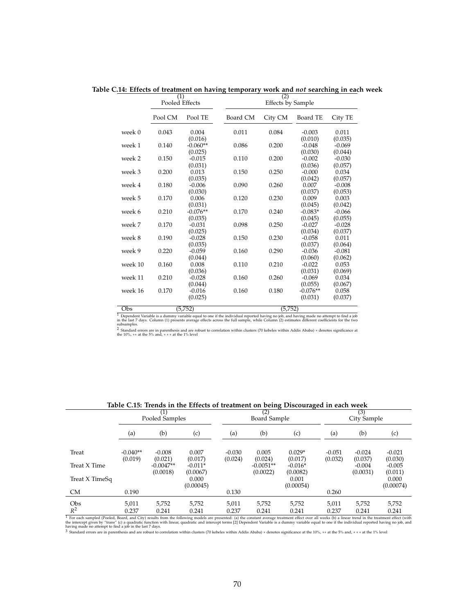|                    | (1)<br>Pooled Effects |                                |          | (2)<br><b>Effects by Sample</b> |                                  |                                |  |  |  |
|--------------------|-----------------------|--------------------------------|----------|---------------------------------|----------------------------------|--------------------------------|--|--|--|
|                    | Pool CM               | Pool TE                        | Board CM | City CM                         | Board TE                         | City TE                        |  |  |  |
| week 0             | 0.043                 | 0.004<br>(0.016)               | 0.011    | 0.084                           | $-0.003$<br>(0.010)              | 0.011<br>(0.035)               |  |  |  |
| week 1             | 0.140                 | $-0.060**$<br>(0.025)          | 0.086    | 0.200                           | $-0.048$<br>(0.030)              | $-0.069$<br>(0.044)            |  |  |  |
| week 2             | 0.150                 | $-0.015$<br>(0.031)            | 0.110    | 0.200                           | $-0.002$<br>(0.036)              | $-0.030$<br>(0.057)            |  |  |  |
| week 3             | 0.200                 | 0.013<br>(0.035)               | 0.150    | 0.250                           | $-0.000$<br>(0.042)              | 0.034<br>(0.057)               |  |  |  |
| week 4             | 0.180                 | $-0.006$<br>(0.030)            | 0.090    | 0.260                           | 0.007<br>(0.037)                 | $-0.008$<br>(0.053)            |  |  |  |
| week 5             | 0.170                 | 0.006                          | 0.120    | 0.230                           | 0.009                            | 0.003                          |  |  |  |
| week 6             | 0.210                 | (0.031)<br>$-0.076**$          | 0.170    | 0.240                           | (0.045)<br>$-0.083*$             | (0.042)<br>$-0.066$            |  |  |  |
| week 7             | 0.170                 | (0.035)<br>$-0.031$<br>(0.025) | 0.098    | 0.250                           | (0.045)<br>$-0.027$<br>(0.034)   | (0.055)<br>$-0.028$<br>(0.037) |  |  |  |
| week 8             | 0.190                 | $-0.028$<br>(0.035)            | 0.150    | 0.230                           | $-0.058$<br>(0.037)              | 0.011<br>(0.064)               |  |  |  |
| week 9             | 0.220                 | $-0.059$<br>(0.044)            | 0.160    | 0.290                           | $-0.036$<br>(0.060)              | $-0.081$<br>(0.062)            |  |  |  |
| week 10            | 0.160                 | 0.008<br>(0.036)               | 0.110    | 0.210                           | $-0.022$<br>(0.031)              | 0.053<br>(0.069)               |  |  |  |
| week 11            | 0.210                 | $-0.028$                       | 0.160    | 0.260                           | $-0.069$                         | 0.034                          |  |  |  |
| week 16            | 0.170                 | (0.044)<br>$-0.016$<br>(0.025) | 0.160    | 0.180                           | (0.055)<br>$-0.076**$<br>(0.031) | (0.067)<br>0.058<br>(0.037)    |  |  |  |
| $\sqrt{a^2 + b^2}$ |                       | (5.752)                        | (5.752)  |                                 |                                  |                                |  |  |  |

**Table C.14: Effects of treatment on having temporary work and** *not* **searching in each week**

(5,752)<br>
Top-pendent Variable is a dummy variable equal to one if the individual reported having no job, and having made no attempt to find a job<br>
in the last 7 days. Column (1) presents average effects across the full sa

|                   | (1)<br>Pooled Samples                  |                         |                       | (2)<br><b>Board Sample</b> |                         |                       | (3)<br>City Sample                   |                      |                     |
|-------------------|----------------------------------------|-------------------------|-----------------------|----------------------------|-------------------------|-----------------------|--------------------------------------|----------------------|---------------------|
|                   | (a)                                    | (b)                     | (c)                   | (a)                        | (b)                     | (c)                   | (a)                                  | (b)                  | (c)                 |
| Treat             | $-0.040**$<br>(0.019)                  | $-0.008$<br>(0.021)     | 0.007<br>(0.017)      | $-0.030$<br>(0.024)        | 0.005<br>(0.024)        | $0.029*$<br>(0.017)   | $-0.051$<br>(0.032)                  | $-0.024$<br>(0.037)  | $-0.021$<br>(0.030) |
| Treat X Time      |                                        | $-0.0047**$<br>(0.0018) | $-0.011*$<br>(0.0067) |                            | $-0.0051**$<br>(0.0022) | $-0.016*$<br>(0.0082) |                                      | $-0.004$<br>(0.0031) | $-0.005$<br>(0.011) |
| Treat X TimeSq    |                                        |                         | 0.000<br>(0.00045)    |                            |                         | 0.001<br>(0.00054)    |                                      |                      | 0.000<br>(0.00074)  |
| <b>CM</b>         | 0.190                                  |                         |                       | 0.130                      |                         |                       | 0.260                                |                      |                     |
| Obs               | 5,011                                  | 5,752                   | 5,752                 | 5,011                      | 5,752                   | 5,752                 | 5,011                                | 5,752                | 5,752               |
| $R^2$<br>$-$<br>. | 0.237<br>the state of the state of the | 0.241<br>.<br>$\cdots$  | 0.241                 | 0.237<br>.                 | 0.241                   | 0.241                 | 0.237<br>$\sim$ $\sim$ $\sim$ $\sim$ | 0.241                | 0.241               |

**Table C.15: Trends in the Effects of treatment on being Discouraged in each week**

 $R^2$  0.237 0.241 0.237 0.241 0.237 0.241 0.237 0.241 0.241 0.237 0.241 0.237 0.241 0.241 0.241 0.241 0.241 0.241 0.241 0.241 0.241 0.241 0.241 0.241 0.241 0.241 0.241 0.241 0.241 0.241 0.241 0.241 0.241 0.241 0.241 0.241